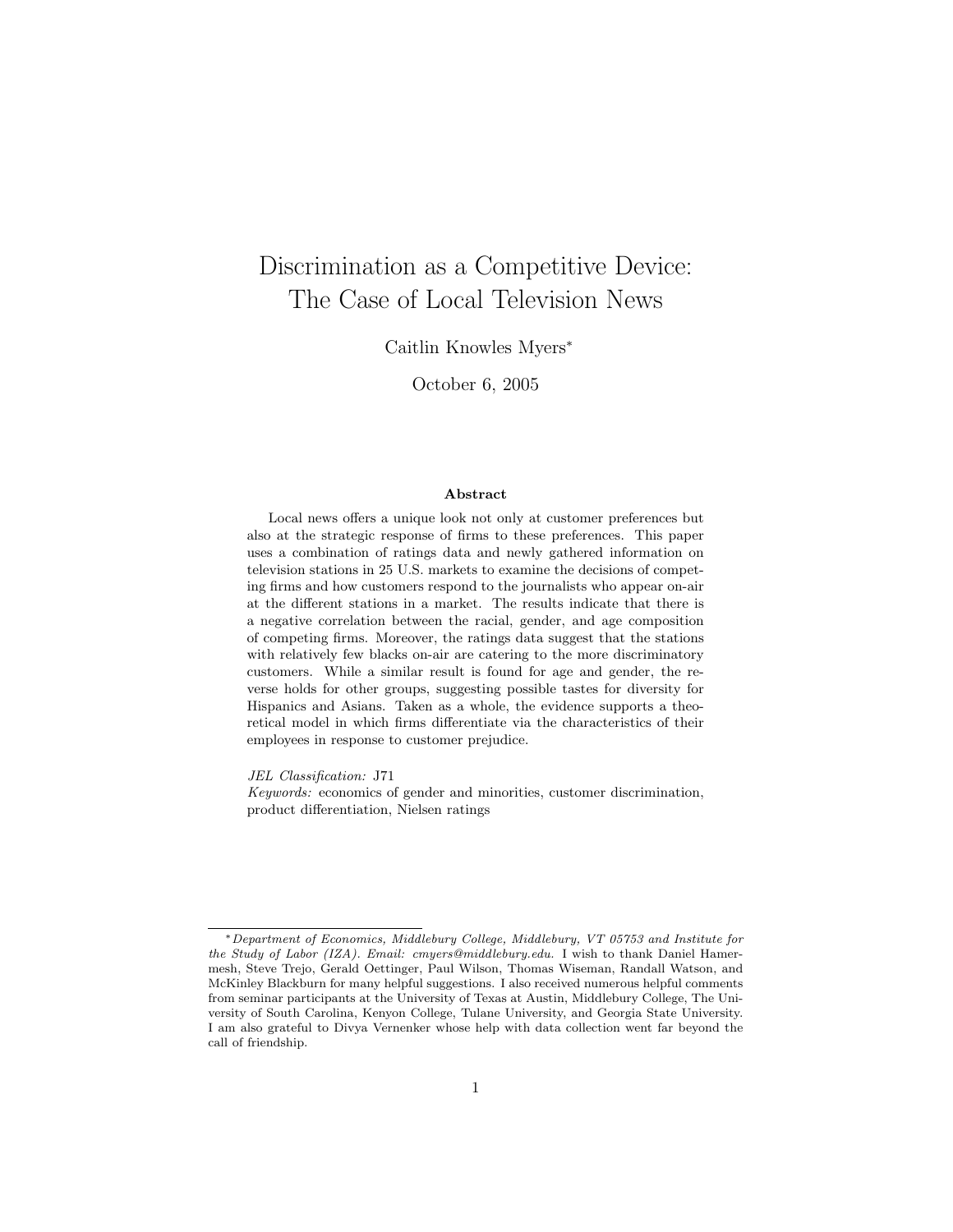# Discrimination as a Competitive Device: The Case of Local Television News

Caitlin Knowles Myers<sup>∗</sup>

October 6, 2005

#### Abstract

Local news offers a unique look not only at customer preferences but also at the strategic response of firms to these preferences. This paper uses a combination of ratings data and newly gathered information on television stations in 25 U.S. markets to examine the decisions of competing firms and how customers respond to the journalists who appear on-air at the different stations in a market. The results indicate that there is a negative correlation between the racial, gender, and age composition of competing firms. Moreover, the ratings data suggest that the stations with relatively few blacks on-air are catering to the more discriminatory customers. While a similar result is found for age and gender, the reverse holds for other groups, suggesting possible tastes for diversity for Hispanics and Asians. Taken as a whole, the evidence supports a theoretical model in which firms differentiate via the characteristics of their employees in response to customer prejudice.

JEL Classification: J71

Keywords: economics of gender and minorities, customer discrimination, product differentiation, Nielsen ratings

<sup>∗</sup>Department of Economics, Middlebury College, Middlebury, VT 05753 and Institute for the Study of Labor (IZA). Email: cmyers@middlebury.edu. I wish to thank Daniel Hamermesh, Steve Trejo, Gerald Oettinger, Paul Wilson, Thomas Wiseman, Randall Watson, and McKinley Blackburn for many helpful suggestions. I also received numerous helpful comments from seminar participants at the University of Texas at Austin, Middlebury College, The University of South Carolina, Kenyon College, Tulane University, and Georgia State University. I am also grateful to Divya Vernenker whose help with data collection went far beyond the call of friendship.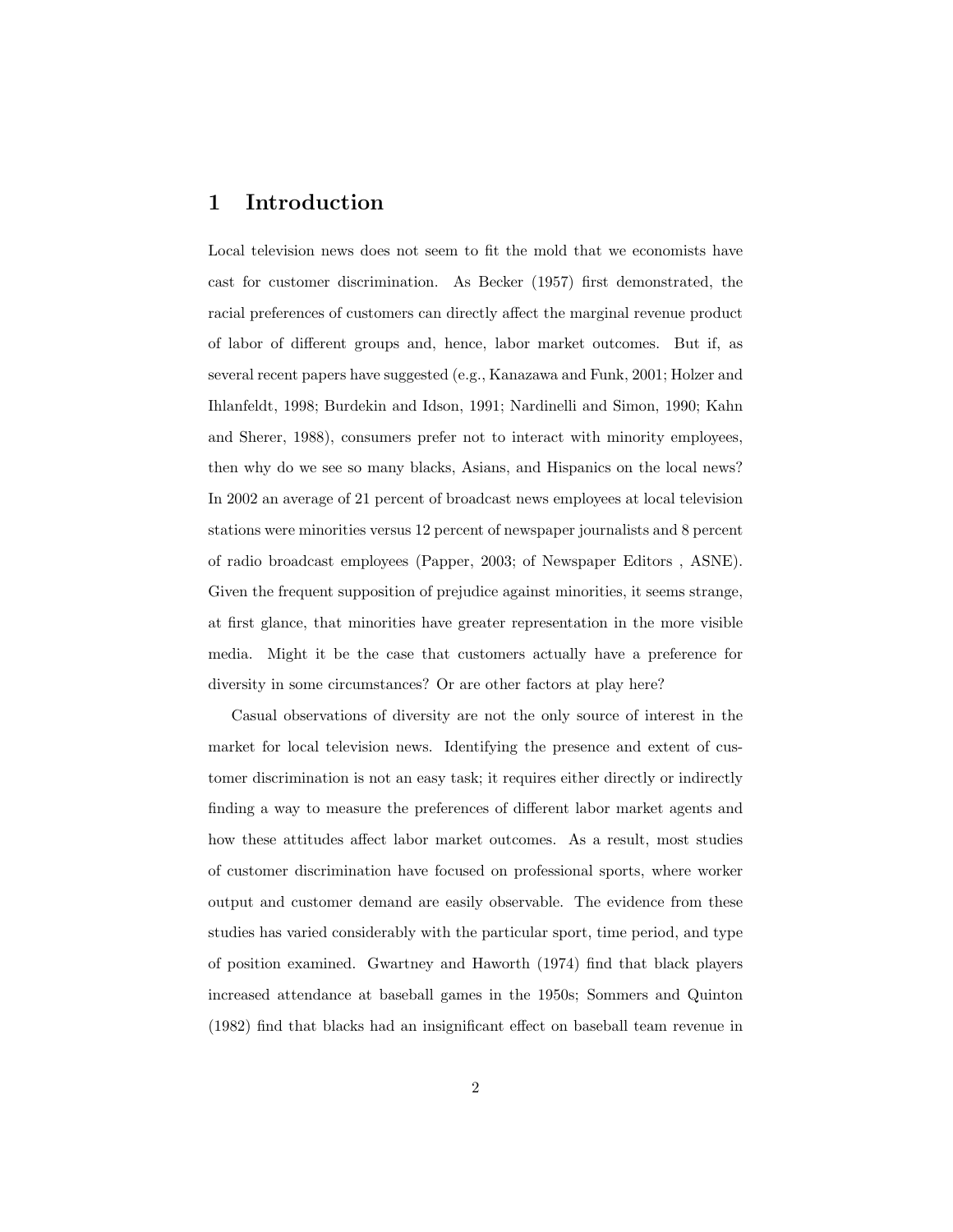### 1 Introduction

Local television news does not seem to fit the mold that we economists have cast for customer discrimination. As Becker (1957) first demonstrated, the racial preferences of customers can directly affect the marginal revenue product of labor of different groups and, hence, labor market outcomes. But if, as several recent papers have suggested (e.g., Kanazawa and Funk, 2001; Holzer and Ihlanfeldt, 1998; Burdekin and Idson, 1991; Nardinelli and Simon, 1990; Kahn and Sherer, 1988), consumers prefer not to interact with minority employees, then why do we see so many blacks, Asians, and Hispanics on the local news? In 2002 an average of 21 percent of broadcast news employees at local television stations were minorities versus 12 percent of newspaper journalists and 8 percent of radio broadcast employees (Papper, 2003; of Newspaper Editors , ASNE). Given the frequent supposition of prejudice against minorities, it seems strange, at first glance, that minorities have greater representation in the more visible media. Might it be the case that customers actually have a preference for diversity in some circumstances? Or are other factors at play here?

Casual observations of diversity are not the only source of interest in the market for local television news. Identifying the presence and extent of customer discrimination is not an easy task; it requires either directly or indirectly finding a way to measure the preferences of different labor market agents and how these attitudes affect labor market outcomes. As a result, most studies of customer discrimination have focused on professional sports, where worker output and customer demand are easily observable. The evidence from these studies has varied considerably with the particular sport, time period, and type of position examined. Gwartney and Haworth (1974) find that black players increased attendance at baseball games in the 1950s; Sommers and Quinton (1982) find that blacks had an insignificant effect on baseball team revenue in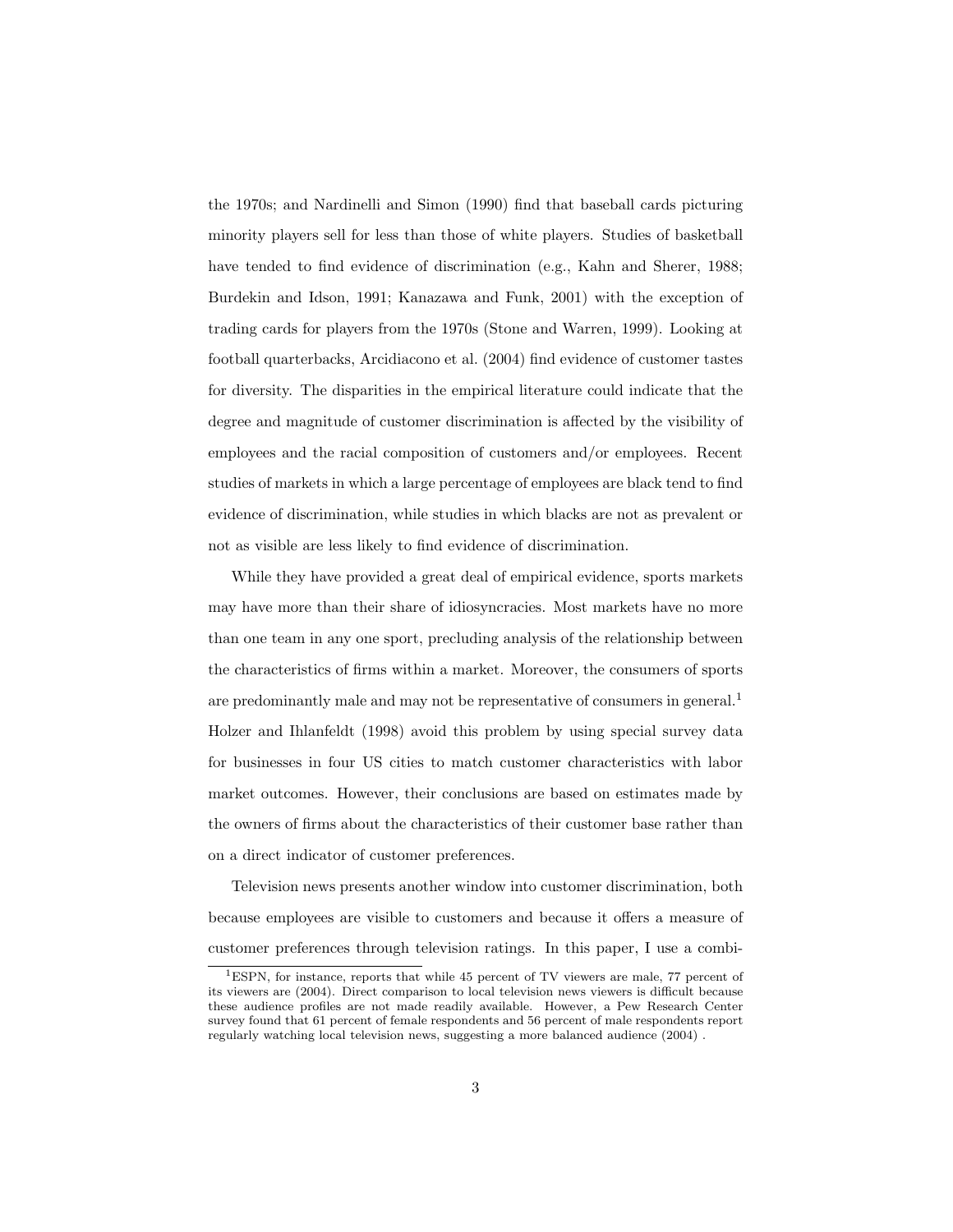the 1970s; and Nardinelli and Simon (1990) find that baseball cards picturing minority players sell for less than those of white players. Studies of basketball have tended to find evidence of discrimination (e.g., Kahn and Sherer, 1988; Burdekin and Idson, 1991; Kanazawa and Funk, 2001) with the exception of trading cards for players from the 1970s (Stone and Warren, 1999). Looking at football quarterbacks, Arcidiacono et al. (2004) find evidence of customer tastes for diversity. The disparities in the empirical literature could indicate that the degree and magnitude of customer discrimination is affected by the visibility of employees and the racial composition of customers and/or employees. Recent studies of markets in which a large percentage of employees are black tend to find evidence of discrimination, while studies in which blacks are not as prevalent or not as visible are less likely to find evidence of discrimination.

While they have provided a great deal of empirical evidence, sports markets may have more than their share of idiosyncracies. Most markets have no more than one team in any one sport, precluding analysis of the relationship between the characteristics of firms within a market. Moreover, the consumers of sports are predominantly male and may not be representative of consumers in general.<sup>1</sup> Holzer and Ihlanfeldt (1998) avoid this problem by using special survey data for businesses in four US cities to match customer characteristics with labor market outcomes. However, their conclusions are based on estimates made by the owners of firms about the characteristics of their customer base rather than on a direct indicator of customer preferences.

Television news presents another window into customer discrimination, both because employees are visible to customers and because it offers a measure of customer preferences through television ratings. In this paper, I use a combi-

<sup>1</sup>ESPN, for instance, reports that while 45 percent of TV viewers are male, 77 percent of its viewers are (2004). Direct comparison to local television news viewers is difficult because these audience profiles are not made readily available. However, a Pew Research Center survey found that 61 percent of female respondents and 56 percent of male respondents report regularly watching local television news, suggesting a more balanced audience (2004) .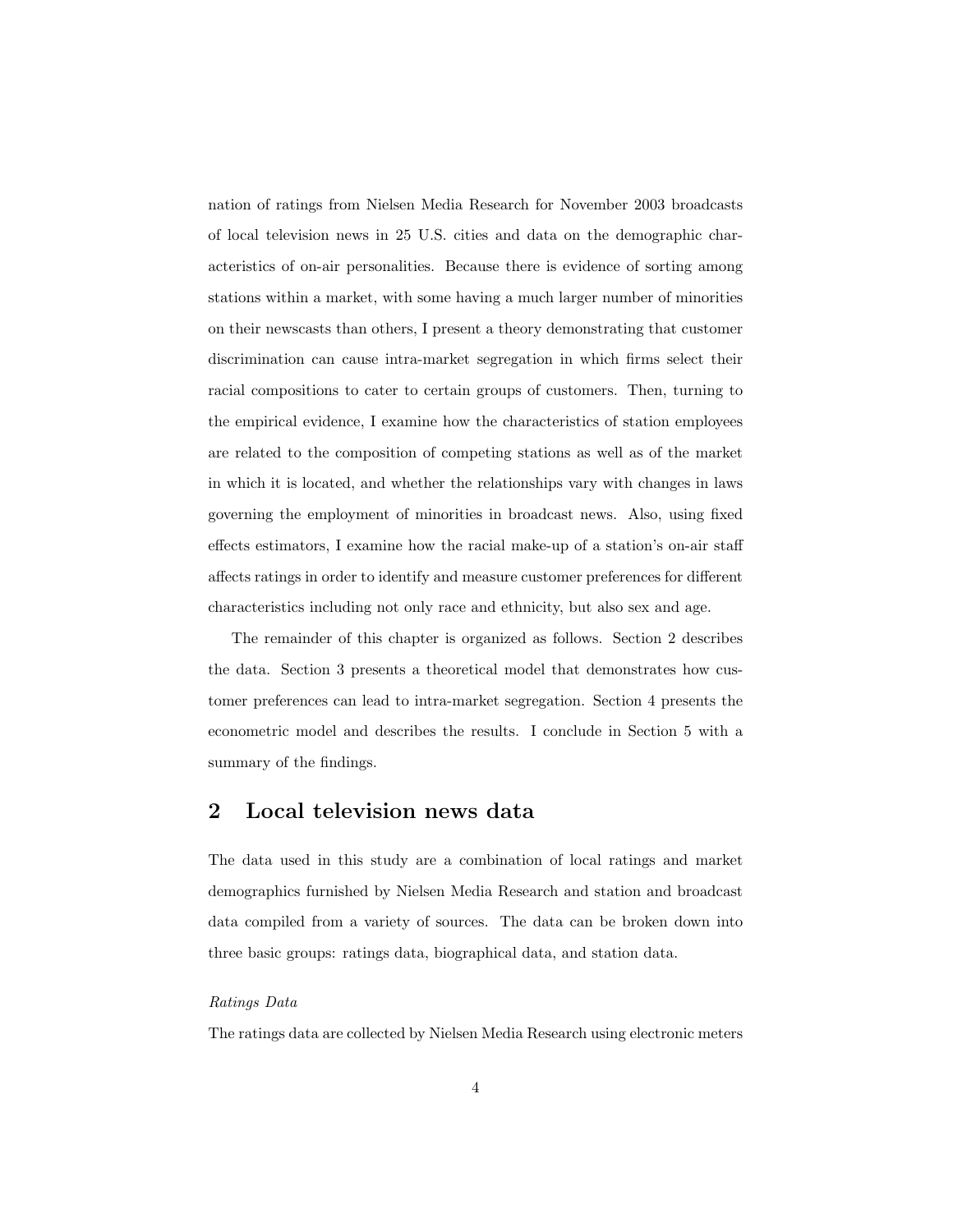nation of ratings from Nielsen Media Research for November 2003 broadcasts of local television news in 25 U.S. cities and data on the demographic characteristics of on-air personalities. Because there is evidence of sorting among stations within a market, with some having a much larger number of minorities on their newscasts than others, I present a theory demonstrating that customer discrimination can cause intra-market segregation in which firms select their racial compositions to cater to certain groups of customers. Then, turning to the empirical evidence, I examine how the characteristics of station employees are related to the composition of competing stations as well as of the market in which it is located, and whether the relationships vary with changes in laws governing the employment of minorities in broadcast news. Also, using fixed effects estimators, I examine how the racial make-up of a station's on-air staff affects ratings in order to identify and measure customer preferences for different characteristics including not only race and ethnicity, but also sex and age.

The remainder of this chapter is organized as follows. Section 2 describes the data. Section 3 presents a theoretical model that demonstrates how customer preferences can lead to intra-market segregation. Section 4 presents the econometric model and describes the results. I conclude in Section 5 with a summary of the findings.

### 2 Local television news data

The data used in this study are a combination of local ratings and market demographics furnished by Nielsen Media Research and station and broadcast data compiled from a variety of sources. The data can be broken down into three basic groups: ratings data, biographical data, and station data.

#### Ratings Data

The ratings data are collected by Nielsen Media Research using electronic meters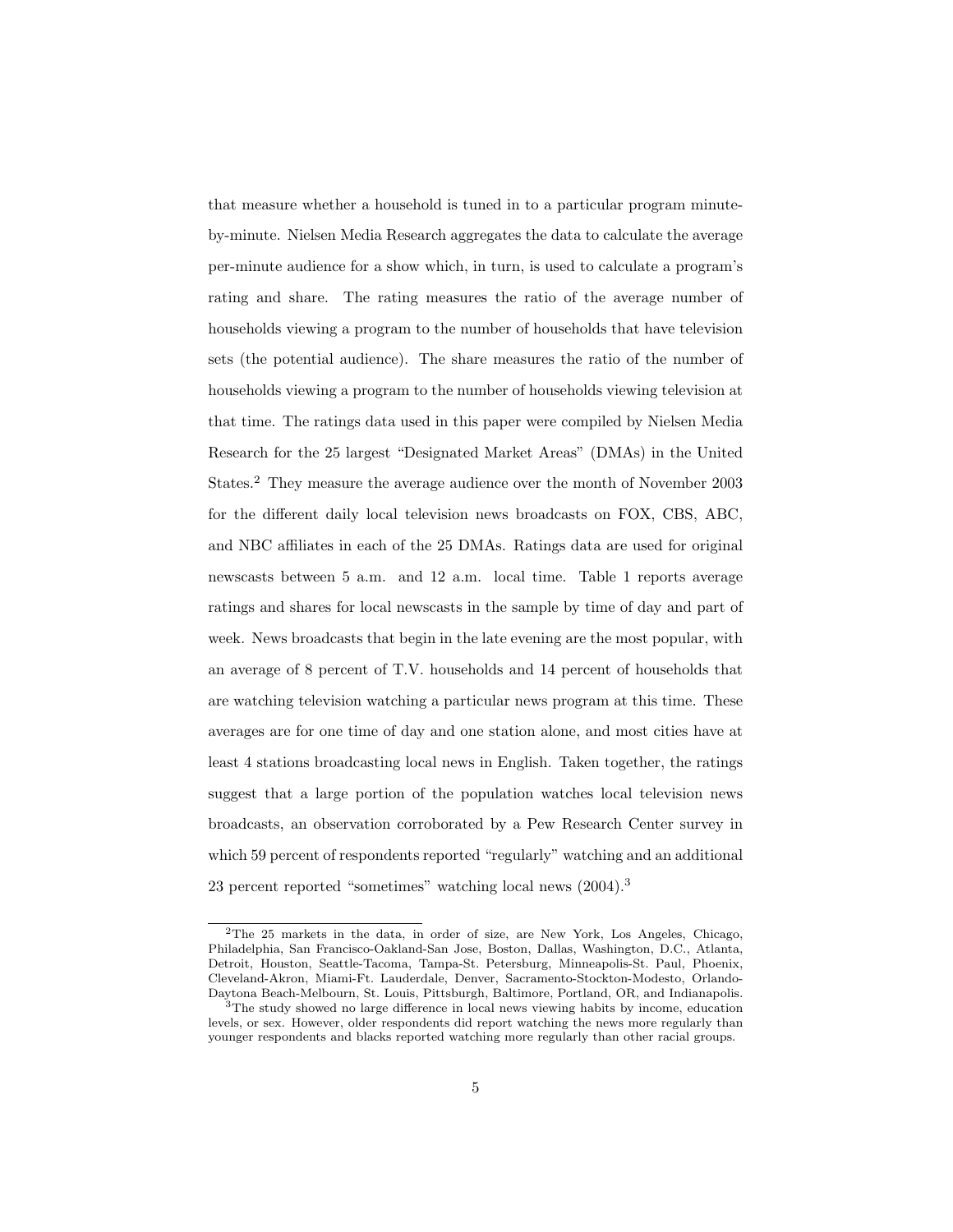that measure whether a household is tuned in to a particular program minuteby-minute. Nielsen Media Research aggregates the data to calculate the average per-minute audience for a show which, in turn, is used to calculate a program's rating and share. The rating measures the ratio of the average number of households viewing a program to the number of households that have television sets (the potential audience). The share measures the ratio of the number of households viewing a program to the number of households viewing television at that time. The ratings data used in this paper were compiled by Nielsen Media Research for the 25 largest "Designated Market Areas" (DMAs) in the United States.<sup>2</sup> They measure the average audience over the month of November 2003 for the different daily local television news broadcasts on FOX, CBS, ABC, and NBC affiliates in each of the 25 DMAs. Ratings data are used for original newscasts between 5 a.m. and 12 a.m. local time. Table 1 reports average ratings and shares for local newscasts in the sample by time of day and part of week. News broadcasts that begin in the late evening are the most popular, with an average of 8 percent of T.V. households and 14 percent of households that are watching television watching a particular news program at this time. These averages are for one time of day and one station alone, and most cities have at least 4 stations broadcasting local news in English. Taken together, the ratings suggest that a large portion of the population watches local television news broadcasts, an observation corroborated by a Pew Research Center survey in which 59 percent of respondents reported "regularly" watching and an additional 23 percent reported "sometimes" watching local news (2004).<sup>3</sup>

<sup>2</sup>The 25 markets in the data, in order of size, are New York, Los Angeles, Chicago, Philadelphia, San Francisco-Oakland-San Jose, Boston, Dallas, Washington, D.C., Atlanta, Detroit, Houston, Seattle-Tacoma, Tampa-St. Petersburg, Minneapolis-St. Paul, Phoenix, Cleveland-Akron, Miami-Ft. Lauderdale, Denver, Sacramento-Stockton-Modesto, Orlando-Daytona Beach-Melbourn, St. Louis, Pittsburgh, Baltimore, Portland, OR, and Indianapolis.

<sup>&</sup>lt;sup>3</sup>The study showed no large difference in local news viewing habits by income, education levels, or sex. However, older respondents did report watching the news more regularly than younger respondents and blacks reported watching more regularly than other racial groups.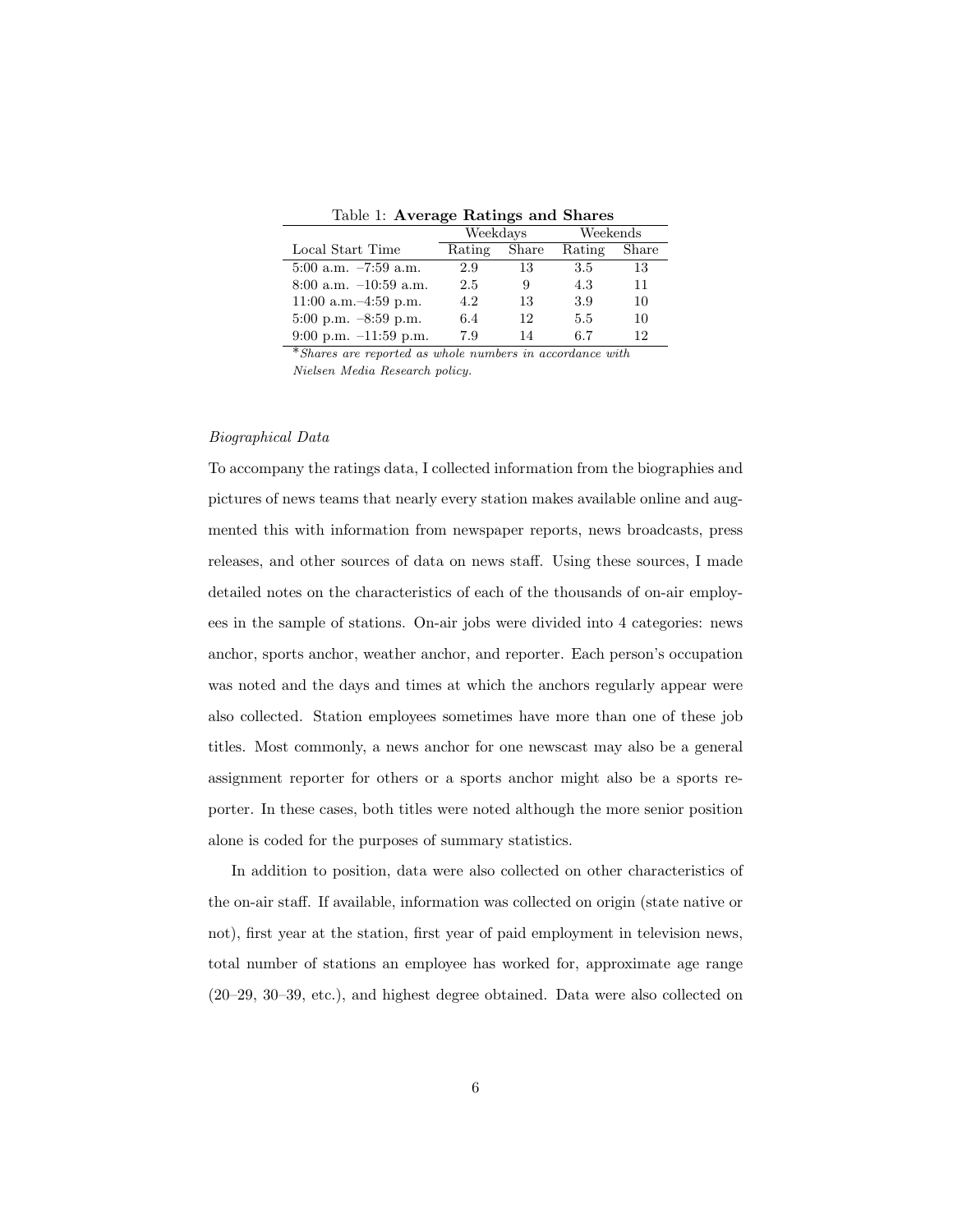Table 1: Average Ratings and Shares

|                           | Weekdays |       | Weekends |       |
|---------------------------|----------|-------|----------|-------|
| Local Start Time          | Rating   | Share | Rating   | Share |
| $5:00$ a.m. $-7:59$ a.m.  | 2.9      | 13    | 3.5      | 13    |
| $8:00$ a.m. $-10:59$ a.m. | 2.5      | 9     | 4.3      | 11    |
| 11:00 a.m. $-4:59$ p.m.   | 4.2      | 13    | 3.9      | 10    |
| $5:00$ p.m. $-8:59$ p.m.  | 6.4      | 12    | 5.5      | 10    |
| $9:00$ p.m. $-11:59$ p.m. | 7.9      | 14    | 6.7      | 12    |

\*Shares are reported as whole numbers in accordance with Nielsen Media Research policy.

#### Biographical Data

To accompany the ratings data, I collected information from the biographies and pictures of news teams that nearly every station makes available online and augmented this with information from newspaper reports, news broadcasts, press releases, and other sources of data on news staff. Using these sources, I made detailed notes on the characteristics of each of the thousands of on-air employees in the sample of stations. On-air jobs were divided into 4 categories: news anchor, sports anchor, weather anchor, and reporter. Each person's occupation was noted and the days and times at which the anchors regularly appear were also collected. Station employees sometimes have more than one of these job titles. Most commonly, a news anchor for one newscast may also be a general assignment reporter for others or a sports anchor might also be a sports reporter. In these cases, both titles were noted although the more senior position alone is coded for the purposes of summary statistics.

In addition to position, data were also collected on other characteristics of the on-air staff. If available, information was collected on origin (state native or not), first year at the station, first year of paid employment in television news, total number of stations an employee has worked for, approximate age range (20–29, 30–39, etc.), and highest degree obtained. Data were also collected on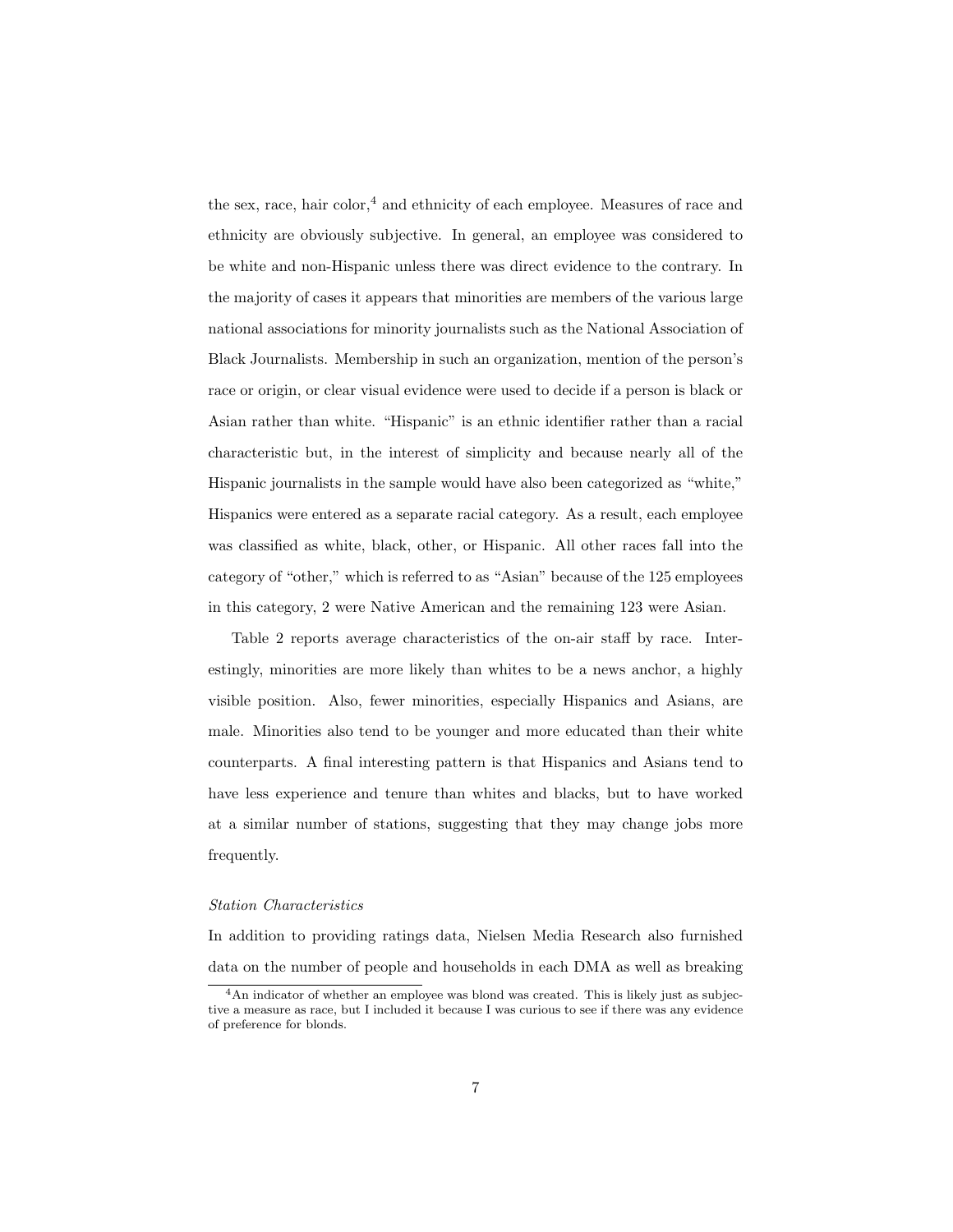the sex, race, hair color,<sup>4</sup> and ethnicity of each employee. Measures of race and ethnicity are obviously subjective. In general, an employee was considered to be white and non-Hispanic unless there was direct evidence to the contrary. In the majority of cases it appears that minorities are members of the various large national associations for minority journalists such as the National Association of Black Journalists. Membership in such an organization, mention of the person's race or origin, or clear visual evidence were used to decide if a person is black or Asian rather than white. "Hispanic" is an ethnic identifier rather than a racial characteristic but, in the interest of simplicity and because nearly all of the Hispanic journalists in the sample would have also been categorized as "white," Hispanics were entered as a separate racial category. As a result, each employee was classified as white, black, other, or Hispanic. All other races fall into the category of "other," which is referred to as "Asian" because of the 125 employees in this category, 2 were Native American and the remaining 123 were Asian.

Table 2 reports average characteristics of the on-air staff by race. Interestingly, minorities are more likely than whites to be a news anchor, a highly visible position. Also, fewer minorities, especially Hispanics and Asians, are male. Minorities also tend to be younger and more educated than their white counterparts. A final interesting pattern is that Hispanics and Asians tend to have less experience and tenure than whites and blacks, but to have worked at a similar number of stations, suggesting that they may change jobs more frequently.

#### Station Characteristics

In addition to providing ratings data, Nielsen Media Research also furnished data on the number of people and households in each DMA as well as breaking

<sup>&</sup>lt;sup>4</sup>An indicator of whether an employee was blond was created. This is likely just as subjective a measure as race, but I included it because I was curious to see if there was any evidence of preference for blonds.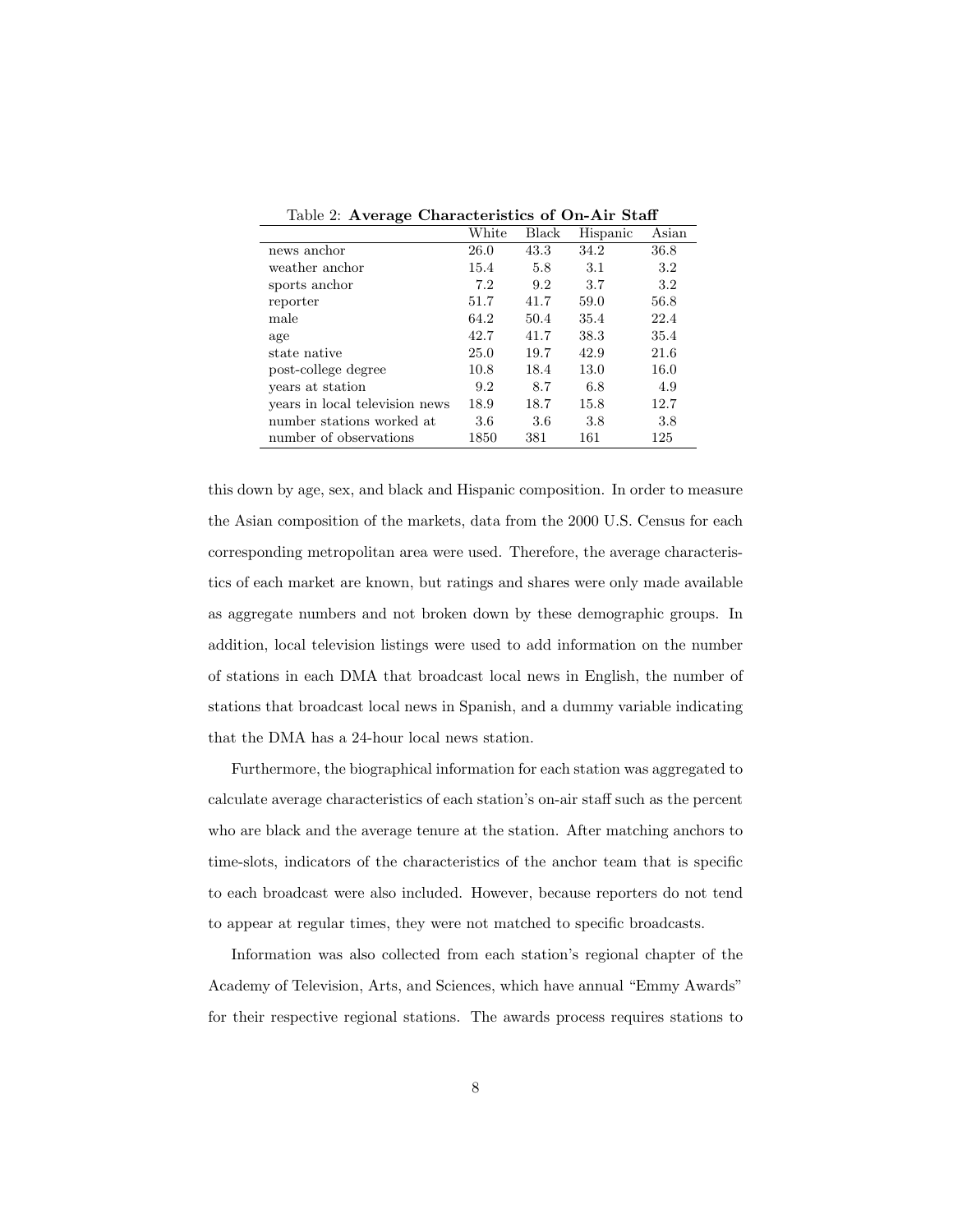|                                | White | Black | Hispanic | Asian   |
|--------------------------------|-------|-------|----------|---------|
| news anchor                    | 26.0  | 43.3  | 34.2     | 36.8    |
| weather anchor                 | 15.4  | 5.8   | 3.1      | $3.2\,$ |
| sports anchor                  | 7.2   | 9.2   | 3.7      | $3.2\,$ |
| reporter                       | 51.7  | 41.7  | 59.0     | 56.8    |
| male                           | 64.2  | 50.4  | 35.4     | 22.4    |
| age                            | 42.7  | 41.7  | 38.3     | 35.4    |
| state native                   | 25.0  | 19.7  | 42.9     | 21.6    |
| post-college degree            | 10.8  | 18.4  | 13.0     | 16.0    |
| vears at station               | 9.2   | 8.7   | 6.8      | 4.9     |
| years in local television news | 18.9  | 18.7  | 15.8     | 12.7    |
| number stations worked at      | 3.6   | 3.6   | 3.8      | 3.8     |
| number of observations         | 1850  | 381   | 161      | 125     |

Table 2: Average Characteristics of On-Air Staff

this down by age, sex, and black and Hispanic composition. In order to measure the Asian composition of the markets, data from the 2000 U.S. Census for each corresponding metropolitan area were used. Therefore, the average characteristics of each market are known, but ratings and shares were only made available as aggregate numbers and not broken down by these demographic groups. In addition, local television listings were used to add information on the number of stations in each DMA that broadcast local news in English, the number of stations that broadcast local news in Spanish, and a dummy variable indicating that the DMA has a 24-hour local news station.

Furthermore, the biographical information for each station was aggregated to calculate average characteristics of each station's on-air staff such as the percent who are black and the average tenure at the station. After matching anchors to time-slots, indicators of the characteristics of the anchor team that is specific to each broadcast were also included. However, because reporters do not tend to appear at regular times, they were not matched to specific broadcasts.

Information was also collected from each station's regional chapter of the Academy of Television, Arts, and Sciences, which have annual "Emmy Awards" for their respective regional stations. The awards process requires stations to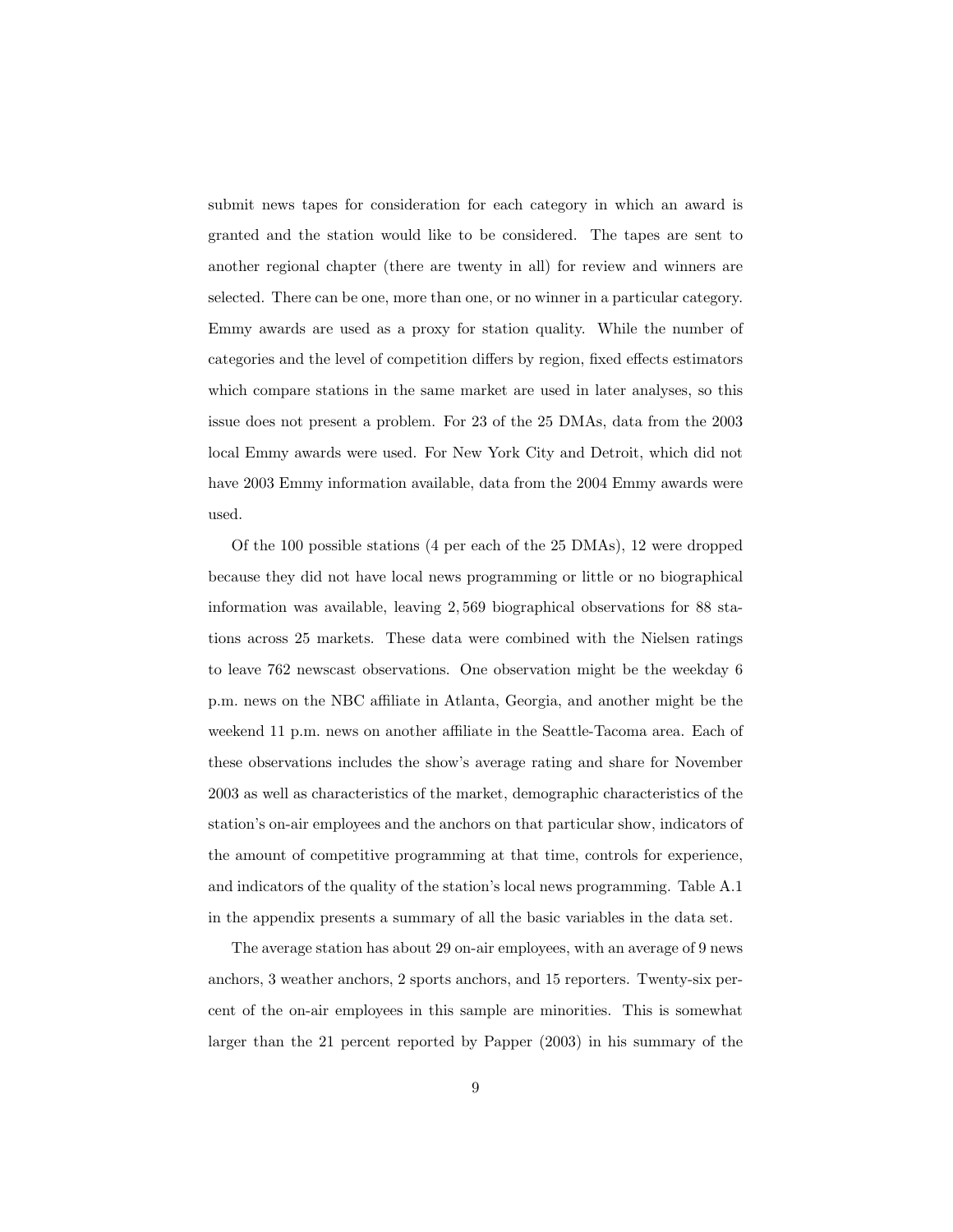submit news tapes for consideration for each category in which an award is granted and the station would like to be considered. The tapes are sent to another regional chapter (there are twenty in all) for review and winners are selected. There can be one, more than one, or no winner in a particular category. Emmy awards are used as a proxy for station quality. While the number of categories and the level of competition differs by region, fixed effects estimators which compare stations in the same market are used in later analyses, so this issue does not present a problem. For 23 of the 25 DMAs, data from the 2003 local Emmy awards were used. For New York City and Detroit, which did not have 2003 Emmy information available, data from the 2004 Emmy awards were used.

Of the 100 possible stations (4 per each of the 25 DMAs), 12 were dropped because they did not have local news programming or little or no biographical information was available, leaving 2, 569 biographical observations for 88 stations across 25 markets. These data were combined with the Nielsen ratings to leave 762 newscast observations. One observation might be the weekday 6 p.m. news on the NBC affiliate in Atlanta, Georgia, and another might be the weekend 11 p.m. news on another affiliate in the Seattle-Tacoma area. Each of these observations includes the show's average rating and share for November 2003 as well as characteristics of the market, demographic characteristics of the station's on-air employees and the anchors on that particular show, indicators of the amount of competitive programming at that time, controls for experience, and indicators of the quality of the station's local news programming. Table A.1 in the appendix presents a summary of all the basic variables in the data set.

The average station has about 29 on-air employees, with an average of 9 news anchors, 3 weather anchors, 2 sports anchors, and 15 reporters. Twenty-six percent of the on-air employees in this sample are minorities. This is somewhat larger than the 21 percent reported by Papper (2003) in his summary of the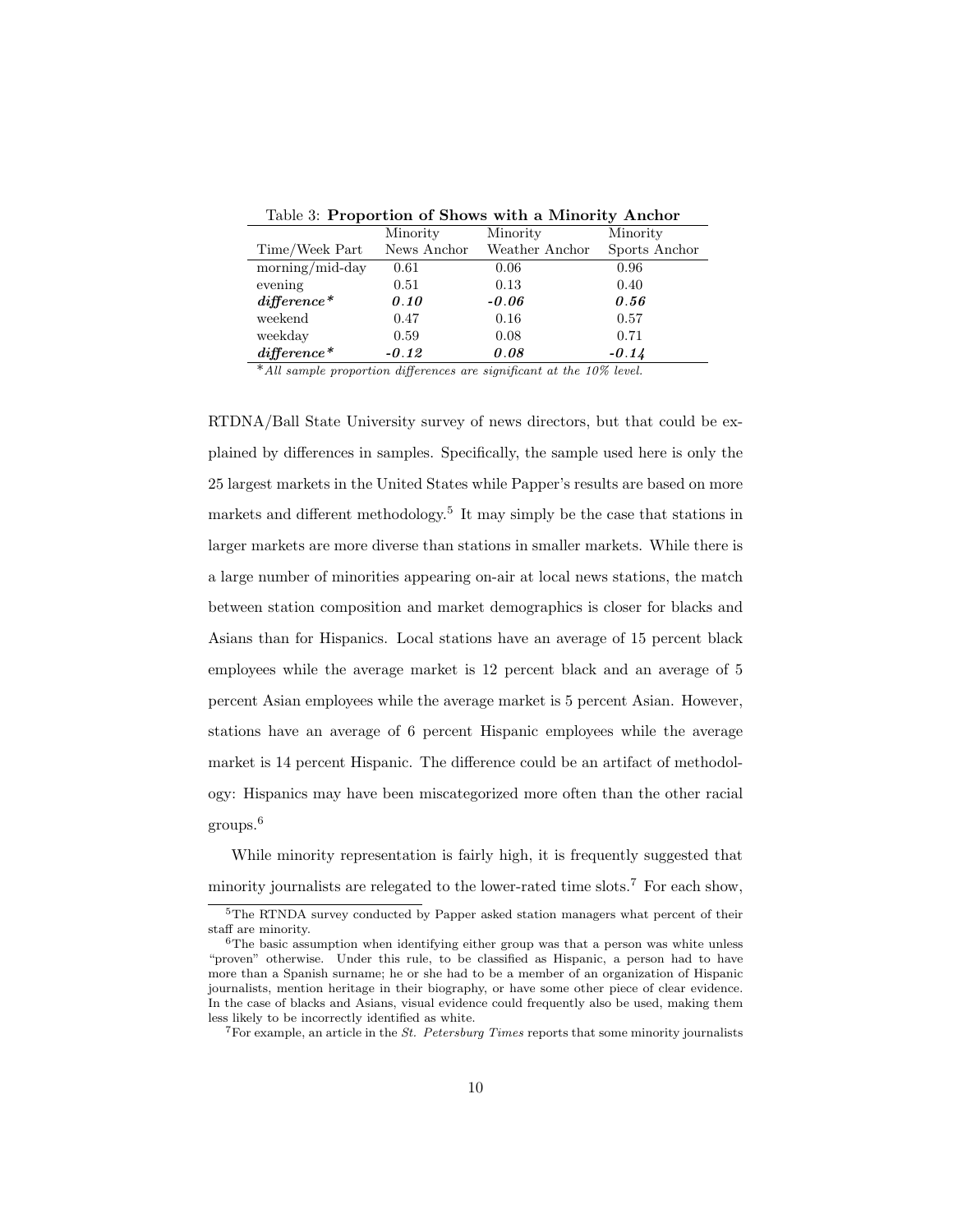|                 | Minority    | Minority       | Minority      |
|-----------------|-------------|----------------|---------------|
| Time/Week Part  | News Anchor | Weather Anchor | Sports Anchor |
| morning/mid-day | 0.61        | 0.06           | 0.96          |
| evening         | 0.51        | 0.13           | 0.40          |
| $difference*$   | 0.10        | $-0.06$        | 0.56          |
| weekend         | 0.47        | 0.16           | 0.57          |
| weekday         | 0.59        | 0.08           | 0.71          |
| $difference*$   | $-0.12$     | 0.08           | $-0.14$       |

Table 3: Proportion of Shows with a Minority Anchor

\*All sample proportion differences are significant at the 10% level.

RTDNA/Ball State University survey of news directors, but that could be explained by differences in samples. Specifically, the sample used here is only the 25 largest markets in the United States while Papper's results are based on more markets and different methodology.<sup>5</sup> It may simply be the case that stations in larger markets are more diverse than stations in smaller markets. While there is a large number of minorities appearing on-air at local news stations, the match between station composition and market demographics is closer for blacks and Asians than for Hispanics. Local stations have an average of 15 percent black employees while the average market is 12 percent black and an average of 5 percent Asian employees while the average market is 5 percent Asian. However, stations have an average of 6 percent Hispanic employees while the average market is 14 percent Hispanic. The difference could be an artifact of methodology: Hispanics may have been miscategorized more often than the other racial groups.<sup>6</sup>

While minority representation is fairly high, it is frequently suggested that minority journalists are relegated to the lower-rated time slots.<sup>7</sup> For each show,

<sup>5</sup>The RTNDA survey conducted by Papper asked station managers what percent of their staff are minority.

 $6$ The basic assumption when identifying either group was that a person was white unless "proven" otherwise. Under this rule, to be classified as Hispanic, a person had to have more than a Spanish surname; he or she had to be a member of an organization of Hispanic journalists, mention heritage in their biography, or have some other piece of clear evidence. In the case of blacks and Asians, visual evidence could frequently also be used, making them less likely to be incorrectly identified as white.

 $7$ For example, an article in the *St. Petersburg Times* reports that some minority journalists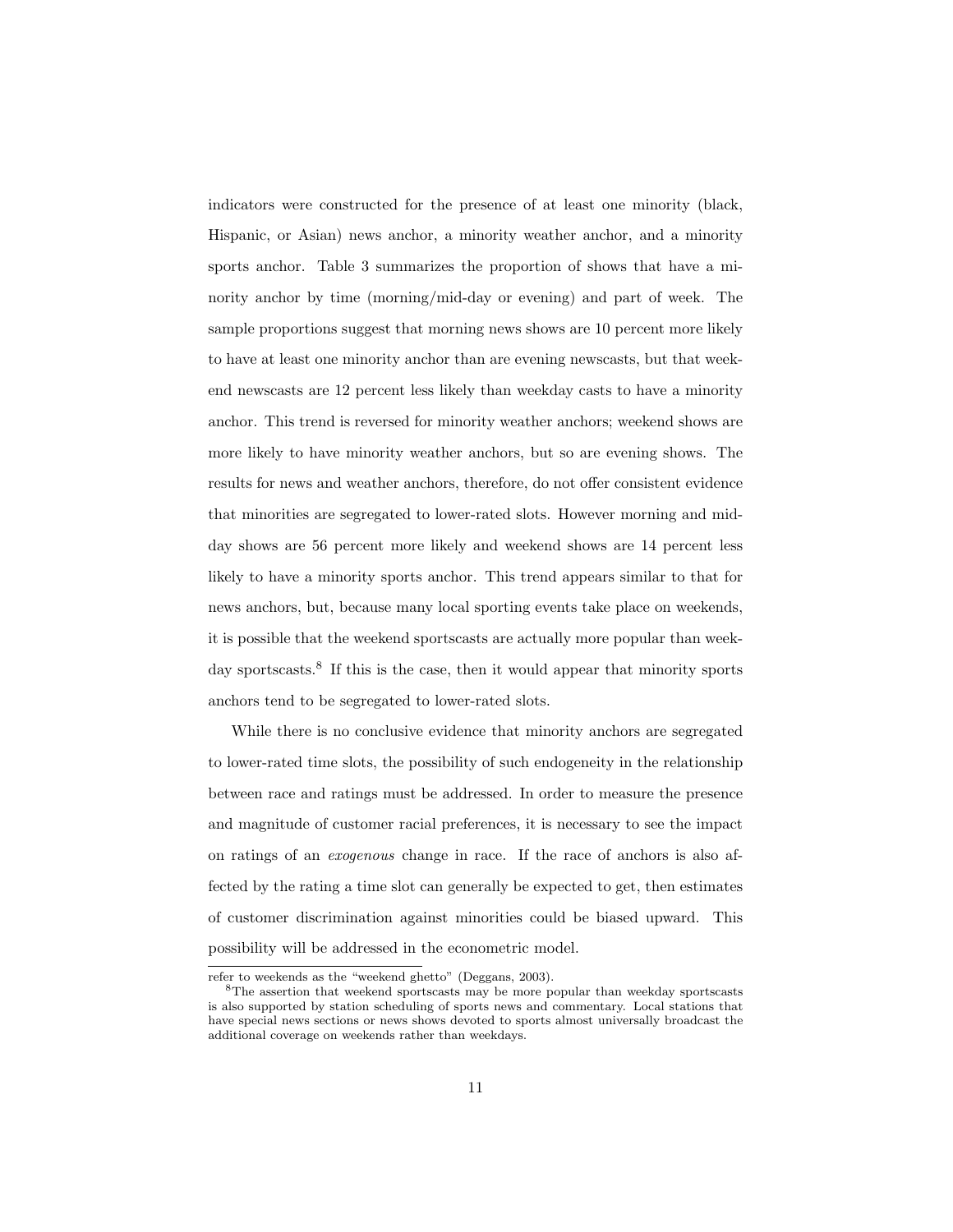indicators were constructed for the presence of at least one minority (black, Hispanic, or Asian) news anchor, a minority weather anchor, and a minority sports anchor. Table 3 summarizes the proportion of shows that have a minority anchor by time (morning/mid-day or evening) and part of week. The sample proportions suggest that morning news shows are 10 percent more likely to have at least one minority anchor than are evening newscasts, but that weekend newscasts are 12 percent less likely than weekday casts to have a minority anchor. This trend is reversed for minority weather anchors; weekend shows are more likely to have minority weather anchors, but so are evening shows. The results for news and weather anchors, therefore, do not offer consistent evidence that minorities are segregated to lower-rated slots. However morning and midday shows are 56 percent more likely and weekend shows are 14 percent less likely to have a minority sports anchor. This trend appears similar to that for news anchors, but, because many local sporting events take place on weekends, it is possible that the weekend sportscasts are actually more popular than weekday sportscasts.<sup>8</sup> If this is the case, then it would appear that minority sports anchors tend to be segregated to lower-rated slots.

While there is no conclusive evidence that minority anchors are segregated to lower-rated time slots, the possibility of such endogeneity in the relationship between race and ratings must be addressed. In order to measure the presence and magnitude of customer racial preferences, it is necessary to see the impact on ratings of an exogenous change in race. If the race of anchors is also affected by the rating a time slot can generally be expected to get, then estimates of customer discrimination against minorities could be biased upward. This possibility will be addressed in the econometric model.

refer to weekends as the "weekend ghetto" (Deggans, 2003).

<sup>8</sup>The assertion that weekend sportscasts may be more popular than weekday sportscasts is also supported by station scheduling of sports news and commentary. Local stations that have special news sections or news shows devoted to sports almost universally broadcast the additional coverage on weekends rather than weekdays.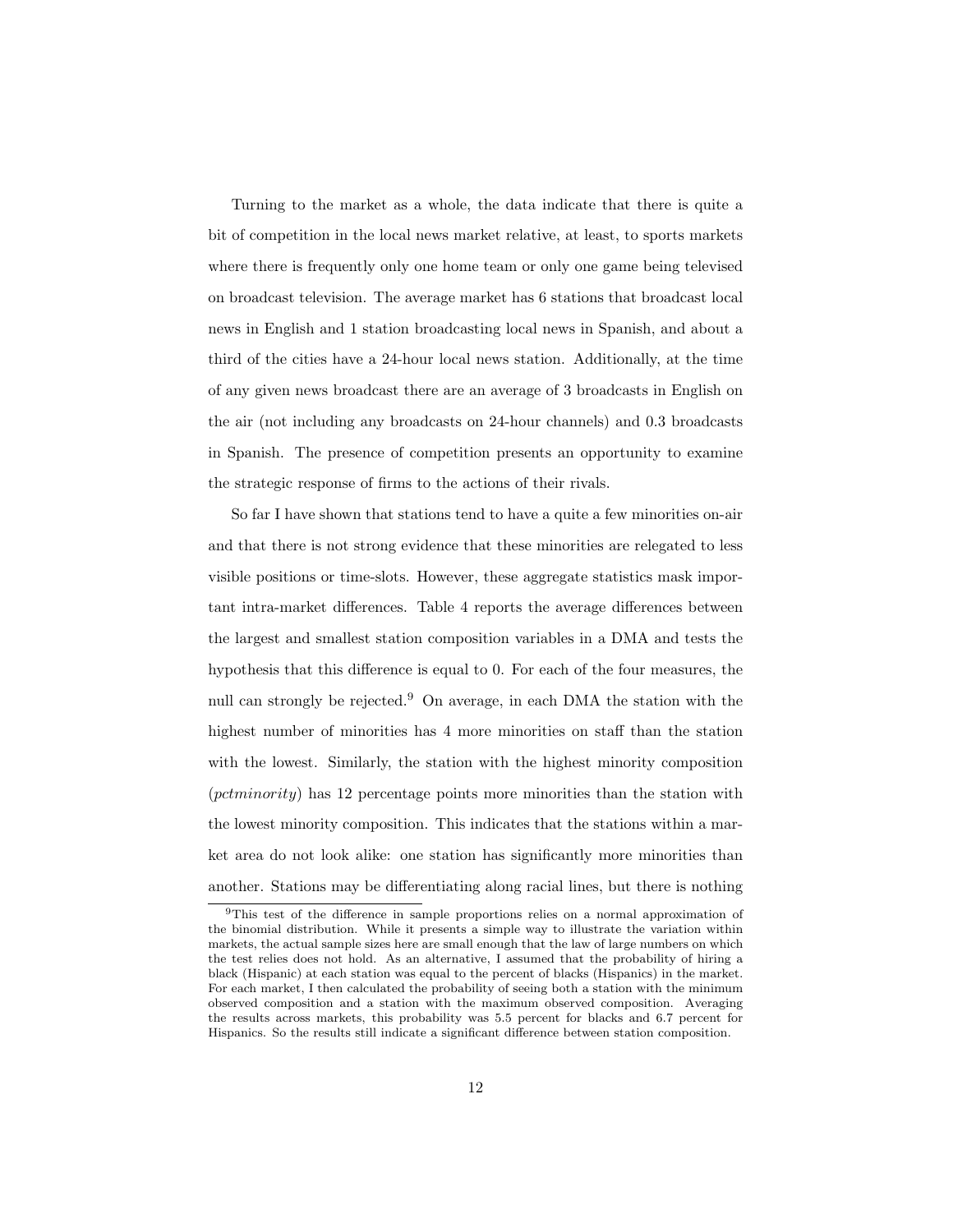Turning to the market as a whole, the data indicate that there is quite a bit of competition in the local news market relative, at least, to sports markets where there is frequently only one home team or only one game being televised on broadcast television. The average market has 6 stations that broadcast local news in English and 1 station broadcasting local news in Spanish, and about a third of the cities have a 24-hour local news station. Additionally, at the time of any given news broadcast there are an average of 3 broadcasts in English on the air (not including any broadcasts on 24-hour channels) and 0.3 broadcasts in Spanish. The presence of competition presents an opportunity to examine the strategic response of firms to the actions of their rivals.

So far I have shown that stations tend to have a quite a few minorities on-air and that there is not strong evidence that these minorities are relegated to less visible positions or time-slots. However, these aggregate statistics mask important intra-market differences. Table 4 reports the average differences between the largest and smallest station composition variables in a DMA and tests the hypothesis that this difference is equal to 0. For each of the four measures, the null can strongly be rejected.<sup>9</sup> On average, in each DMA the station with the highest number of minorities has 4 more minorities on staff than the station with the lowest. Similarly, the station with the highest minority composition (pctminority) has 12 percentage points more minorities than the station with the lowest minority composition. This indicates that the stations within a market area do not look alike: one station has significantly more minorities than another. Stations may be differentiating along racial lines, but there is nothing

<sup>9</sup>This test of the difference in sample proportions relies on a normal approximation of the binomial distribution. While it presents a simple way to illustrate the variation within markets, the actual sample sizes here are small enough that the law of large numbers on which the test relies does not hold. As an alternative, I assumed that the probability of hiring a black (Hispanic) at each station was equal to the percent of blacks (Hispanics) in the market. For each market, I then calculated the probability of seeing both a station with the minimum observed composition and a station with the maximum observed composition. Averaging the results across markets, this probability was 5.5 percent for blacks and 6.7 percent for Hispanics. So the results still indicate a significant difference between station composition.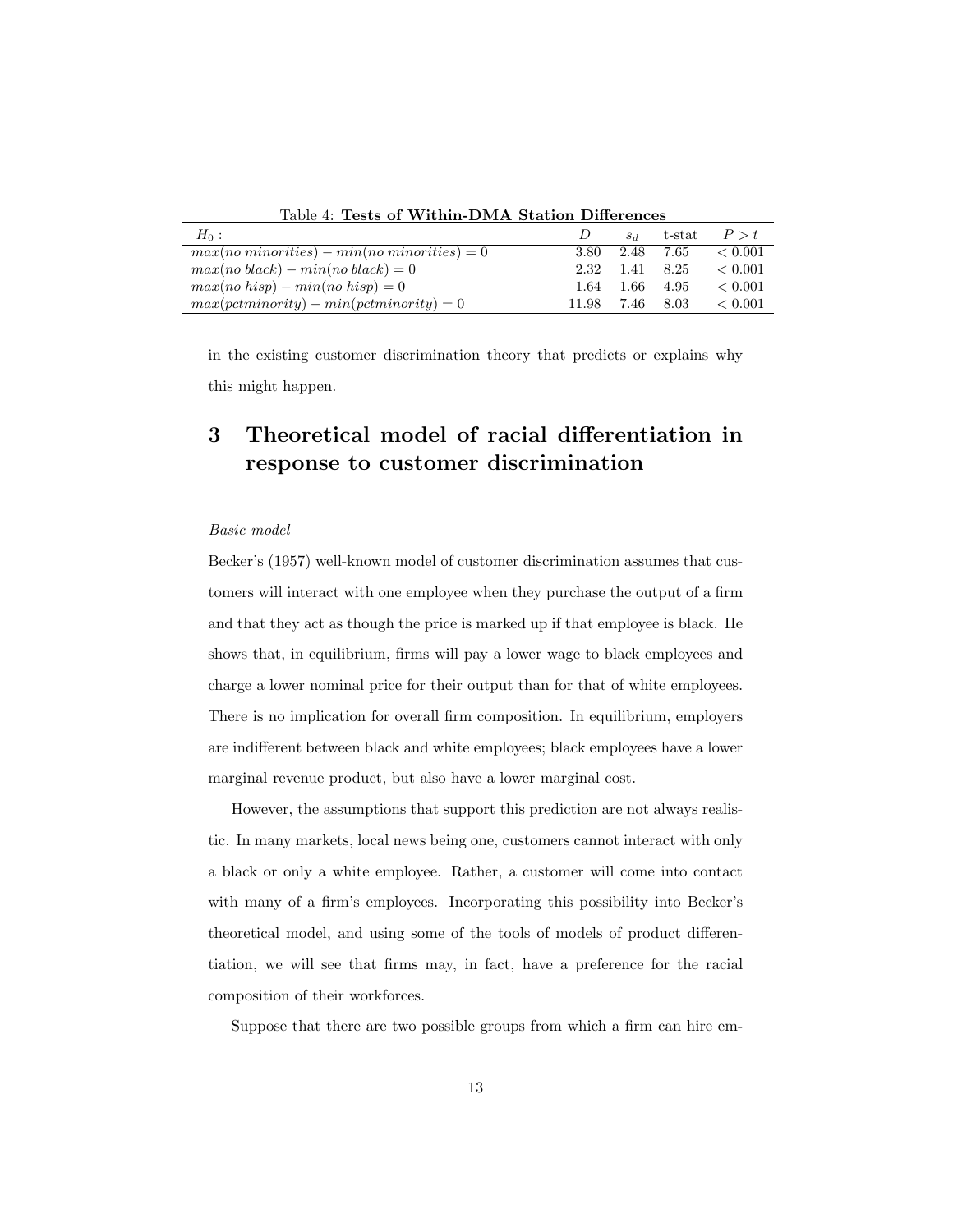| Table 4: Tests of Within-DMA Station Differences |      |                 |      |                |
|--------------------------------------------------|------|-----------------|------|----------------|
| $H_0$ :                                          |      | SA              |      | t-stat $P > t$ |
| $max(no\,minorities) - min(no\,minorities) = 0$  |      | 3.80 2.48 7.65  |      | < 0.001        |
| $max(no \ black) - min(no \ black) = 0$          |      | 2.32 1.41 8.25  |      | < 0.001        |
| $max(no\; hisp) - min(no\; hisp) = 0$            | 1.64 | 1.66            | 4.95 | < 0.001        |
| $max(pctminority) - min(pctminority) = 0$        |      | 11.98 7.46 8.03 |      | < 0.001        |

Table 4: Tests of Within-DMA Station Differences

in the existing customer discrimination theory that predicts or explains why this might happen.

## 3 Theoretical model of racial differentiation in response to customer discrimination

#### Basic model

Becker's (1957) well-known model of customer discrimination assumes that customers will interact with one employee when they purchase the output of a firm and that they act as though the price is marked up if that employee is black. He shows that, in equilibrium, firms will pay a lower wage to black employees and charge a lower nominal price for their output than for that of white employees. There is no implication for overall firm composition. In equilibrium, employers are indifferent between black and white employees; black employees have a lower marginal revenue product, but also have a lower marginal cost.

However, the assumptions that support this prediction are not always realistic. In many markets, local news being one, customers cannot interact with only a black or only a white employee. Rather, a customer will come into contact with many of a firm's employees. Incorporating this possibility into Becker's theoretical model, and using some of the tools of models of product differentiation, we will see that firms may, in fact, have a preference for the racial composition of their workforces.

Suppose that there are two possible groups from which a firm can hire em-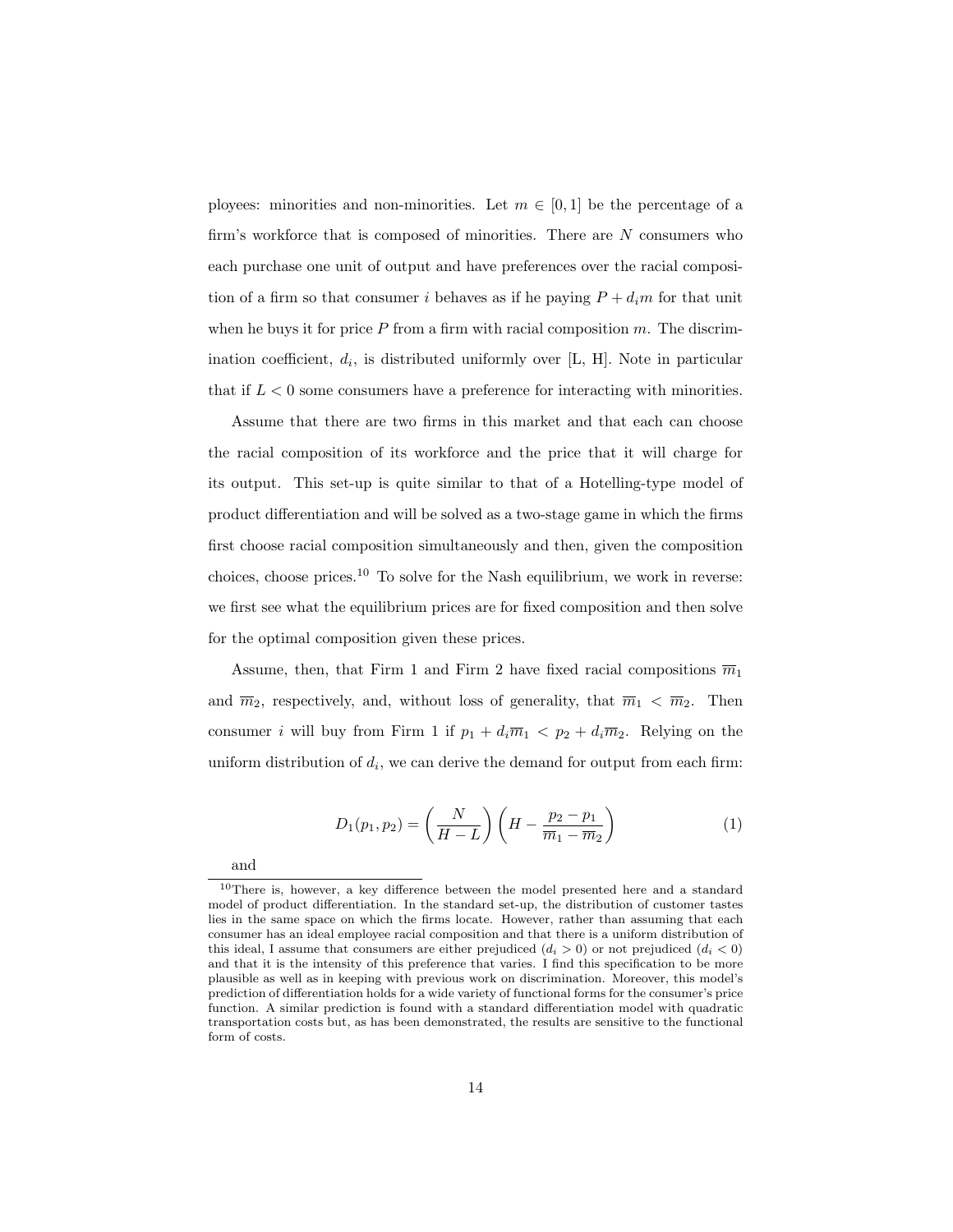ployees: minorities and non-minorities. Let  $m \in [0, 1]$  be the percentage of a firm's workforce that is composed of minorities. There are  $N$  consumers who each purchase one unit of output and have preferences over the racial composition of a firm so that consumer i behaves as if he paying  $P + d_i m$  for that unit when he buys it for price  $P$  from a firm with racial composition  $m$ . The discrimination coefficient,  $d_i$ , is distributed uniformly over [L, H]. Note in particular that if  $L < 0$  some consumers have a preference for interacting with minorities.

Assume that there are two firms in this market and that each can choose the racial composition of its workforce and the price that it will charge for its output. This set-up is quite similar to that of a Hotelling-type model of product differentiation and will be solved as a two-stage game in which the firms first choose racial composition simultaneously and then, given the composition choices, choose prices.<sup>10</sup> To solve for the Nash equilibrium, we work in reverse: we first see what the equilibrium prices are for fixed composition and then solve for the optimal composition given these prices.

Assume, then, that Firm 1 and Firm 2 have fixed racial compositions  $\overline{m}_1$ and  $\overline{m}_2$ , respectively, and, without loss of generality, that  $\overline{m}_1 < \overline{m}_2$ . Then consumer *i* will buy from Firm 1 if  $p_1 + d_i \overline{m}_1 < p_2 + d_i \overline{m}_2$ . Relying on the uniform distribution of  $d_i$ , we can derive the demand for output from each firm:

$$
D_1(p_1, p_2) = \left(\frac{N}{H - L}\right) \left(H - \frac{p_2 - p_1}{\overline{m}_1 - \overline{m}_2}\right)
$$
 (1)

and

<sup>10</sup>There is, however, a key difference between the model presented here and a standard model of product differentiation. In the standard set-up, the distribution of customer tastes lies in the same space on which the firms locate. However, rather than assuming that each consumer has an ideal employee racial composition and that there is a uniform distribution of this ideal, I assume that consumers are either prejudiced  $(d_i > 0)$  or not prejudiced  $(d_i < 0)$ and that it is the intensity of this preference that varies. I find this specification to be more plausible as well as in keeping with previous work on discrimination. Moreover, this model's prediction of differentiation holds for a wide variety of functional forms for the consumer's price function. A similar prediction is found with a standard differentiation model with quadratic transportation costs but, as has been demonstrated, the results are sensitive to the functional form of costs.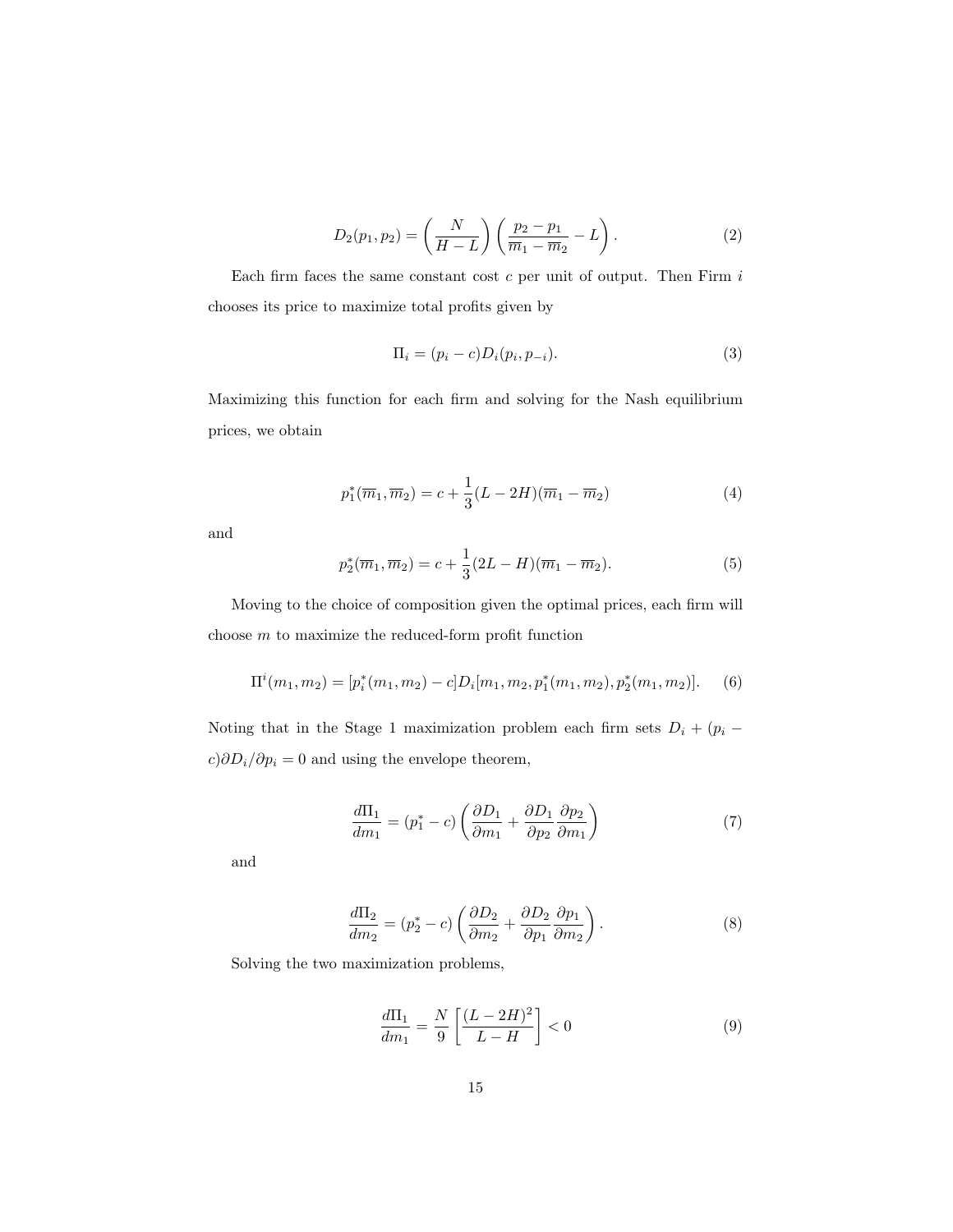$$
D_2(p_1, p_2) = \left(\frac{N}{H - L}\right) \left(\frac{p_2 - p_1}{\overline{m}_1 - \overline{m}_2} - L\right).
$$
 (2)

Each firm faces the same constant cost  $c$  per unit of output. Then Firm  $i$ chooses its price to maximize total profits given by

$$
\Pi_i = (p_i - c)D_i(p_i, p_{-i}).\tag{3}
$$

Maximizing this function for each firm and solving for the Nash equilibrium prices, we obtain

$$
p_1^*(\overline{m}_1, \overline{m}_2) = c + \frac{1}{3}(L - 2H)(\overline{m}_1 - \overline{m}_2)
$$
 (4)

and

$$
p_2^*(\overline{m}_1, \overline{m}_2) = c + \frac{1}{3}(2L - H)(\overline{m}_1 - \overline{m}_2).
$$
 (5)

Moving to the choice of composition given the optimal prices, each firm will choose  $m$  to maximize the reduced-form profit function

$$
\Pi^{i}(m_1, m_2) = [p_i^{*}(m_1, m_2) - c]D_i[m_1, m_2, p_1^{*}(m_1, m_2), p_2^{*}(m_1, m_2)].
$$
 (6)

Noting that in the Stage 1 maximization problem each firm sets  $D_i + (p_i$  $c)\partial D_i/\partial p_i=0$  and using the envelope theorem,

$$
\frac{d\Pi_1}{dm_1} = (p_1^* - c) \left( \frac{\partial D_1}{\partial m_1} + \frac{\partial D_1}{\partial p_2} \frac{\partial p_2}{\partial m_1} \right)
$$
(7)

and

$$
\frac{d\Pi_2}{dm_2} = (p_2^* - c) \left( \frac{\partial D_2}{\partial m_2} + \frac{\partial D_2}{\partial p_1} \frac{\partial p_1}{\partial m_2} \right). \tag{8}
$$

Solving the two maximization problems,

$$
\frac{d\Pi_1}{dm_1} = \frac{N}{9} \left[ \frac{(L-2H)^2}{L-H} \right] < 0 \tag{9}
$$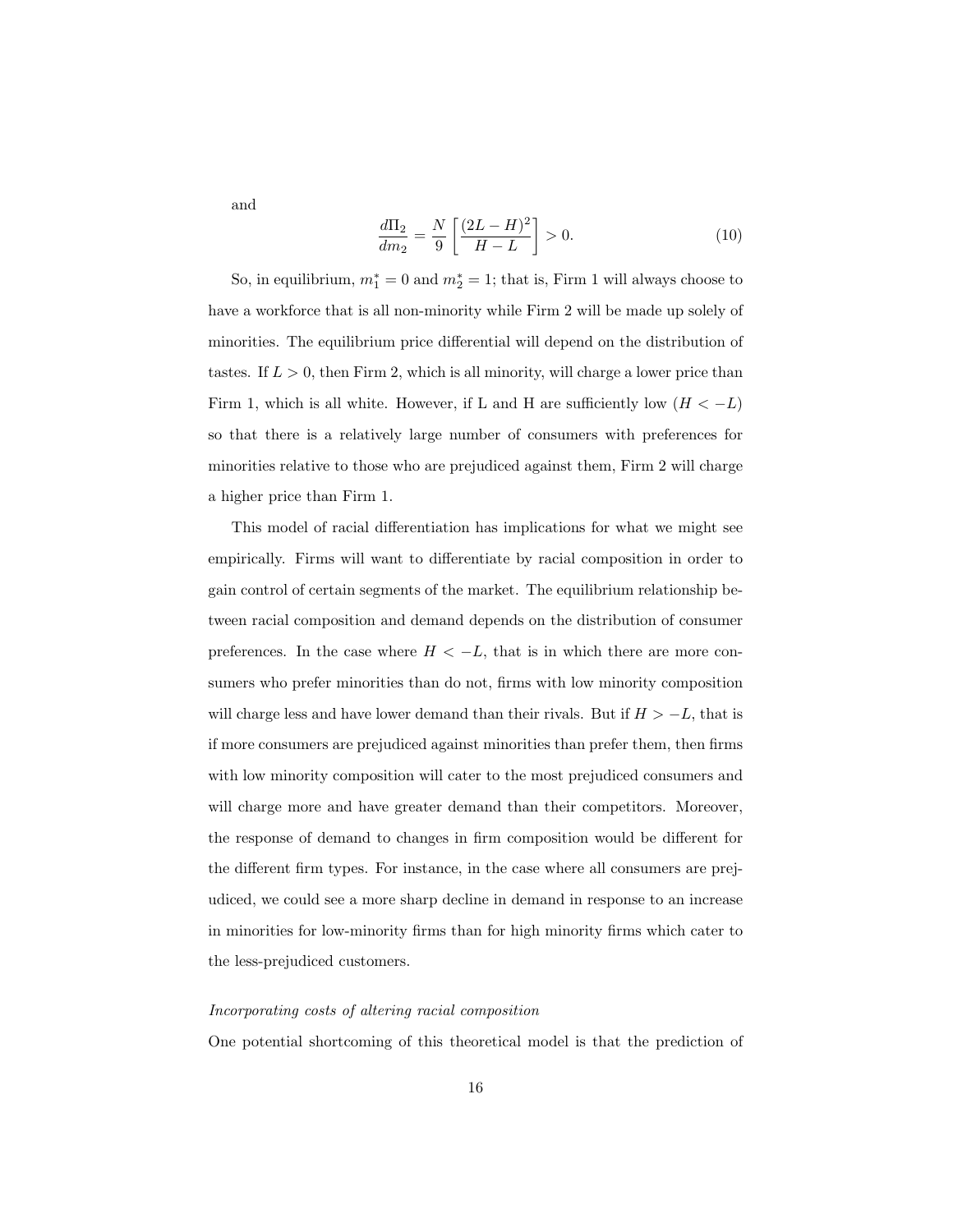and

$$
\frac{d\Pi_2}{dm_2} = \frac{N}{9} \left[ \frac{(2L - H)^2}{H - L} \right] > 0.
$$
\n(10)

So, in equilibrium,  $m_1^* = 0$  and  $m_2^* = 1$ ; that is, Firm 1 will always choose to have a workforce that is all non-minority while Firm 2 will be made up solely of minorities. The equilibrium price differential will depend on the distribution of tastes. If  $L > 0$ , then Firm 2, which is all minority, will charge a lower price than Firm 1, which is all white. However, if L and H are sufficiently low  $(H < -L)$ so that there is a relatively large number of consumers with preferences for minorities relative to those who are prejudiced against them, Firm 2 will charge a higher price than Firm 1.

This model of racial differentiation has implications for what we might see empirically. Firms will want to differentiate by racial composition in order to gain control of certain segments of the market. The equilibrium relationship between racial composition and demand depends on the distribution of consumer preferences. In the case where  $H < -L$ , that is in which there are more consumers who prefer minorities than do not, firms with low minority composition will charge less and have lower demand than their rivals. But if  $H > -L$ , that is if more consumers are prejudiced against minorities than prefer them, then firms with low minority composition will cater to the most prejudiced consumers and will charge more and have greater demand than their competitors. Moreover, the response of demand to changes in firm composition would be different for the different firm types. For instance, in the case where all consumers are prejudiced, we could see a more sharp decline in demand in response to an increase in minorities for low-minority firms than for high minority firms which cater to the less-prejudiced customers.

#### Incorporating costs of altering racial composition

One potential shortcoming of this theoretical model is that the prediction of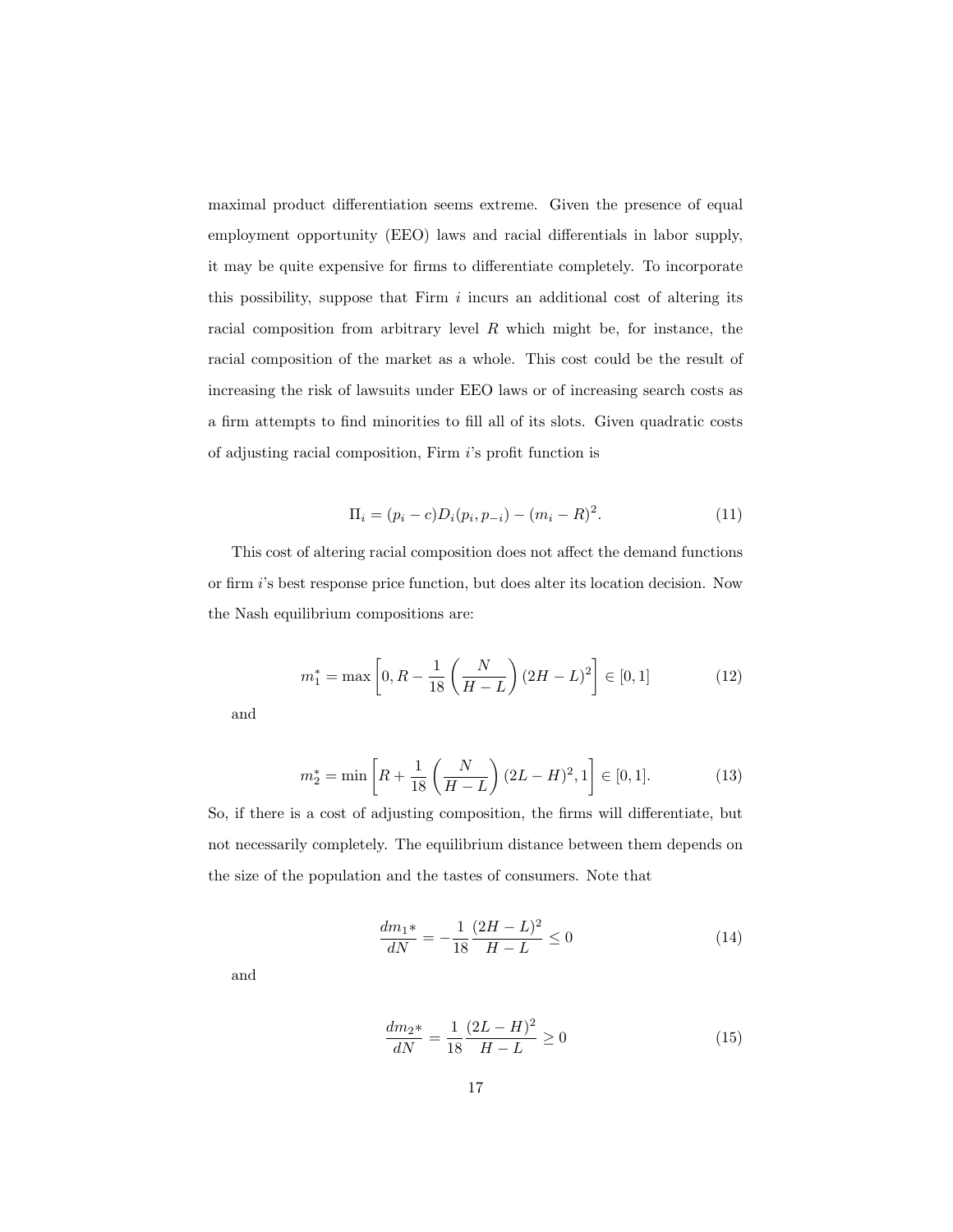maximal product differentiation seems extreme. Given the presence of equal employment opportunity (EEO) laws and racial differentials in labor supply, it may be quite expensive for firms to differentiate completely. To incorporate this possibility, suppose that Firm  $i$  incurs an additional cost of altering its racial composition from arbitrary level  $R$  which might be, for instance, the racial composition of the market as a whole. This cost could be the result of increasing the risk of lawsuits under EEO laws or of increasing search costs as a firm attempts to find minorities to fill all of its slots. Given quadratic costs of adjusting racial composition, Firm i's profit function is

$$
\Pi_i = (p_i - c)D_i(p_i, p_{-i}) - (m_i - R)^2.
$$
\n(11)

This cost of altering racial composition does not affect the demand functions or firm i's best response price function, but does alter its location decision. Now the Nash equilibrium compositions are:

$$
m_1^* = \max\left[0, R - \frac{1}{18} \left(\frac{N}{H - L}\right) (2H - L)^2\right] \in [0, 1]
$$
 (12)

and

$$
m_2^* = \min\left[R + \frac{1}{18}\left(\frac{N}{H - L}\right)(2L - H)^2, 1\right] \in [0, 1].\tag{13}
$$

So, if there is a cost of adjusting composition, the firms will differentiate, but not necessarily completely. The equilibrium distance between them depends on the size of the population and the tastes of consumers. Note that

$$
\frac{dm_1*}{dN} = -\frac{1}{18} \frac{(2H - L)^2}{H - L} \le 0\tag{14}
$$

and

$$
\frac{dm_2*}{dN} = \frac{1}{18} \frac{(2L - H)^2}{H - L} \ge 0
$$
\n(15)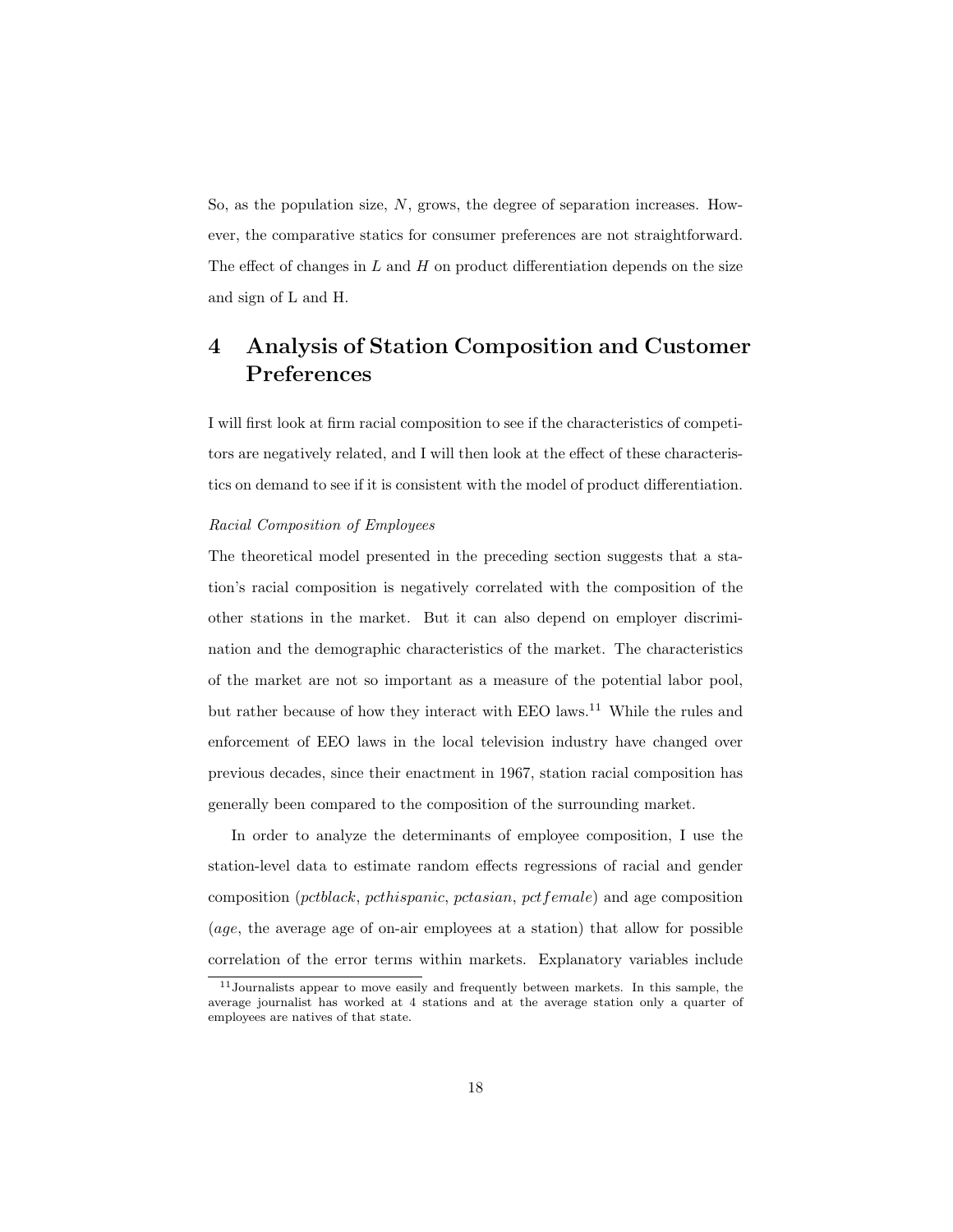So, as the population size, N, grows, the degree of separation increases. However, the comparative statics for consumer preferences are not straightforward. The effect of changes in  $L$  and  $H$  on product differentiation depends on the size and sign of L and H.

## 4 Analysis of Station Composition and Customer Preferences

I will first look at firm racial composition to see if the characteristics of competitors are negatively related, and I will then look at the effect of these characteristics on demand to see if it is consistent with the model of product differentiation.

#### Racial Composition of Employees

The theoretical model presented in the preceding section suggests that a station's racial composition is negatively correlated with the composition of the other stations in the market. But it can also depend on employer discrimination and the demographic characteristics of the market. The characteristics of the market are not so important as a measure of the potential labor pool, but rather because of how they interact with EEO laws.<sup>11</sup> While the rules and enforcement of EEO laws in the local television industry have changed over previous decades, since their enactment in 1967, station racial composition has generally been compared to the composition of the surrounding market.

In order to analyze the determinants of employee composition, I use the station-level data to estimate random effects regressions of racial and gender composition (pctblack, pcthispanic, pctasian, pctfemale) and age composition (age, the average age of on-air employees at a station) that allow for possible correlation of the error terms within markets. Explanatory variables include

<sup>11</sup>Journalists appear to move easily and frequently between markets. In this sample, the average journalist has worked at 4 stations and at the average station only a quarter of employees are natives of that state.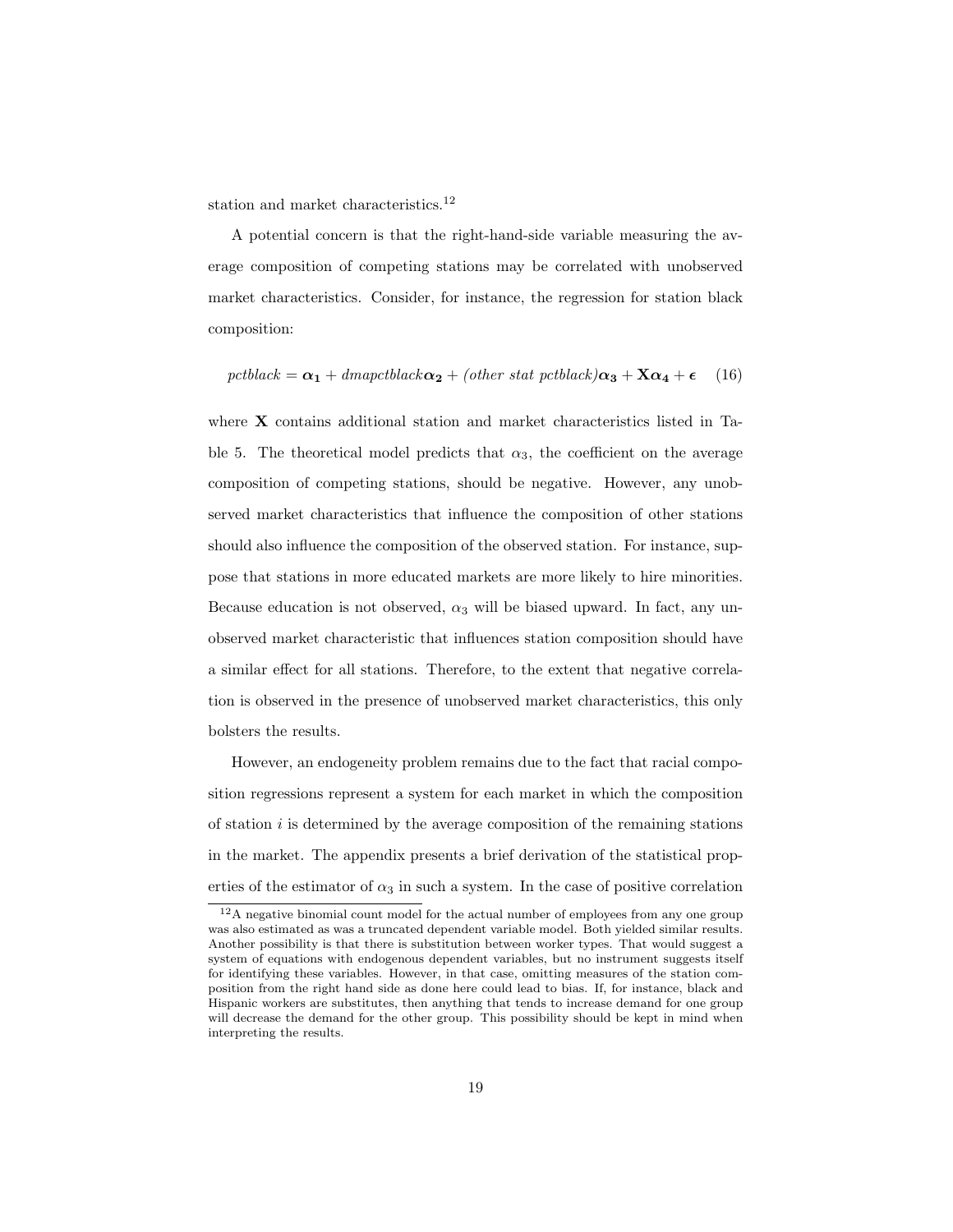station and market characteristics.<sup>12</sup>

A potential concern is that the right-hand-side variable measuring the average composition of competing stations may be correlated with unobserved market characteristics. Consider, for instance, the regression for station black composition:

$$
petblack = \alpha_1 + dmapctblack \alpha_2 + (other\ stat\ petblack) \alpha_3 + X\alpha_4 + \epsilon \quad (16)
$$

where **X** contains additional station and market characteristics listed in Table 5. The theoretical model predicts that  $\alpha_3$ , the coefficient on the average composition of competing stations, should be negative. However, any unobserved market characteristics that influence the composition of other stations should also influence the composition of the observed station. For instance, suppose that stations in more educated markets are more likely to hire minorities. Because education is not observed,  $\alpha_3$  will be biased upward. In fact, any unobserved market characteristic that influences station composition should have a similar effect for all stations. Therefore, to the extent that negative correlation is observed in the presence of unobserved market characteristics, this only bolsters the results.

However, an endogeneity problem remains due to the fact that racial composition regressions represent a system for each market in which the composition of station  $i$  is determined by the average composition of the remaining stations in the market. The appendix presents a brief derivation of the statistical properties of the estimator of  $\alpha_3$  in such a system. In the case of positive correlation

<sup>12</sup>A negative binomial count model for the actual number of employees from any one group was also estimated as was a truncated dependent variable model. Both yielded similar results. Another possibility is that there is substitution between worker types. That would suggest a system of equations with endogenous dependent variables, but no instrument suggests itself for identifying these variables. However, in that case, omitting measures of the station composition from the right hand side as done here could lead to bias. If, for instance, black and Hispanic workers are substitutes, then anything that tends to increase demand for one group will decrease the demand for the other group. This possibility should be kept in mind when interpreting the results.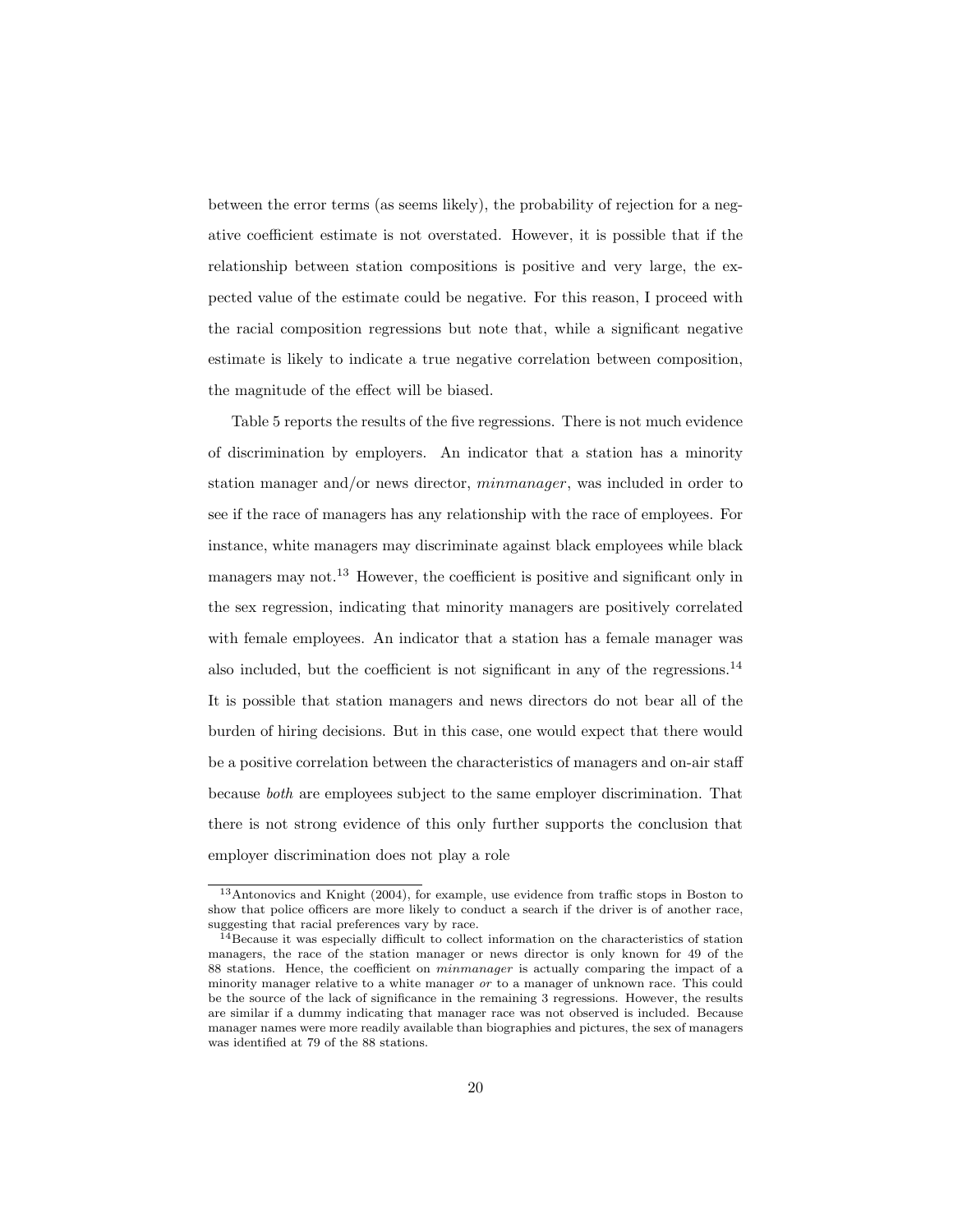between the error terms (as seems likely), the probability of rejection for a negative coefficient estimate is not overstated. However, it is possible that if the relationship between station compositions is positive and very large, the expected value of the estimate could be negative. For this reason, I proceed with the racial composition regressions but note that, while a significant negative estimate is likely to indicate a true negative correlation between composition, the magnitude of the effect will be biased.

Table 5 reports the results of the five regressions. There is not much evidence of discrimination by employers. An indicator that a station has a minority station manager and/or news director, minmanager, was included in order to see if the race of managers has any relationship with the race of employees. For instance, white managers may discriminate against black employees while black managers may not.<sup>13</sup> However, the coefficient is positive and significant only in the sex regression, indicating that minority managers are positively correlated with female employees. An indicator that a station has a female manager was also included, but the coefficient is not significant in any of the regressions.<sup>14</sup> It is possible that station managers and news directors do not bear all of the burden of hiring decisions. But in this case, one would expect that there would be a positive correlation between the characteristics of managers and on-air staff because both are employees subject to the same employer discrimination. That there is not strong evidence of this only further supports the conclusion that employer discrimination does not play a role

<sup>13</sup>Antonovics and Knight (2004), for example, use evidence from traffic stops in Boston to show that police officers are more likely to conduct a search if the driver is of another race, suggesting that racial preferences vary by race.

<sup>&</sup>lt;sup>14</sup> Because it was especially difficult to collect information on the characteristics of station managers, the race of the station manager or news director is only known for 49 of the 88 stations. Hence, the coefficient on minmanager is actually comparing the impact of a minority manager relative to a white manager or to a manager of unknown race. This could be the source of the lack of significance in the remaining 3 regressions. However, the results are similar if a dummy indicating that manager race was not observed is included. Because manager names were more readily available than biographies and pictures, the sex of managers was identified at 79 of the 88 stations.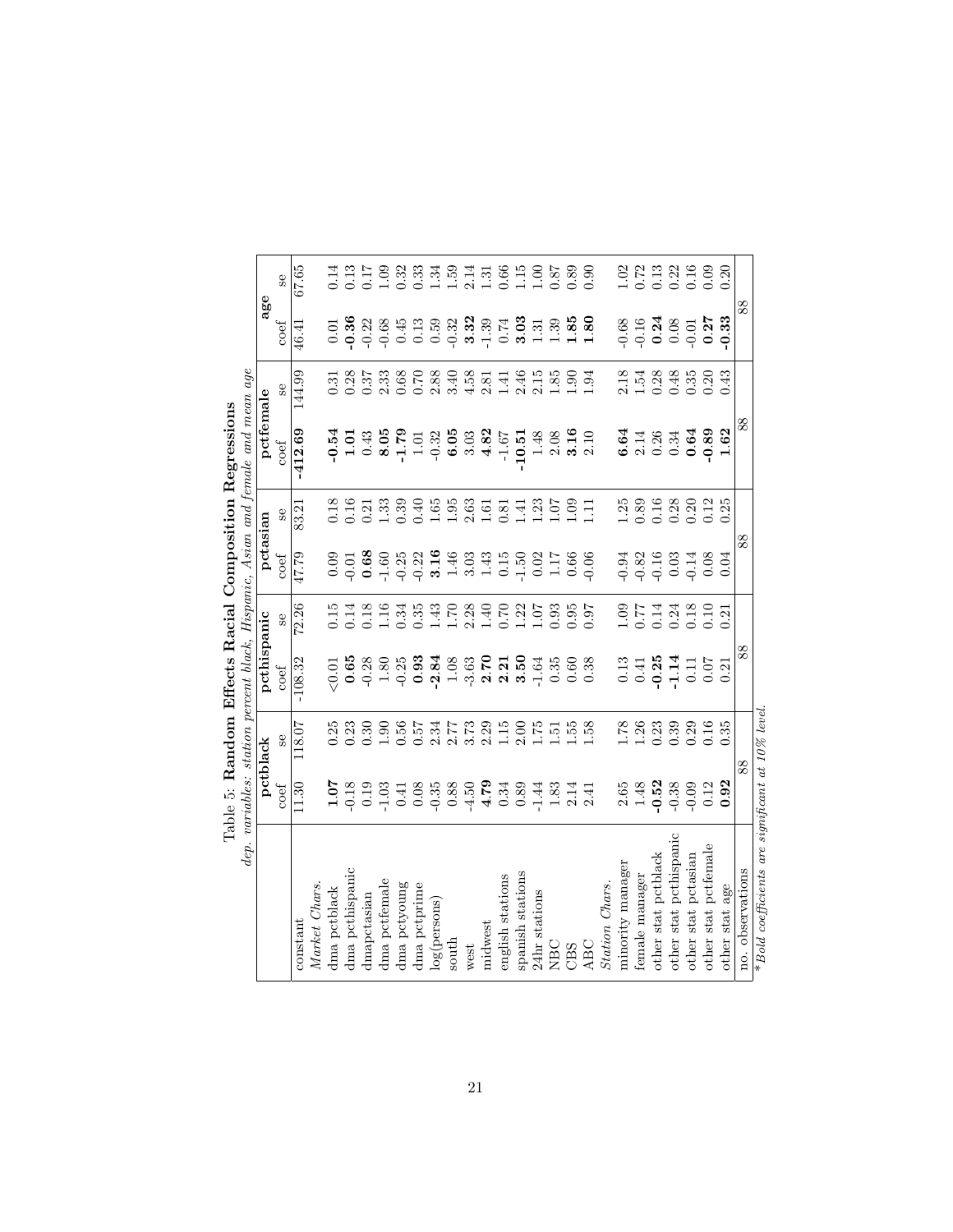|                                                  |                                                                                                                                                                                                                                                                                                                                                                                                                                        |                                                                                                                                                                                                                                                                                                               |                                                                    |                                                                                              |                                                                                                                                                                                                                                                                                                                   |                                                                                                                                                                                                                                                                                                               | dep. variables: station percent black, Hispanic, Asian and female and mean age<br>abie o: Random Enecis Racial Composition Regressions |                                                |                                                                                                                                                                                                                                                                                   |                                                                                                                                                                                                                                                                                                               |
|--------------------------------------------------|----------------------------------------------------------------------------------------------------------------------------------------------------------------------------------------------------------------------------------------------------------------------------------------------------------------------------------------------------------------------------------------------------------------------------------------|---------------------------------------------------------------------------------------------------------------------------------------------------------------------------------------------------------------------------------------------------------------------------------------------------------------|--------------------------------------------------------------------|----------------------------------------------------------------------------------------------|-------------------------------------------------------------------------------------------------------------------------------------------------------------------------------------------------------------------------------------------------------------------------------------------------------------------|---------------------------------------------------------------------------------------------------------------------------------------------------------------------------------------------------------------------------------------------------------------------------------------------------------------|----------------------------------------------------------------------------------------------------------------------------------------|------------------------------------------------|-----------------------------------------------------------------------------------------------------------------------------------------------------------------------------------------------------------------------------------------------------------------------------------|---------------------------------------------------------------------------------------------------------------------------------------------------------------------------------------------------------------------------------------------------------------------------------------------------------------|
|                                                  |                                                                                                                                                                                                                                                                                                                                                                                                                                        | pctblack                                                                                                                                                                                                                                                                                                      | pethispanic                                                        |                                                                                              | pctasian                                                                                                                                                                                                                                                                                                          |                                                                                                                                                                                                                                                                                                               | pctfemale                                                                                                                              |                                                | age                                                                                                                                                                                                                                                                               |                                                                                                                                                                                                                                                                                                               |
|                                                  | coef                                                                                                                                                                                                                                                                                                                                                                                                                                   | <b>Se</b>                                                                                                                                                                                                                                                                                                     | coef                                                               | $\rm{se}$                                                                                    | coef                                                                                                                                                                                                                                                                                                              | Se                                                                                                                                                                                                                                                                                                            | coef                                                                                                                                   | $\frac{6}{5}$                                  | $\mathop{\rm coef}\nolimits$                                                                                                                                                                                                                                                      | $\frac{6}{5}$                                                                                                                                                                                                                                                                                                 |
| constant                                         | 11.30                                                                                                                                                                                                                                                                                                                                                                                                                                  | 118.07                                                                                                                                                                                                                                                                                                        | $-108.32$                                                          | 72.26                                                                                        | 47.79                                                                                                                                                                                                                                                                                                             | 83.21                                                                                                                                                                                                                                                                                                         | $-412.69$                                                                                                                              | 144.99                                         | 46.41                                                                                                                                                                                                                                                                             | 67.65                                                                                                                                                                                                                                                                                                         |
| Market Chars                                     |                                                                                                                                                                                                                                                                                                                                                                                                                                        |                                                                                                                                                                                                                                                                                                               |                                                                    |                                                                                              |                                                                                                                                                                                                                                                                                                                   |                                                                                                                                                                                                                                                                                                               |                                                                                                                                        |                                                |                                                                                                                                                                                                                                                                                   |                                                                                                                                                                                                                                                                                                               |
| dma pctblack                                     |                                                                                                                                                                                                                                                                                                                                                                                                                                        | 0.25                                                                                                                                                                                                                                                                                                          |                                                                    |                                                                                              |                                                                                                                                                                                                                                                                                                                   |                                                                                                                                                                                                                                                                                                               |                                                                                                                                        |                                                |                                                                                                                                                                                                                                                                                   | 0.14                                                                                                                                                                                                                                                                                                          |
| dma pethispanic                                  |                                                                                                                                                                                                                                                                                                                                                                                                                                        | 0.23                                                                                                                                                                                                                                                                                                          |                                                                    |                                                                                              |                                                                                                                                                                                                                                                                                                                   | $\frac{3.18}{0.16}$                                                                                                                                                                                                                                                                                           |                                                                                                                                        | $\frac{0.31}{0.28}$                            |                                                                                                                                                                                                                                                                                   |                                                                                                                                                                                                                                                                                                               |
| dmapctasian                                      |                                                                                                                                                                                                                                                                                                                                                                                                                                        | 0.30                                                                                                                                                                                                                                                                                                          |                                                                    |                                                                                              |                                                                                                                                                                                                                                                                                                                   |                                                                                                                                                                                                                                                                                                               |                                                                                                                                        | 0.37                                           |                                                                                                                                                                                                                                                                                   |                                                                                                                                                                                                                                                                                                               |
| dma pctfemale                                    | $\begin{array}{cccccccccc} \mathbf{5} & \mathbf{2} & \mathbf{3} & \mathbf{3} & \mathbf{4} & \mathbf{5} & \mathbf{6} \\ \mathbf{5} & \mathbf{2} & \mathbf{3} & \mathbf{3} & \mathbf{4} & \mathbf{3} & \mathbf{6} & \mathbf{6} \\ \mathbf{4} & \mathbf{5} & \mathbf{5} & \mathbf{5} & \mathbf{5} & \mathbf{5} & \mathbf{6} & \mathbf{6} \\ \mathbf{5} & \mathbf{6} & \mathbf{5} & \mathbf{5} & \mathbf{5} & \mathbf{6} & \mathbf{6} & \$ | 06.1                                                                                                                                                                                                                                                                                                          |                                                                    |                                                                                              |                                                                                                                                                                                                                                                                                                                   | $\frac{21}{1.33}$                                                                                                                                                                                                                                                                                             | $-0.543$<br>$-1.543$<br>$-1.543$<br>$-1.543$<br>$-1.563$<br>$-1.563$<br>$-1.567$                                                       | 2.33                                           | $\begin{array}{ccccccccc}\n0.86 & 0.88 & 0.88 & 0.88 & 0.88 & 0.88 & 0.88 & 0.88 & 0.88 & 0.88 & 0.88 & 0.88 & 0.88 & 0.88 & 0.88 & 0.88 & 0.88 & 0.88 & 0.88 & 0.88 & 0.88 & 0.88 & 0.88 & 0.88 & 0.88 & 0.88 & 0.88 & 0.88 & 0.88 & 0.88 & 0.88 & 0.88 & 0.88 & 0.88 & 0.88 & $ |                                                                                                                                                                                                                                                                                                               |
| dma pctyoung                                     |                                                                                                                                                                                                                                                                                                                                                                                                                                        |                                                                                                                                                                                                                                                                                                               |                                                                    |                                                                                              |                                                                                                                                                                                                                                                                                                                   |                                                                                                                                                                                                                                                                                                               |                                                                                                                                        |                                                |                                                                                                                                                                                                                                                                                   |                                                                                                                                                                                                                                                                                                               |
| dma pctprime                                     |                                                                                                                                                                                                                                                                                                                                                                                                                                        |                                                                                                                                                                                                                                                                                                               |                                                                    |                                                                                              |                                                                                                                                                                                                                                                                                                                   |                                                                                                                                                                                                                                                                                                               |                                                                                                                                        |                                                |                                                                                                                                                                                                                                                                                   |                                                                                                                                                                                                                                                                                                               |
| log(persons)                                     |                                                                                                                                                                                                                                                                                                                                                                                                                                        |                                                                                                                                                                                                                                                                                                               |                                                                    |                                                                                              |                                                                                                                                                                                                                                                                                                                   |                                                                                                                                                                                                                                                                                                               |                                                                                                                                        |                                                |                                                                                                                                                                                                                                                                                   |                                                                                                                                                                                                                                                                                                               |
| south                                            |                                                                                                                                                                                                                                                                                                                                                                                                                                        |                                                                                                                                                                                                                                                                                                               |                                                                    |                                                                                              |                                                                                                                                                                                                                                                                                                                   |                                                                                                                                                                                                                                                                                                               |                                                                                                                                        |                                                |                                                                                                                                                                                                                                                                                   |                                                                                                                                                                                                                                                                                                               |
| west                                             |                                                                                                                                                                                                                                                                                                                                                                                                                                        |                                                                                                                                                                                                                                                                                                               |                                                                    |                                                                                              |                                                                                                                                                                                                                                                                                                                   |                                                                                                                                                                                                                                                                                                               |                                                                                                                                        |                                                |                                                                                                                                                                                                                                                                                   |                                                                                                                                                                                                                                                                                                               |
| midwest                                          |                                                                                                                                                                                                                                                                                                                                                                                                                                        |                                                                                                                                                                                                                                                                                                               |                                                                    |                                                                                              |                                                                                                                                                                                                                                                                                                                   |                                                                                                                                                                                                                                                                                                               |                                                                                                                                        | $0.68980$<br>$0.89980$<br>$0.8450$<br>$0.8450$ |                                                                                                                                                                                                                                                                                   |                                                                                                                                                                                                                                                                                                               |
| english stations                                 |                                                                                                                                                                                                                                                                                                                                                                                                                                        |                                                                                                                                                                                                                                                                                                               |                                                                    |                                                                                              |                                                                                                                                                                                                                                                                                                                   |                                                                                                                                                                                                                                                                                                               |                                                                                                                                        | 1.41                                           |                                                                                                                                                                                                                                                                                   |                                                                                                                                                                                                                                                                                                               |
| spanish stations                                 |                                                                                                                                                                                                                                                                                                                                                                                                                                        | $2.00$<br>$1.75$                                                                                                                                                                                                                                                                                              |                                                                    |                                                                                              |                                                                                                                                                                                                                                                                                                                   |                                                                                                                                                                                                                                                                                                               |                                                                                                                                        | $2.1589$<br>$2.1589$<br>$1.34$                 | $3.33$<br>$1.39$<br>$1.80$<br>$1.80$                                                                                                                                                                                                                                              |                                                                                                                                                                                                                                                                                                               |
| 24hr stations                                    |                                                                                                                                                                                                                                                                                                                                                                                                                                        |                                                                                                                                                                                                                                                                                                               |                                                                    |                                                                                              |                                                                                                                                                                                                                                                                                                                   |                                                                                                                                                                                                                                                                                                               |                                                                                                                                        |                                                |                                                                                                                                                                                                                                                                                   |                                                                                                                                                                                                                                                                                                               |
| NBC                                              |                                                                                                                                                                                                                                                                                                                                                                                                                                        | 1.51                                                                                                                                                                                                                                                                                                          |                                                                    |                                                                                              |                                                                                                                                                                                                                                                                                                                   |                                                                                                                                                                                                                                                                                                               |                                                                                                                                        |                                                |                                                                                                                                                                                                                                                                                   |                                                                                                                                                                                                                                                                                                               |
| CBS                                              |                                                                                                                                                                                                                                                                                                                                                                                                                                        | $\frac{158}{1.58}$                                                                                                                                                                                                                                                                                            |                                                                    |                                                                                              |                                                                                                                                                                                                                                                                                                                   |                                                                                                                                                                                                                                                                                                               |                                                                                                                                        |                                                |                                                                                                                                                                                                                                                                                   |                                                                                                                                                                                                                                                                                                               |
| ABC                                              |                                                                                                                                                                                                                                                                                                                                                                                                                                        |                                                                                                                                                                                                                                                                                                               |                                                                    |                                                                                              |                                                                                                                                                                                                                                                                                                                   |                                                                                                                                                                                                                                                                                                               | $\begin{array}{c} 10.51 \\ 1.48 \\ 2.08 \\ 3.16 \\ 2.10 \end{array}$                                                                   |                                                |                                                                                                                                                                                                                                                                                   |                                                                                                                                                                                                                                                                                                               |
| Station Chars.                                   |                                                                                                                                                                                                                                                                                                                                                                                                                                        |                                                                                                                                                                                                                                                                                                               |                                                                    |                                                                                              |                                                                                                                                                                                                                                                                                                                   |                                                                                                                                                                                                                                                                                                               |                                                                                                                                        |                                                |                                                                                                                                                                                                                                                                                   |                                                                                                                                                                                                                                                                                                               |
| minority manager                                 |                                                                                                                                                                                                                                                                                                                                                                                                                                        |                                                                                                                                                                                                                                                                                                               |                                                                    |                                                                                              |                                                                                                                                                                                                                                                                                                                   |                                                                                                                                                                                                                                                                                                               |                                                                                                                                        |                                                |                                                                                                                                                                                                                                                                                   |                                                                                                                                                                                                                                                                                                               |
| female manager                                   |                                                                                                                                                                                                                                                                                                                                                                                                                                        |                                                                                                                                                                                                                                                                                                               |                                                                    |                                                                                              |                                                                                                                                                                                                                                                                                                                   |                                                                                                                                                                                                                                                                                                               |                                                                                                                                        |                                                |                                                                                                                                                                                                                                                                                   |                                                                                                                                                                                                                                                                                                               |
| other stat pctblack                              | $\begin{array}{c} 2.65 \\ 1.48 \\ \textbf{-0.52} \\ \textbf{-0.38} \\ \textbf{-0.09} \end{array}$                                                                                                                                                                                                                                                                                                                                      |                                                                                                                                                                                                                                                                                                               |                                                                    |                                                                                              |                                                                                                                                                                                                                                                                                                                   |                                                                                                                                                                                                                                                                                                               |                                                                                                                                        |                                                |                                                                                                                                                                                                                                                                                   |                                                                                                                                                                                                                                                                                                               |
| other stat pcthispanic                           |                                                                                                                                                                                                                                                                                                                                                                                                                                        |                                                                                                                                                                                                                                                                                                               |                                                                    |                                                                                              |                                                                                                                                                                                                                                                                                                                   |                                                                                                                                                                                                                                                                                                               |                                                                                                                                        |                                                |                                                                                                                                                                                                                                                                                   |                                                                                                                                                                                                                                                                                                               |
| other stat pctasian                              |                                                                                                                                                                                                                                                                                                                                                                                                                                        |                                                                                                                                                                                                                                                                                                               |                                                                    |                                                                                              |                                                                                                                                                                                                                                                                                                                   |                                                                                                                                                                                                                                                                                                               |                                                                                                                                        |                                                |                                                                                                                                                                                                                                                                                   |                                                                                                                                                                                                                                                                                                               |
| other stat pctfemale                             | $\frac{0.12}{0.92}$                                                                                                                                                                                                                                                                                                                                                                                                                    | $\begin{array}{c} 78 \\ 1.26 \\ 1.33 \\ 0.03 \\ 0.03 \\ 0.03 \\ 0.03 \\ 0.03 \\ 0.03 \\ 0.03 \\ 0.03 \\ 0.03 \\ 0.03 \\ 0.03 \\ 0.03 \\ 0.03 \\ 0.03 \\ 0.03 \\ 0.03 \\ 0.03 \\ 0.03 \\ 0.03 \\ 0.03 \\ 0.03 \\ 0.03 \\ 0.03 \\ 0.03 \\ 0.03 \\ 0.03 \\ 0.03 \\ 0.03 \\ 0.03 \\ 0.03 \\ 0.03 \\ 0.03 \\ 0.03$ | $0.13$<br>$0.41$<br>$0.41$<br>$0.54$<br>$0.57$<br>$0.57$<br>$0.57$ | $\begin{array}{c} 0.09 \\ 0.714 \\ 0.018 \\ 0.000 \\ 0.018 \\ 0.010 \\ 0.010 \\ \end{array}$ | $\begin{array}{cccc}\n 3 & 3 & 1 & 6 & 1 & 6 & 1 & 6 & 1 & 6 & 1 & 6 & 1 & 6 & 1 & 6 & 1 & 6 & 1 & 6 & 1 & 6 & 1 & 6 & 1 & 6 & 1 & 6 & 1 & 6 & 1 & 6 & 1 & 6 & 1 & 6 & 1 & 6 & 1 & 6 & 1 & 6 & 1 & 6 & 1 & 6 & 1 & 6 & 1 & 6 & 1 & 6 & 1 & 6 & 1 & 6 & 1 & 6 & 1 & 6 & 1 & 6 & 1 & 6 & 1 & 6 & 1 & 6 & 1 & 6 & 1$ | $\begin{array}{c} 1.25 \\ 0.89 \\ 0.16 \\ 0.28 \\ 0.30 \\ 0.01 \\ 0.01 \\ 0.01 \\ 0.01 \\ 0.01 \\ 0.01 \\ 0.01 \\ 0.01 \\ 0.01 \\ 0.01 \\ 0.01 \\ 0.01 \\ 0.01 \\ 0.01 \\ 0.01 \\ 0.01 \\ 0.01 \\ 0.01 \\ 0.01 \\ 0.01 \\ 0.01 \\ 0.01 \\ 0.01 \\ 0.01 \\ 0.01 \\ 0.01 \\ 0.01 \\ 0.01 \\ 0.01 \\ 0.01 \\ 0.$ |                                                                                                                                        |                                                | $0.58$<br>$0.78$<br>$0.0000$<br>$0.000$<br>$0.3$<br>$0.3$                                                                                                                                                                                                                         | $\begin{array}{c} 1.02 \\ 1.72 \\ 0.13 \\ 0.00 \\ 0.00 \\ 0.00 \\ 0.00 \\ 0.00 \\ 0.00 \\ 0.00 \\ 0.00 \\ 0.00 \\ 0.00 \\ 0.00 \\ 0.00 \\ 0.00 \\ 0.00 \\ 0.00 \\ 0.00 \\ 0.00 \\ 0.00 \\ 0.00 \\ 0.00 \\ 0.00 \\ 0.00 \\ 0.00 \\ 0.00 \\ 0.00 \\ 0.00 \\ 0.00 \\ 0.00 \\ 0.00 \\ 0.00 \\ 0.00 \\ 0.00 \\ 0.$ |
| other stat age                                   |                                                                                                                                                                                                                                                                                                                                                                                                                                        |                                                                                                                                                                                                                                                                                                               |                                                                    |                                                                                              |                                                                                                                                                                                                                                                                                                                   |                                                                                                                                                                                                                                                                                                               |                                                                                                                                        | 0.43                                           |                                                                                                                                                                                                                                                                                   |                                                                                                                                                                                                                                                                                                               |
| no. observations                                 |                                                                                                                                                                                                                                                                                                                                                                                                                                        | 88                                                                                                                                                                                                                                                                                                            | 88                                                                 |                                                                                              |                                                                                                                                                                                                                                                                                                                   | 88                                                                                                                                                                                                                                                                                                            | 88                                                                                                                                     |                                                | 88                                                                                                                                                                                                                                                                                |                                                                                                                                                                                                                                                                                                               |
| * Bold coefficients are significant at 10% level |                                                                                                                                                                                                                                                                                                                                                                                                                                        |                                                                                                                                                                                                                                                                                                               |                                                                    |                                                                                              |                                                                                                                                                                                                                                                                                                                   |                                                                                                                                                                                                                                                                                                               |                                                                                                                                        |                                                |                                                                                                                                                                                                                                                                                   |                                                                                                                                                                                                                                                                                                               |

 $\bar{\mathfrak{c}}$ Table 5: Random Effects Racial Composition Regressions  $\sim$ ition  $\mathbf{p}$ . Table 5: Bandom Effects Bacial Co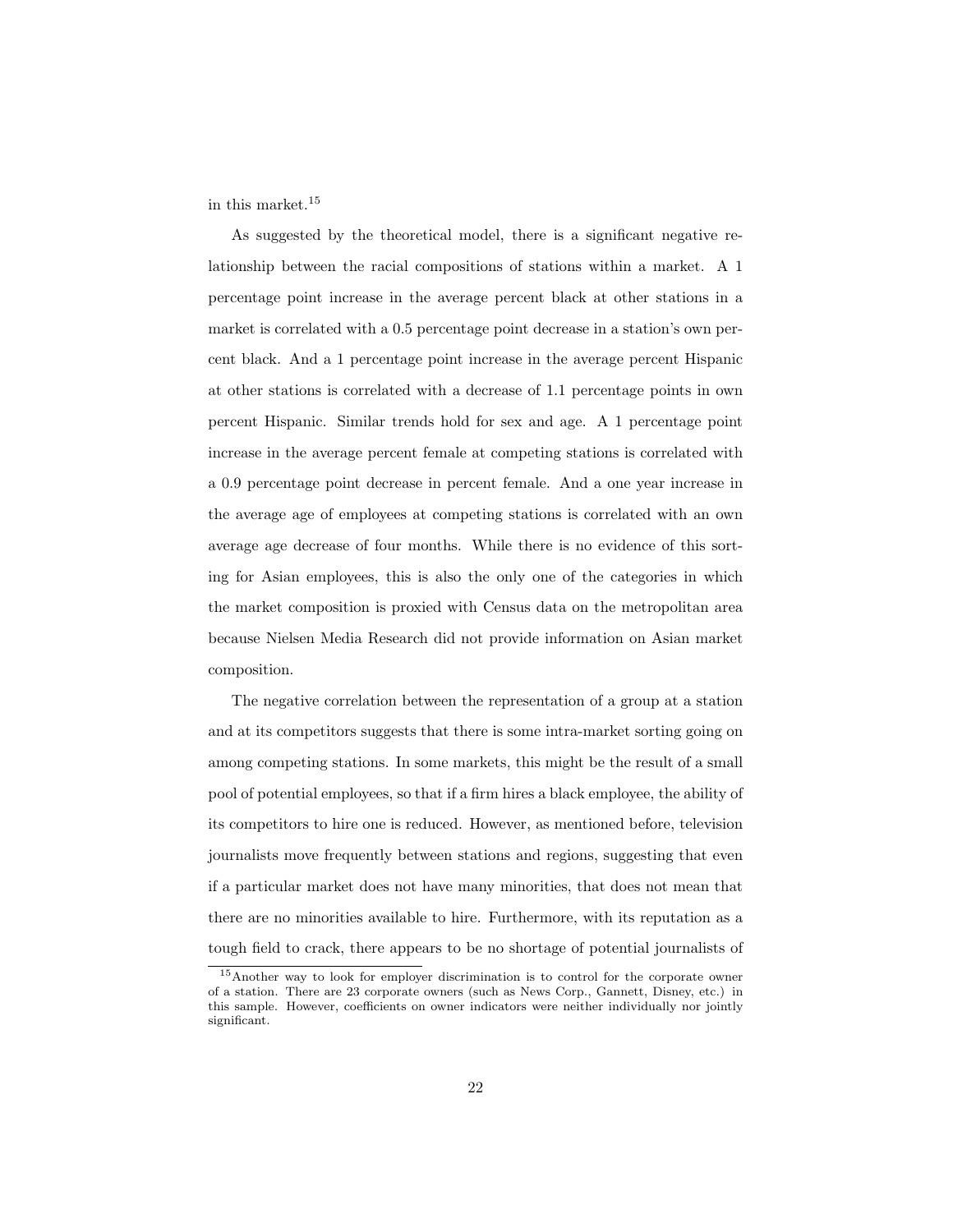in this market.<sup>15</sup>

As suggested by the theoretical model, there is a significant negative relationship between the racial compositions of stations within a market. A 1 percentage point increase in the average percent black at other stations in a market is correlated with a 0.5 percentage point decrease in a station's own percent black. And a 1 percentage point increase in the average percent Hispanic at other stations is correlated with a decrease of 1.1 percentage points in own percent Hispanic. Similar trends hold for sex and age. A 1 percentage point increase in the average percent female at competing stations is correlated with a 0.9 percentage point decrease in percent female. And a one year increase in the average age of employees at competing stations is correlated with an own average age decrease of four months. While there is no evidence of this sorting for Asian employees, this is also the only one of the categories in which the market composition is proxied with Census data on the metropolitan area because Nielsen Media Research did not provide information on Asian market composition.

The negative correlation between the representation of a group at a station and at its competitors suggests that there is some intra-market sorting going on among competing stations. In some markets, this might be the result of a small pool of potential employees, so that if a firm hires a black employee, the ability of its competitors to hire one is reduced. However, as mentioned before, television journalists move frequently between stations and regions, suggesting that even if a particular market does not have many minorities, that does not mean that there are no minorities available to hire. Furthermore, with its reputation as a tough field to crack, there appears to be no shortage of potential journalists of

<sup>15</sup>Another way to look for employer discrimination is to control for the corporate owner of a station. There are 23 corporate owners (such as News Corp., Gannett, Disney, etc.) in this sample. However, coefficients on owner indicators were neither individually nor jointly significant.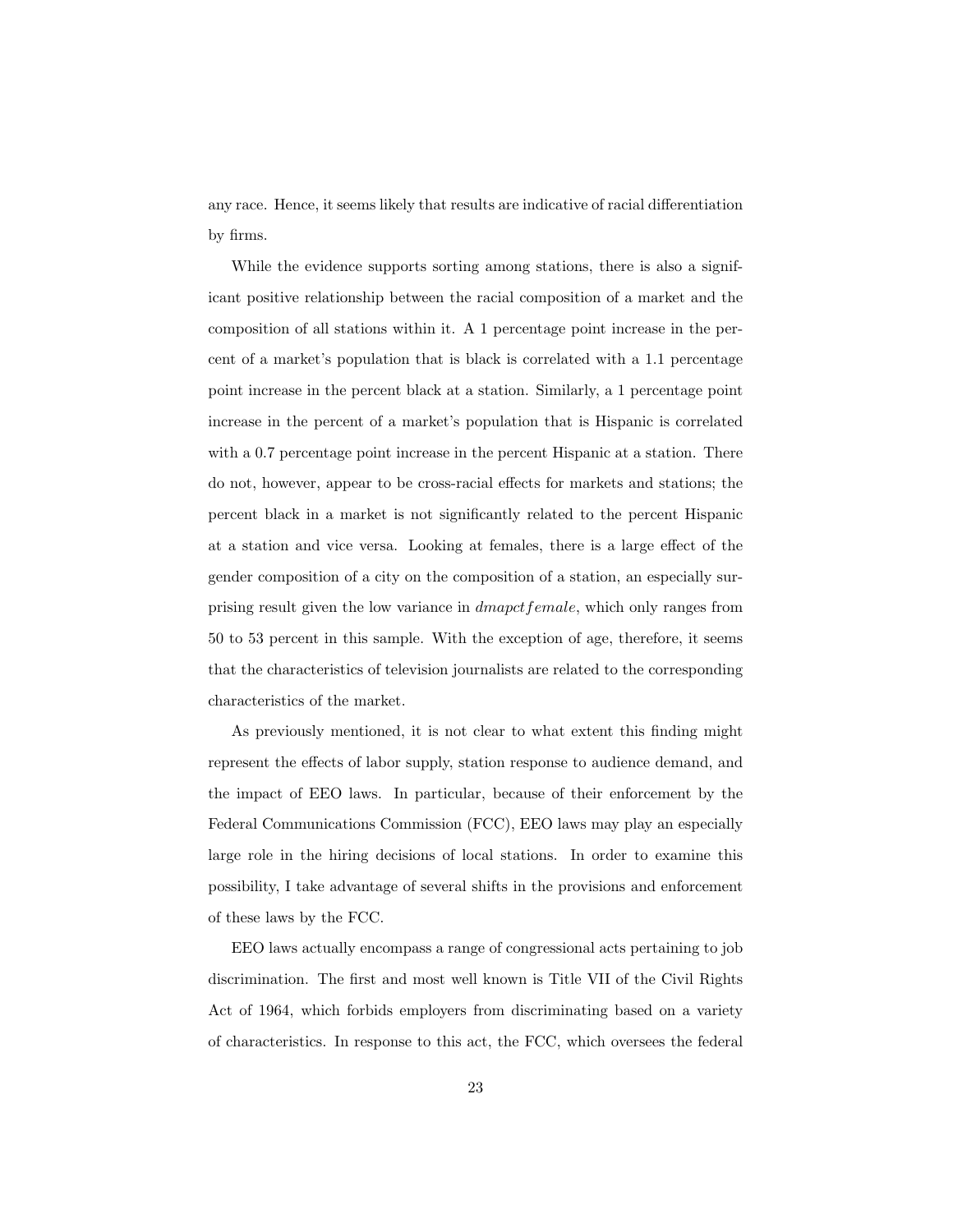any race. Hence, it seems likely that results are indicative of racial differentiation by firms.

While the evidence supports sorting among stations, there is also a significant positive relationship between the racial composition of a market and the composition of all stations within it. A 1 percentage point increase in the percent of a market's population that is black is correlated with a 1.1 percentage point increase in the percent black at a station. Similarly, a 1 percentage point increase in the percent of a market's population that is Hispanic is correlated with a 0.7 percentage point increase in the percent Hispanic at a station. There do not, however, appear to be cross-racial effects for markets and stations; the percent black in a market is not significantly related to the percent Hispanic at a station and vice versa. Looking at females, there is a large effect of the gender composition of a city on the composition of a station, an especially surprising result given the low variance in dmapctfemale, which only ranges from 50 to 53 percent in this sample. With the exception of age, therefore, it seems that the characteristics of television journalists are related to the corresponding characteristics of the market.

As previously mentioned, it is not clear to what extent this finding might represent the effects of labor supply, station response to audience demand, and the impact of EEO laws. In particular, because of their enforcement by the Federal Communications Commission (FCC), EEO laws may play an especially large role in the hiring decisions of local stations. In order to examine this possibility, I take advantage of several shifts in the provisions and enforcement of these laws by the FCC.

EEO laws actually encompass a range of congressional acts pertaining to job discrimination. The first and most well known is Title VII of the Civil Rights Act of 1964, which forbids employers from discriminating based on a variety of characteristics. In response to this act, the FCC, which oversees the federal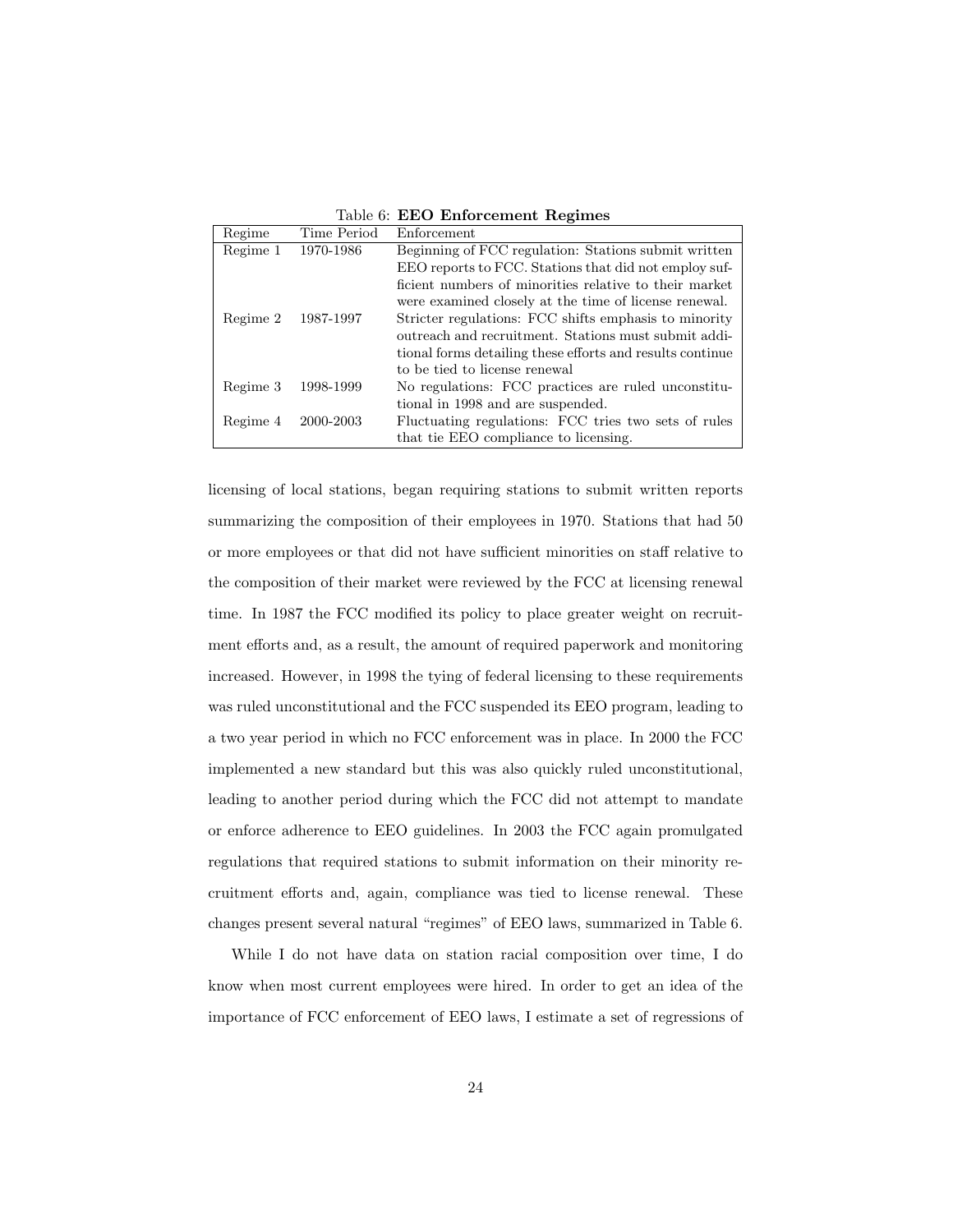Table 6: EEO Enforcement Regimes

| Regime   | Time Period | Enforcement                                               |
|----------|-------------|-----------------------------------------------------------|
| Regime 1 | 1970-1986   | Beginning of FCC regulation: Stations submit written      |
|          |             | EEO reports to FCC. Stations that did not employ suf-     |
|          |             | ficient numbers of minorities relative to their market    |
|          |             | were examined closely at the time of license renewal.     |
| Regime 2 | 1987-1997   | Stricter regulations: FCC shifts emphasis to minority     |
|          |             | outreach and recruitment. Stations must submit addi-      |
|          |             | tional forms detailing these efforts and results continue |
|          |             | to be tied to license renewal                             |
| Regime 3 | 1998-1999   | No regulations: FCC practices are ruled unconstitu-       |
|          |             | tional in 1998 and are suspended.                         |
| Regime 4 | 2000-2003   | Fluctuating regulations: FCC tries two sets of rules      |
|          |             | that tie EEO compliance to licensing.                     |

licensing of local stations, began requiring stations to submit written reports summarizing the composition of their employees in 1970. Stations that had 50 or more employees or that did not have sufficient minorities on staff relative to the composition of their market were reviewed by the FCC at licensing renewal time. In 1987 the FCC modified its policy to place greater weight on recruitment efforts and, as a result, the amount of required paperwork and monitoring increased. However, in 1998 the tying of federal licensing to these requirements was ruled unconstitutional and the FCC suspended its EEO program, leading to a two year period in which no FCC enforcement was in place. In 2000 the FCC implemented a new standard but this was also quickly ruled unconstitutional, leading to another period during which the FCC did not attempt to mandate or enforce adherence to EEO guidelines. In 2003 the FCC again promulgated regulations that required stations to submit information on their minority recruitment efforts and, again, compliance was tied to license renewal. These changes present several natural "regimes" of EEO laws, summarized in Table 6.

While I do not have data on station racial composition over time, I do know when most current employees were hired. In order to get an idea of the importance of FCC enforcement of EEO laws, I estimate a set of regressions of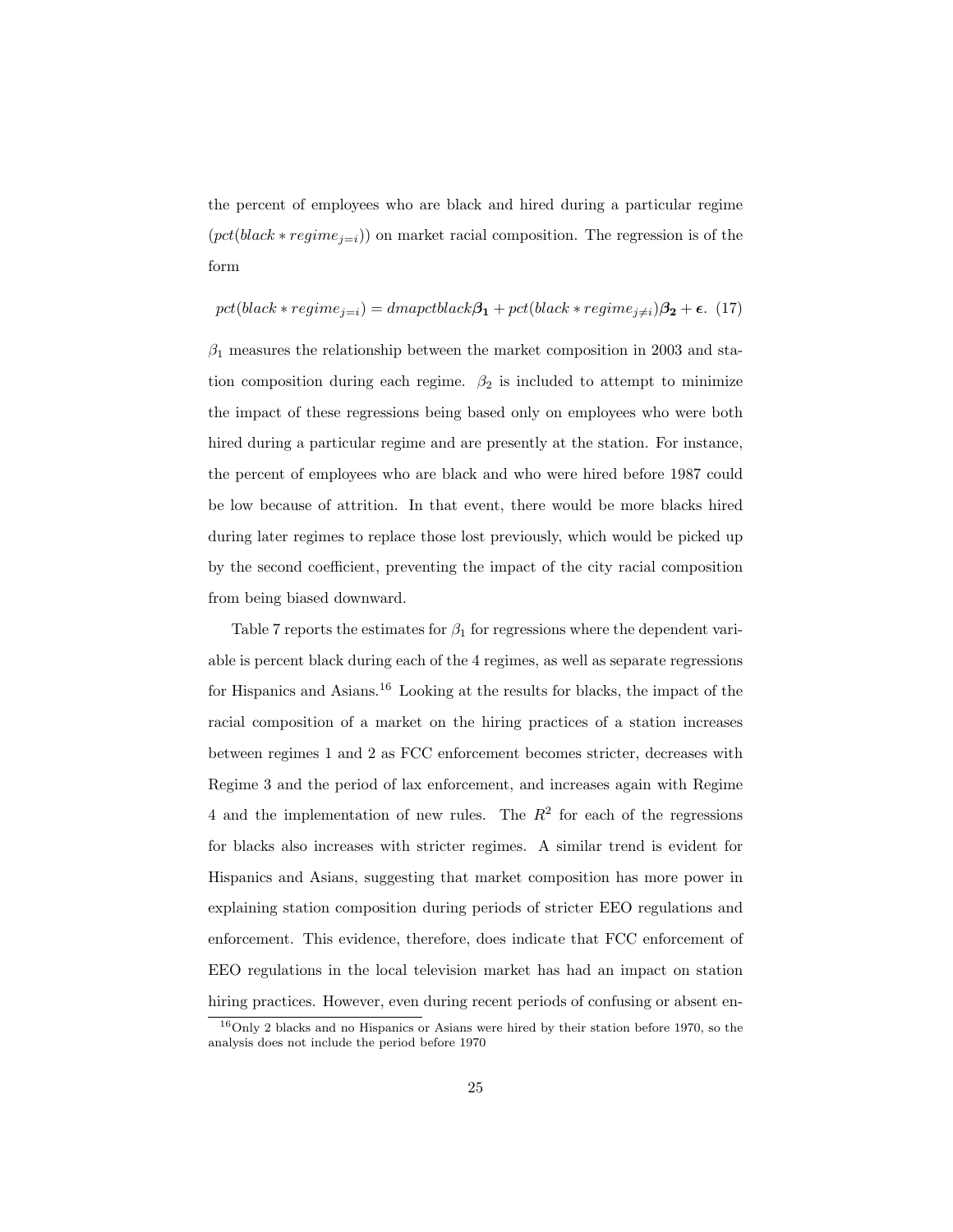the percent of employees who are black and hired during a particular regime  $(pct(black * regime_{j=i}))$  on market racial composition. The regression is of the form

$$
pct(black*regime_{j=i}) = dmapctblack\beta_1 + pct(black*regime_{j\neq i})\beta_2 + \epsilon.
$$
 (17)

 $\beta_1$  measures the relationship between the market composition in 2003 and station composition during each regime.  $\beta_2$  is included to attempt to minimize the impact of these regressions being based only on employees who were both hired during a particular regime and are presently at the station. For instance, the percent of employees who are black and who were hired before 1987 could be low because of attrition. In that event, there would be more blacks hired during later regimes to replace those lost previously, which would be picked up by the second coefficient, preventing the impact of the city racial composition from being biased downward.

Table 7 reports the estimates for  $\beta_1$  for regressions where the dependent variable is percent black during each of the 4 regimes, as well as separate regressions for Hispanics and Asians.<sup>16</sup> Looking at the results for blacks, the impact of the racial composition of a market on the hiring practices of a station increases between regimes 1 and 2 as FCC enforcement becomes stricter, decreases with Regime 3 and the period of lax enforcement, and increases again with Regime 4 and the implementation of new rules. The  $R^2$  for each of the regressions for blacks also increases with stricter regimes. A similar trend is evident for Hispanics and Asians, suggesting that market composition has more power in explaining station composition during periods of stricter EEO regulations and enforcement. This evidence, therefore, does indicate that FCC enforcement of EEO regulations in the local television market has had an impact on station hiring practices. However, even during recent periods of confusing or absent en-

<sup>16</sup>Only 2 blacks and no Hispanics or Asians were hired by their station before 1970, so the analysis does not include the period before 1970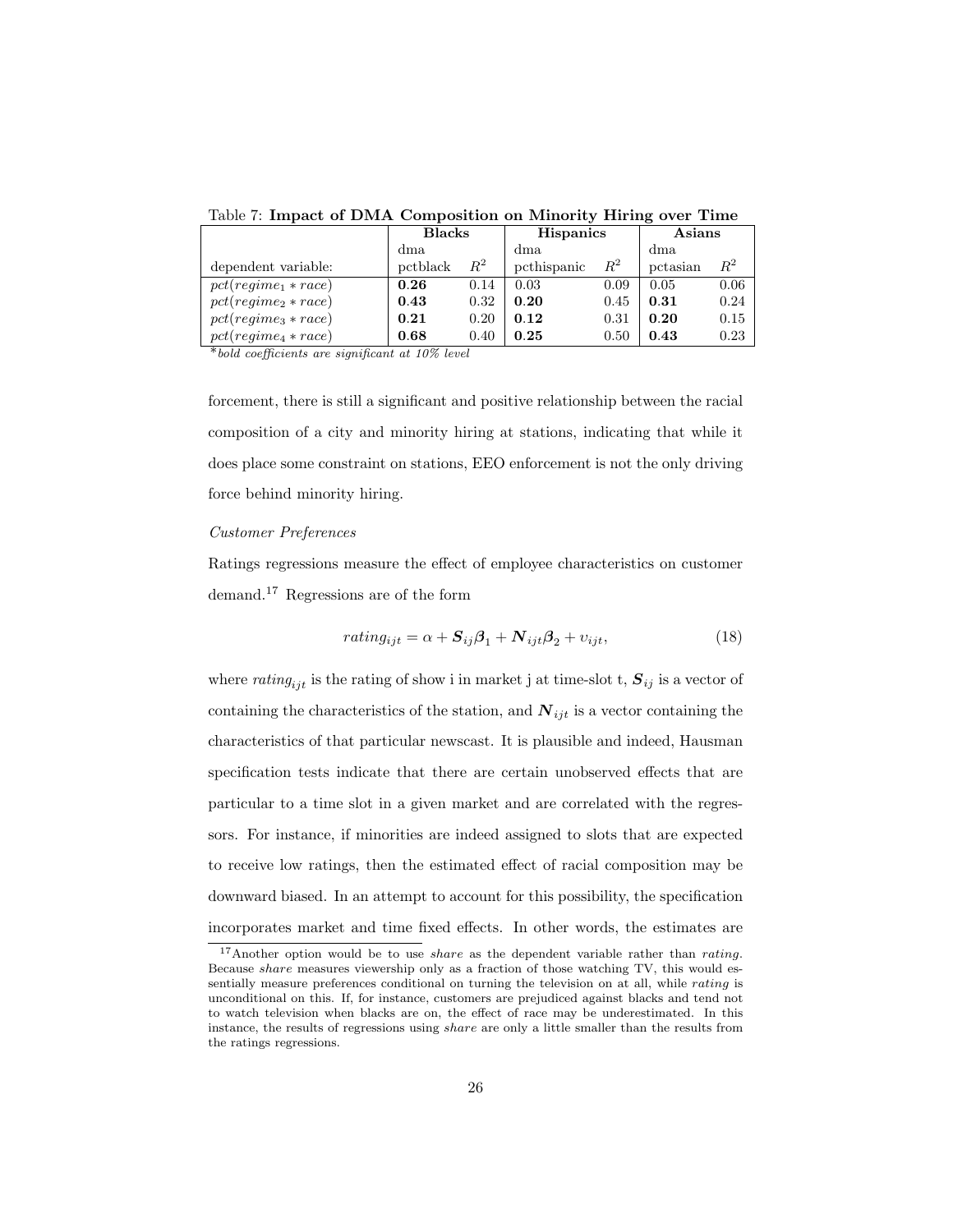|                       | <b>Blacks</b> |       | <b>Hispanics</b> |       | Asians   |         |
|-----------------------|---------------|-------|------------------|-------|----------|---------|
|                       | dma           |       | dma              |       | dma      |         |
| dependent variable:   | pctblack      | $R^2$ | pcthispanic      | $R^2$ | pctasian | $\,R^2$ |
| $pct(reqime_1*race)$  | 0.26          | 0.14  | 0.03             | 0.09  | 0.05     | 0.06    |
| $pct(regime2 * race)$ | 0.43          | 0.32  | 0.20             | 0.45  | 0.31     | 0.24    |
| $pct(regime3 * race)$ | 0.21          | 0.20  | 0.12             | 0.31  | 0.20     | 0.15    |
| $pct(regime4 * race)$ | 0.68          | 0.40  | 0.25             | 0.50  | 0.43     | 0.23    |

Table 7: Impact of DMA Composition on Minority Hiring over Time

\*bold coefficients are significant at 10% level

forcement, there is still a significant and positive relationship between the racial composition of a city and minority hiring at stations, indicating that while it does place some constraint on stations, EEO enforcement is not the only driving force behind minority hiring.

#### Customer Preferences

Ratings regressions measure the effect of employee characteristics on customer demand.<sup>17</sup> Regressions are of the form

$$
rating_{ijt} = \alpha + \mathbf{S}_{ij}\boldsymbol{\beta}_1 + \mathbf{N}_{ijt}\boldsymbol{\beta}_2 + v_{ijt},
$$
\n(18)

where  $rating_{ijt}$  is the rating of show i in market j at time-slot t,  $S_{ij}$  is a vector of containing the characteristics of the station, and  $N_{ijt}$  is a vector containing the characteristics of that particular newscast. It is plausible and indeed, Hausman specification tests indicate that there are certain unobserved effects that are particular to a time slot in a given market and are correlated with the regressors. For instance, if minorities are indeed assigned to slots that are expected to receive low ratings, then the estimated effect of racial composition may be downward biased. In an attempt to account for this possibility, the specification incorporates market and time fixed effects. In other words, the estimates are

<sup>&</sup>lt;sup>17</sup>Another option would be to use *share* as the dependent variable rather than *rating*. Because share measures viewership only as a fraction of those watching TV, this would essentially measure preferences conditional on turning the television on at all, while rating is unconditional on this. If, for instance, customers are prejudiced against blacks and tend not to watch television when blacks are on, the effect of race may be underestimated. In this instance, the results of regressions using *share* are only a little smaller than the results from the ratings regressions.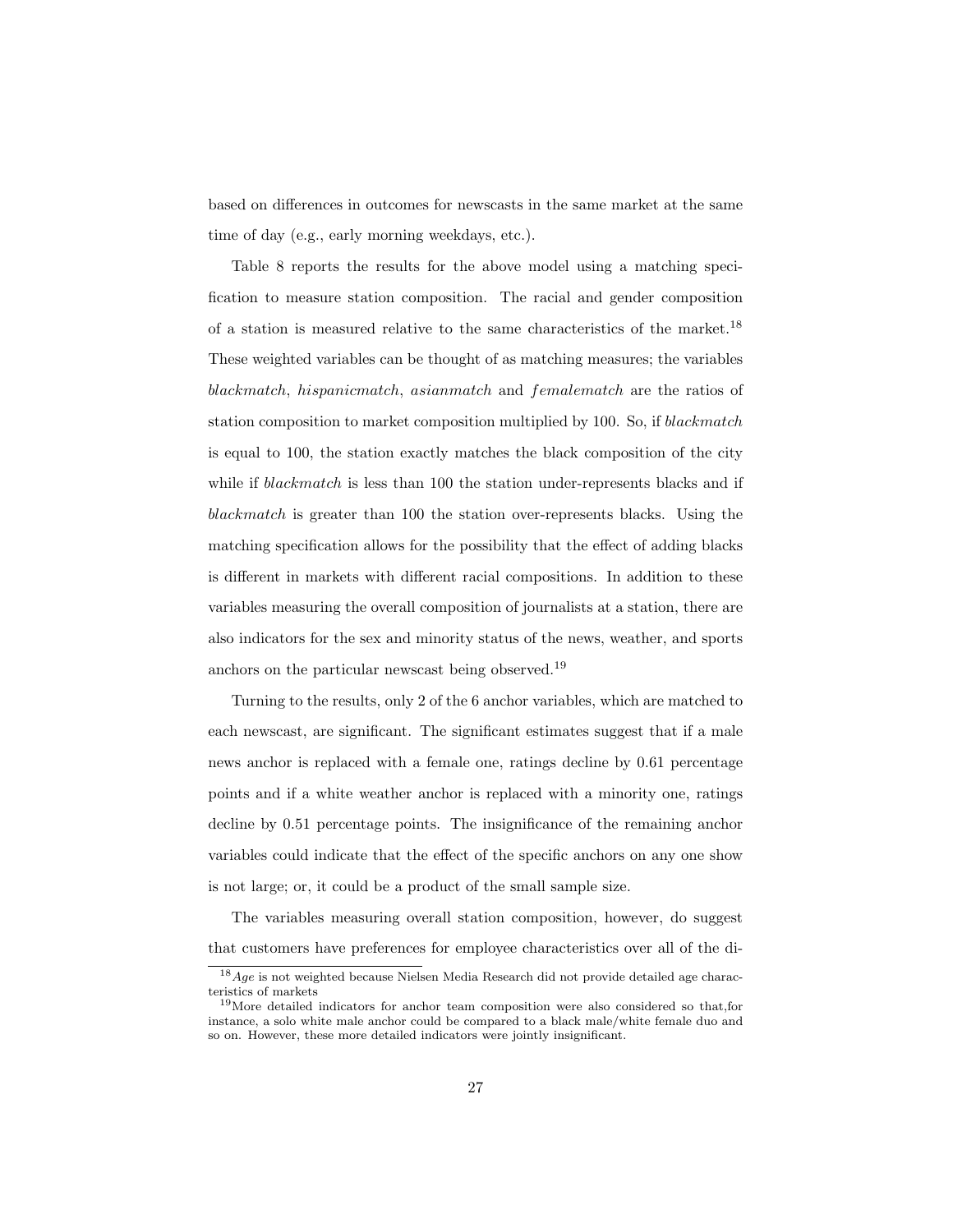based on differences in outcomes for newscasts in the same market at the same time of day (e.g., early morning weekdays, etc.).

Table 8 reports the results for the above model using a matching specification to measure station composition. The racial and gender composition of a station is measured relative to the same characteristics of the market.<sup>18</sup> These weighted variables can be thought of as matching measures; the variables blackmatch, hispanicmatch, asianmatch and femalematch are the ratios of station composition to market composition multiplied by 100. So, if blackmatch is equal to 100, the station exactly matches the black composition of the city while if blackmatch is less than 100 the station under-represents blacks and if blackmatch is greater than 100 the station over-represents blacks. Using the matching specification allows for the possibility that the effect of adding blacks is different in markets with different racial compositions. In addition to these variables measuring the overall composition of journalists at a station, there are also indicators for the sex and minority status of the news, weather, and sports anchors on the particular newscast being observed.<sup>19</sup>

Turning to the results, only 2 of the 6 anchor variables, which are matched to each newscast, are significant. The significant estimates suggest that if a male news anchor is replaced with a female one, ratings decline by 0.61 percentage points and if a white weather anchor is replaced with a minority one, ratings decline by 0.51 percentage points. The insignificance of the remaining anchor variables could indicate that the effect of the specific anchors on any one show is not large; or, it could be a product of the small sample size.

The variables measuring overall station composition, however, do suggest that customers have preferences for employee characteristics over all of the di-

 $^{18}Age$  is not weighted because Nielsen Media Research did not provide detailed age characteristics of markets

<sup>&</sup>lt;sup>19</sup>More detailed indicators for anchor team composition were also considered so that,for instance, a solo white male anchor could be compared to a black male/white female duo and so on. However, these more detailed indicators were jointly insignificant.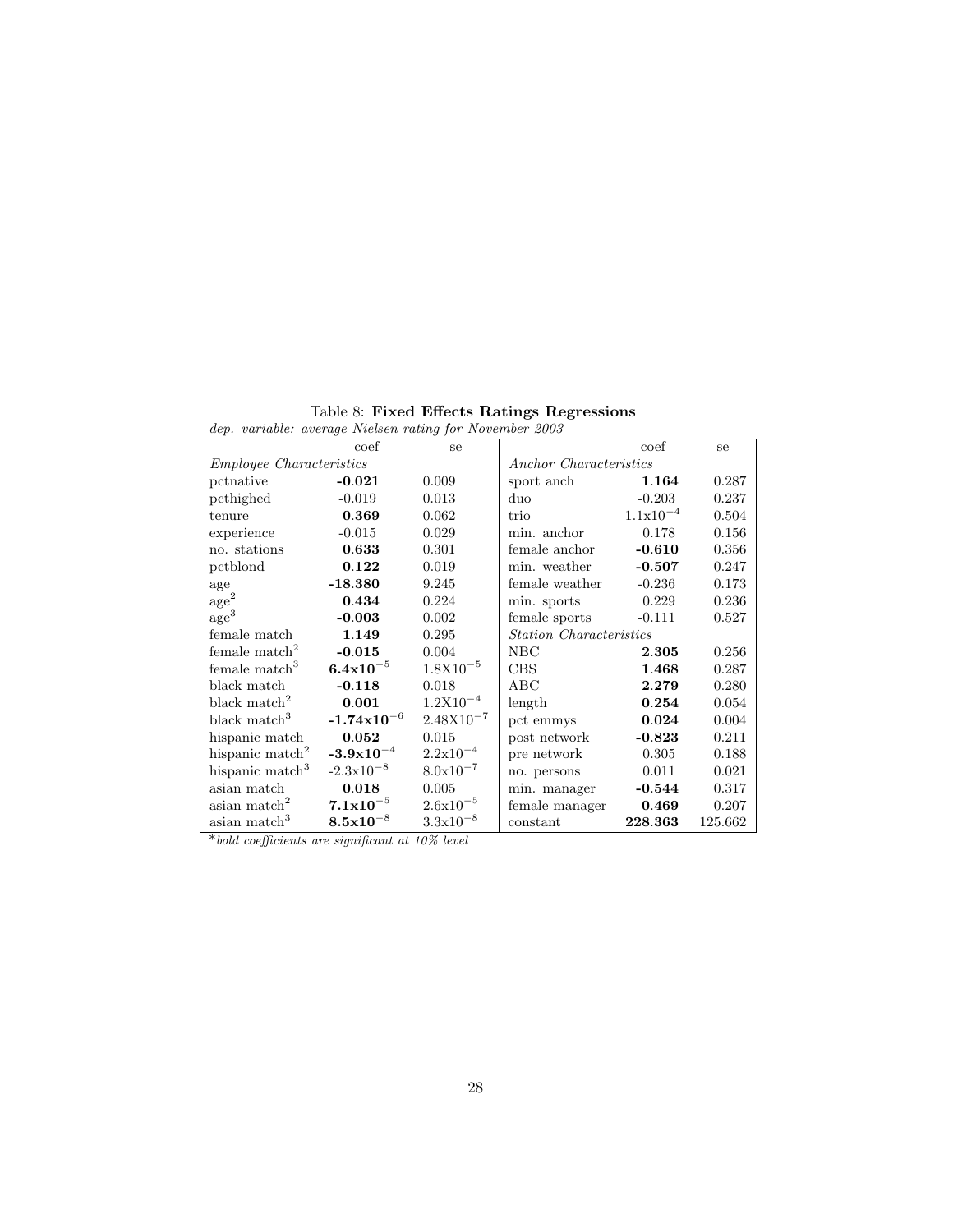| dep. variable: average Nielsen rating for November 2003 |                        |                      |                                |               |         |
|---------------------------------------------------------|------------------------|----------------------|--------------------------------|---------------|---------|
|                                                         | coef                   | se                   |                                | coef          | se      |
| <i>Employee Characteristics</i>                         |                        |                      | Anchor Characteristics         |               |         |
| pctnative                                               | $-0.021$               | 0.009                | sport anch                     | 1.164         | 0.287   |
| pcthighed                                               | $-0.019$               | 0.013                | duo                            | $-0.203$      | 0.237   |
| tenure                                                  | 0.369                  | 0.062                | trio                           | $1.1x10^{-4}$ | 0.504   |
| experience                                              | $-0.015$               | 0.029                | min. anchor                    | 0.178         | 0.156   |
| no. stations                                            | 0.633                  | 0.301                | female anchor                  | $-0.610$      | 0.356   |
| pctblond                                                | 0.122                  | 0.019                | min. weather                   | $-0.507$      | 0.247   |
| age                                                     | $-18.380$              | 9.245                | female weather                 | $-0.236$      | 0.173   |
| $\rm age^2$                                             | 0.434                  | 0.224                | min. sports                    | 0.229         | 0.236   |
| $\rm age^3$                                             | $-0.003$               | 0.002                | female sports                  | $-0.111$      | 0.527   |
| female match                                            | 1.149                  | 0.295                | <b>Station Characteristics</b> |               |         |
| female $match2$                                         | $-0.015$               | 0.004                | NBC                            | 2.305         | 0.256   |
| female match <sup>3</sup>                               | $6.4x10^{-5}$          | $1.8X10^{-5}$        | CBS                            | 1.468         | 0.287   |
| black match                                             | $-0.118$               | 0.018                | ABC                            | 2.279         | 0.280   |
| black match <sup>2</sup>                                | 0.001                  | $1.2X10^{-4}$        | length                         | 0.254         | 0.054   |
| black match <sup>3</sup>                                | $-1.74 \times 10^{-6}$ | $2.48X10^{-7}$       | pct emmys                      | 0.024         | 0.004   |
| hispanic match                                          | 0.052                  | 0.015                | post network                   | $-0.823$      | 0.211   |
| hispanic match <sup>2</sup>                             | $-3.9 \times 10^{-4}$  | $2.2 \times 10^{-4}$ | pre network                    | 0.305         | 0.188   |
| hispanic match <sup>3</sup>                             | $-2.3 \times 10^{-8}$  | $8.0x10^{-7}$        | no. persons                    | 0.011         | 0.021   |
| asian match                                             | 0.018                  | 0.005                | min. manager                   | $-0.544$      | 0.317   |
| asian match <sup>2</sup>                                | $7.1 \times 10^{-5}$   | $2.6x10^{-5}$        | female manager                 | 0.469         | 0.207   |
| asian match <sup>3</sup>                                | $8.5 \times 10^{-8}$   | $3.3 \times 10^{-8}$ | constant                       | 228.363       | 125.662 |

Table 8: Fixed Effects Ratings Regressions

\*bold coefficients are significant at 10% level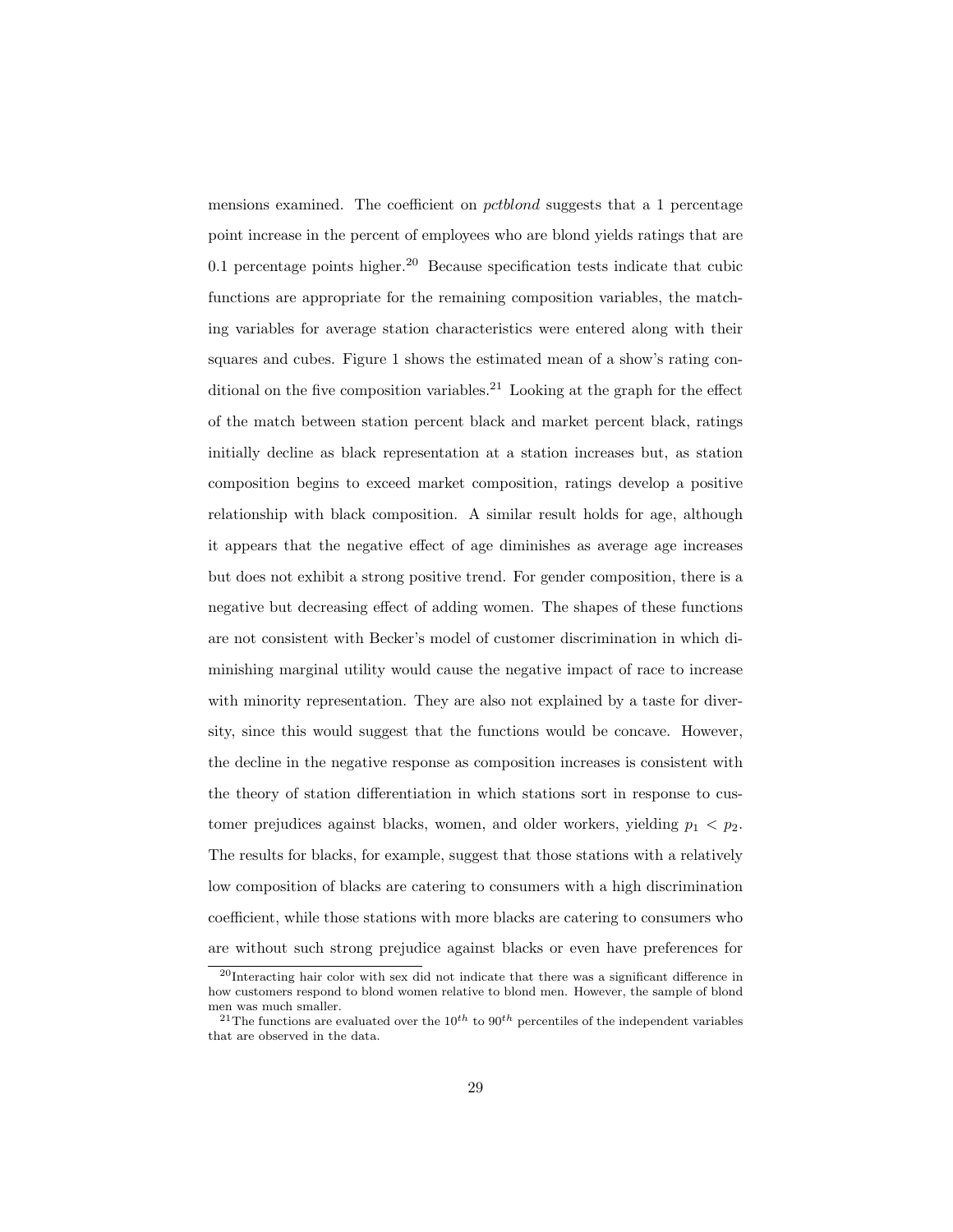mensions examined. The coefficient on pctblond suggests that a 1 percentage point increase in the percent of employees who are blond yields ratings that are 0.1 percentage points higher.<sup>20</sup> Because specification tests indicate that cubic functions are appropriate for the remaining composition variables, the matching variables for average station characteristics were entered along with their squares and cubes. Figure 1 shows the estimated mean of a show's rating conditional on the five composition variables.<sup>21</sup> Looking at the graph for the effect of the match between station percent black and market percent black, ratings initially decline as black representation at a station increases but, as station composition begins to exceed market composition, ratings develop a positive relationship with black composition. A similar result holds for age, although it appears that the negative effect of age diminishes as average age increases but does not exhibit a strong positive trend. For gender composition, there is a negative but decreasing effect of adding women. The shapes of these functions are not consistent with Becker's model of customer discrimination in which diminishing marginal utility would cause the negative impact of race to increase with minority representation. They are also not explained by a taste for diversity, since this would suggest that the functions would be concave. However, the decline in the negative response as composition increases is consistent with the theory of station differentiation in which stations sort in response to customer prejudices against blacks, women, and older workers, yielding  $p_1 < p_2$ . The results for blacks, for example, suggest that those stations with a relatively low composition of blacks are catering to consumers with a high discrimination coefficient, while those stations with more blacks are catering to consumers who are without such strong prejudice against blacks or even have preferences for

<sup>&</sup>lt;sup>20</sup>Interacting hair color with sex did not indicate that there was a significant difference in how customers respond to blond women relative to blond men. However, the sample of blond men was much smaller.

<sup>&</sup>lt;sup>21</sup>The functions are evaluated over the  $10^{th}$  to  $90^{th}$  percentiles of the independent variables that are observed in the data.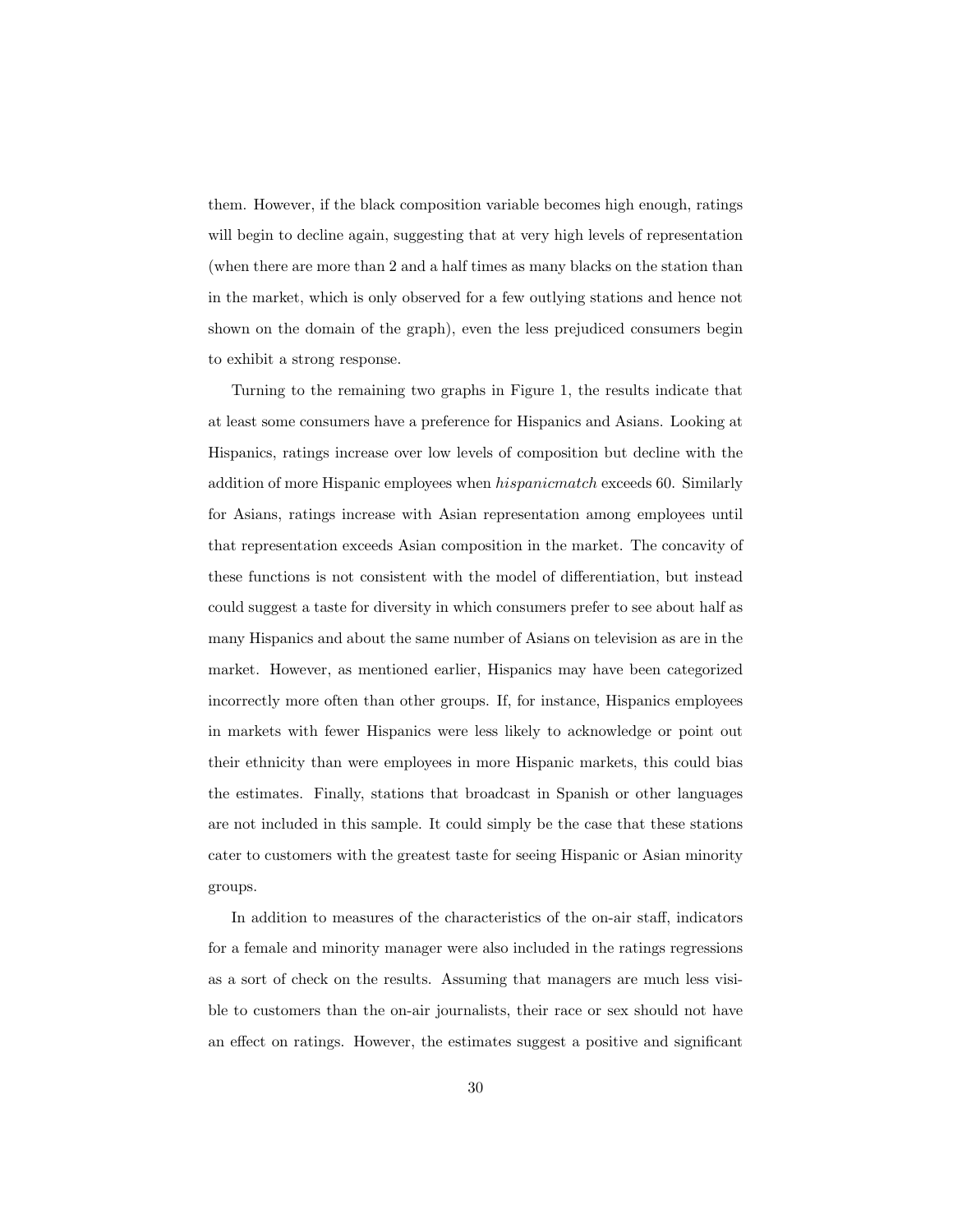them. However, if the black composition variable becomes high enough, ratings will begin to decline again, suggesting that at very high levels of representation (when there are more than 2 and a half times as many blacks on the station than in the market, which is only observed for a few outlying stations and hence not shown on the domain of the graph), even the less prejudiced consumers begin to exhibit a strong response.

Turning to the remaining two graphs in Figure 1, the results indicate that at least some consumers have a preference for Hispanics and Asians. Looking at Hispanics, ratings increase over low levels of composition but decline with the addition of more Hispanic employees when hispanicmatch exceeds 60. Similarly for Asians, ratings increase with Asian representation among employees until that representation exceeds Asian composition in the market. The concavity of these functions is not consistent with the model of differentiation, but instead could suggest a taste for diversity in which consumers prefer to see about half as many Hispanics and about the same number of Asians on television as are in the market. However, as mentioned earlier, Hispanics may have been categorized incorrectly more often than other groups. If, for instance, Hispanics employees in markets with fewer Hispanics were less likely to acknowledge or point out their ethnicity than were employees in more Hispanic markets, this could bias the estimates. Finally, stations that broadcast in Spanish or other languages are not included in this sample. It could simply be the case that these stations cater to customers with the greatest taste for seeing Hispanic or Asian minority groups.

In addition to measures of the characteristics of the on-air staff, indicators for a female and minority manager were also included in the ratings regressions as a sort of check on the results. Assuming that managers are much less visible to customers than the on-air journalists, their race or sex should not have an effect on ratings. However, the estimates suggest a positive and significant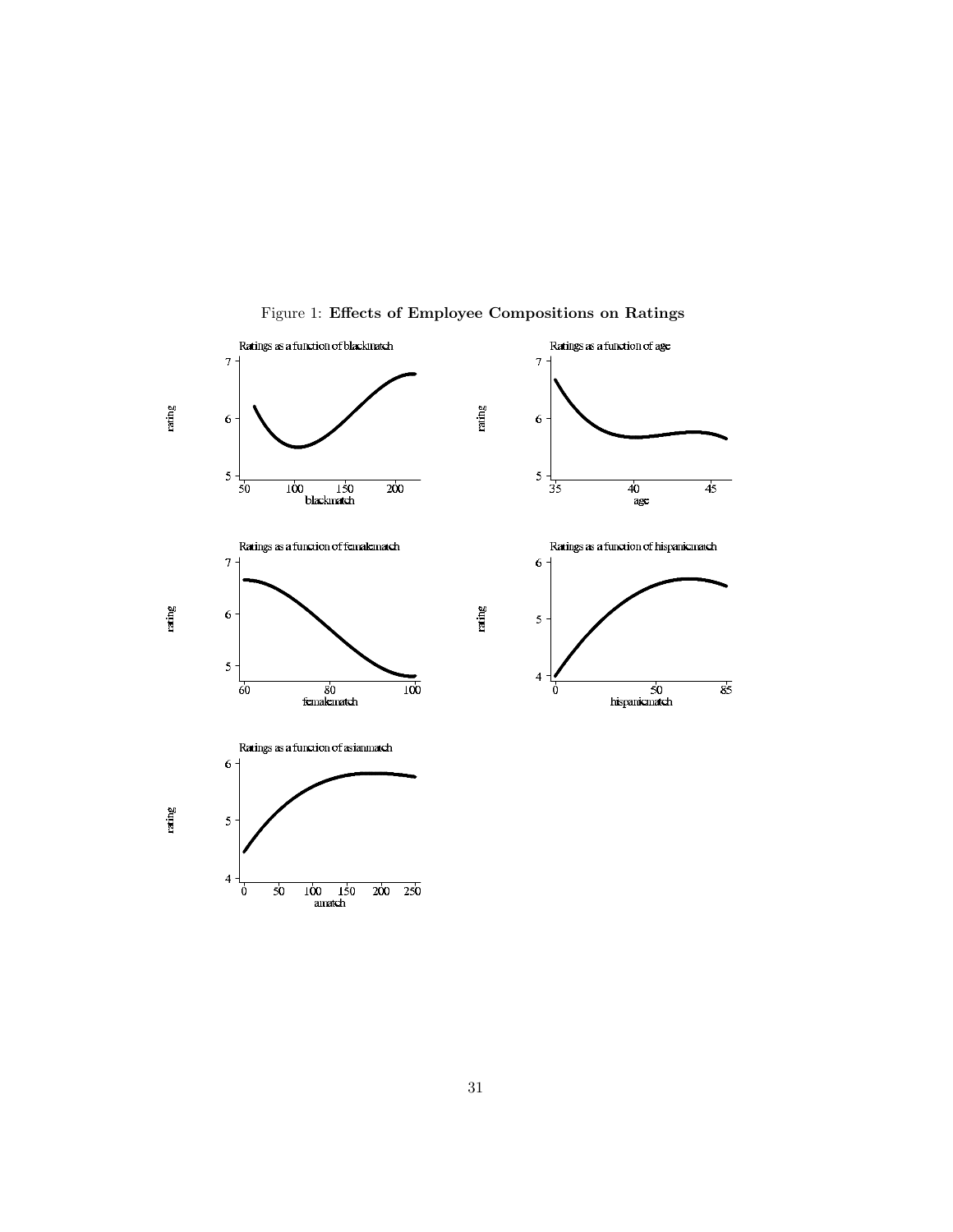

Figure 1: Effects of Employee Compositions on Ratings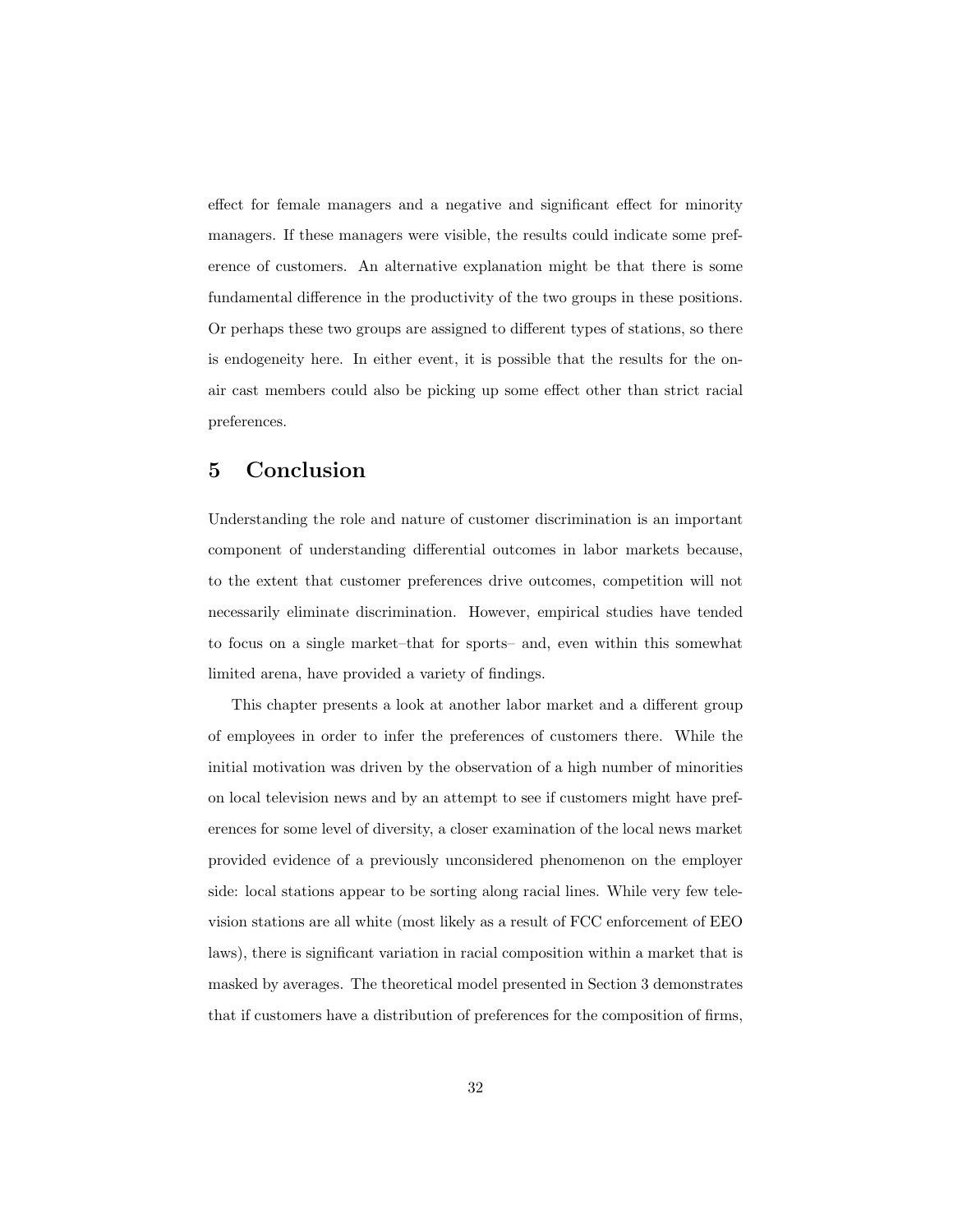effect for female managers and a negative and significant effect for minority managers. If these managers were visible, the results could indicate some preference of customers. An alternative explanation might be that there is some fundamental difference in the productivity of the two groups in these positions. Or perhaps these two groups are assigned to different types of stations, so there is endogeneity here. In either event, it is possible that the results for the onair cast members could also be picking up some effect other than strict racial preferences.

## 5 Conclusion

Understanding the role and nature of customer discrimination is an important component of understanding differential outcomes in labor markets because, to the extent that customer preferences drive outcomes, competition will not necessarily eliminate discrimination. However, empirical studies have tended to focus on a single market–that for sports– and, even within this somewhat limited arena, have provided a variety of findings.

This chapter presents a look at another labor market and a different group of employees in order to infer the preferences of customers there. While the initial motivation was driven by the observation of a high number of minorities on local television news and by an attempt to see if customers might have preferences for some level of diversity, a closer examination of the local news market provided evidence of a previously unconsidered phenomenon on the employer side: local stations appear to be sorting along racial lines. While very few television stations are all white (most likely as a result of FCC enforcement of EEO laws), there is significant variation in racial composition within a market that is masked by averages. The theoretical model presented in Section 3 demonstrates that if customers have a distribution of preferences for the composition of firms,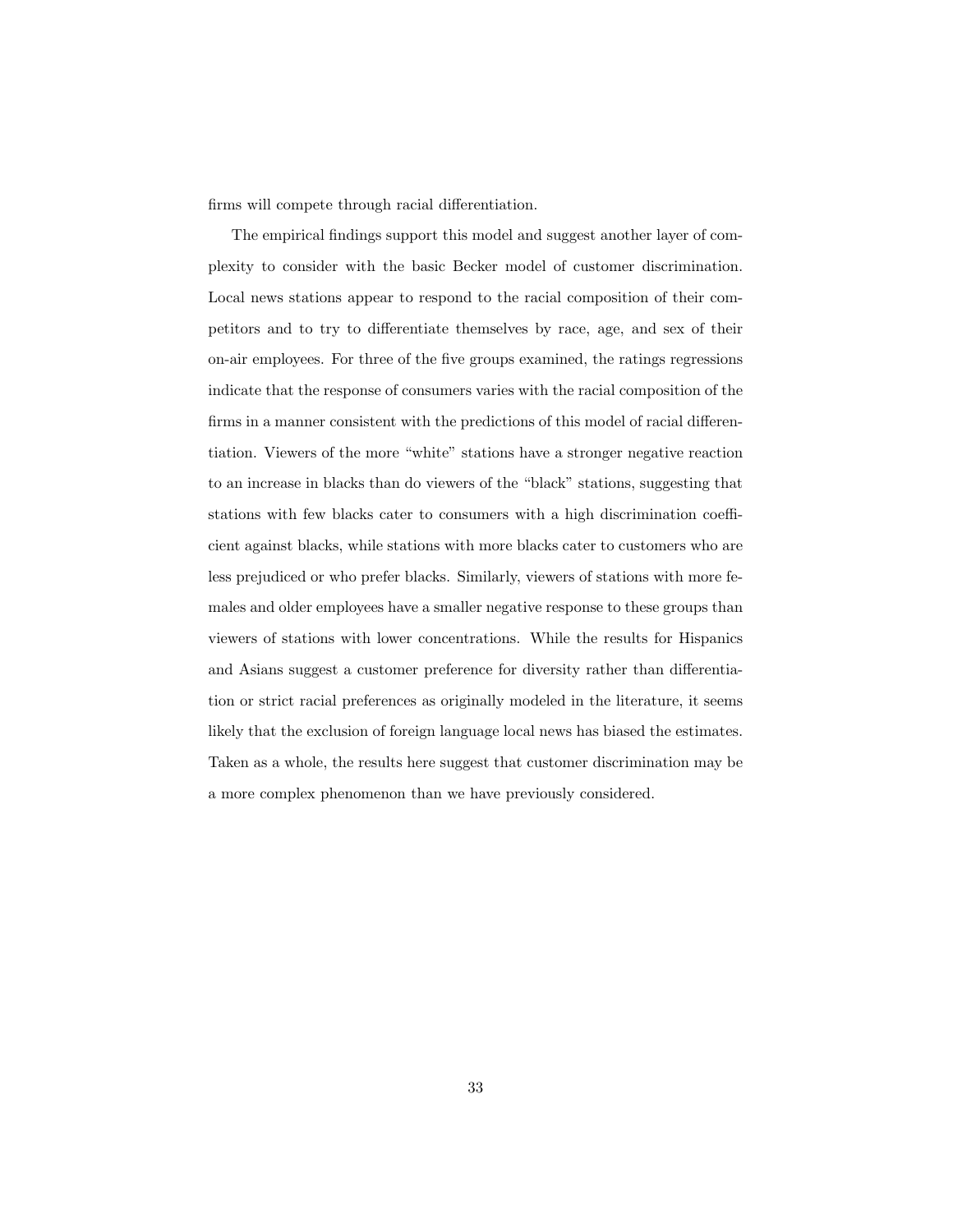firms will compete through racial differentiation.

The empirical findings support this model and suggest another layer of complexity to consider with the basic Becker model of customer discrimination. Local news stations appear to respond to the racial composition of their competitors and to try to differentiate themselves by race, age, and sex of their on-air employees. For three of the five groups examined, the ratings regressions indicate that the response of consumers varies with the racial composition of the firms in a manner consistent with the predictions of this model of racial differentiation. Viewers of the more "white" stations have a stronger negative reaction to an increase in blacks than do viewers of the "black" stations, suggesting that stations with few blacks cater to consumers with a high discrimination coefficient against blacks, while stations with more blacks cater to customers who are less prejudiced or who prefer blacks. Similarly, viewers of stations with more females and older employees have a smaller negative response to these groups than viewers of stations with lower concentrations. While the results for Hispanics and Asians suggest a customer preference for diversity rather than differentiation or strict racial preferences as originally modeled in the literature, it seems likely that the exclusion of foreign language local news has biased the estimates. Taken as a whole, the results here suggest that customer discrimination may be a more complex phenomenon than we have previously considered.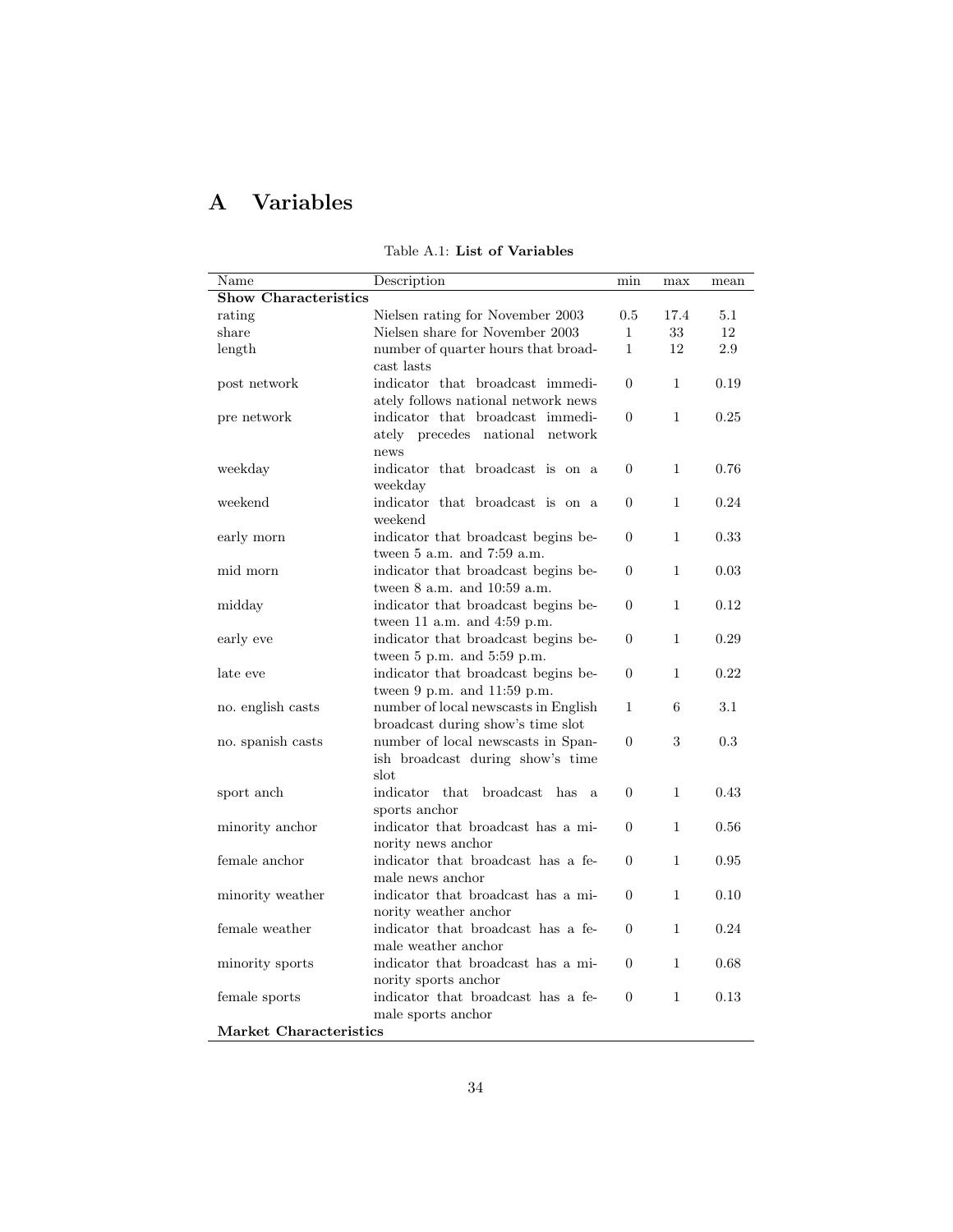# A Variables

| Name                        | Description                                | min            | max          | mean |
|-----------------------------|--------------------------------------------|----------------|--------------|------|
| <b>Show Characteristics</b> |                                            |                |              |      |
| rating                      | Nielsen rating for November 2003           | 0.5            | 17.4         | 5.1  |
| share                       | Nielsen share for November 2003            | $\mathbf{1}$   | 33           | 12   |
| length                      | number of quarter hours that broad-        | $\mathbf{1}$   | 12           | 2.9  |
|                             | cast lasts                                 |                |              |      |
| post network                | indicator that broadcast immedi-           | $\Omega$       | 1            | 0.19 |
|                             | ately follows national network news        |                |              |      |
| pre network                 | indicator that broadcast immedi-           | $\Omega$       | $\mathbf{1}$ | 0.25 |
|                             | ately precedes national<br>network         |                |              |      |
|                             | news                                       |                |              |      |
| weekday                     | indicator that broadcast is on a           | $\Omega$       | $\mathbf{1}$ | 0.76 |
|                             | weekday                                    |                |              |      |
| weekend                     | indicator that broadcast is on a           | $\Omega$       | 1            | 0.24 |
|                             | weekend                                    |                |              |      |
| early morn                  | indicator that broadcast begins be-        | $\overline{0}$ | 1            | 0.33 |
|                             | tween $5$ a.m. and $7:59$ a.m.             |                |              |      |
| mid morn                    | indicator that broadcast begins be-        | $\Omega$       | $\mathbf{1}$ | 0.03 |
|                             | tween $8$ a.m. and $10:59$ a.m.            |                |              |      |
| midday                      | indicator that broadcast begins be-        | $\Omega$       | 1            | 0.12 |
|                             | tween 11 a.m. and $4:59$ p.m.              |                |              |      |
| early eve                   | indicator that broadcast begins be-        | $\overline{0}$ | 1            | 0.29 |
|                             | tween 5 p.m. and 5:59 p.m.                 |                |              |      |
| late eve                    | indicator that broadcast begins be-        | $\Omega$       | $\mathbf{1}$ | 0.22 |
|                             | tween 9 p.m. and 11:59 p.m.                |                |              |      |
| no. english casts           | number of local newscasts in English       | $\mathbf{1}$   | 6            | 3.1  |
|                             | broadcast during show's time slot          |                |              |      |
| no. spanish casts           | number of local newscasts in Span-         | $\overline{0}$ | 3            | 0.3  |
|                             | ish broadcast during show's time           |                |              |      |
|                             | slot                                       |                |              |      |
| sport anch                  | indicator<br>broadcast<br>that<br>has<br>a | $\overline{0}$ | $\mathbf{1}$ | 0.43 |
|                             | sports anchor                              |                |              |      |
| minority anchor             | indicator that broadcast has a mi-         | $\Omega$       | 1            | 0.56 |
|                             | nority news anchor                         |                |              |      |
| female anchor               | indicator that broadcast has a fe-         | $\Omega$       | 1            | 0.95 |
|                             | male news anchor                           |                |              |      |
| minority weather            | indicator that broadcast has a mi-         | $\Omega$       | 1            | 0.10 |
|                             | nority weather anchor                      |                |              |      |
| female weather              | indicator that broadcast has a fe-         | $\Omega$       | 1            | 0.24 |
|                             | male weather anchor                        |                |              |      |
| minority sports             | indicator that broadcast has a mi-         | $\overline{0}$ | 1            | 0.68 |
|                             | nority sports anchor                       |                |              |      |
| female sports               | indicator that broadcast has a fe-         | $\theta$       | $\mathbf{1}$ | 0.13 |
|                             | male sports anchor                         |                |              |      |
| Market Characteristics      |                                            |                |              |      |
|                             |                                            |                |              |      |

Table A.1: List of Variables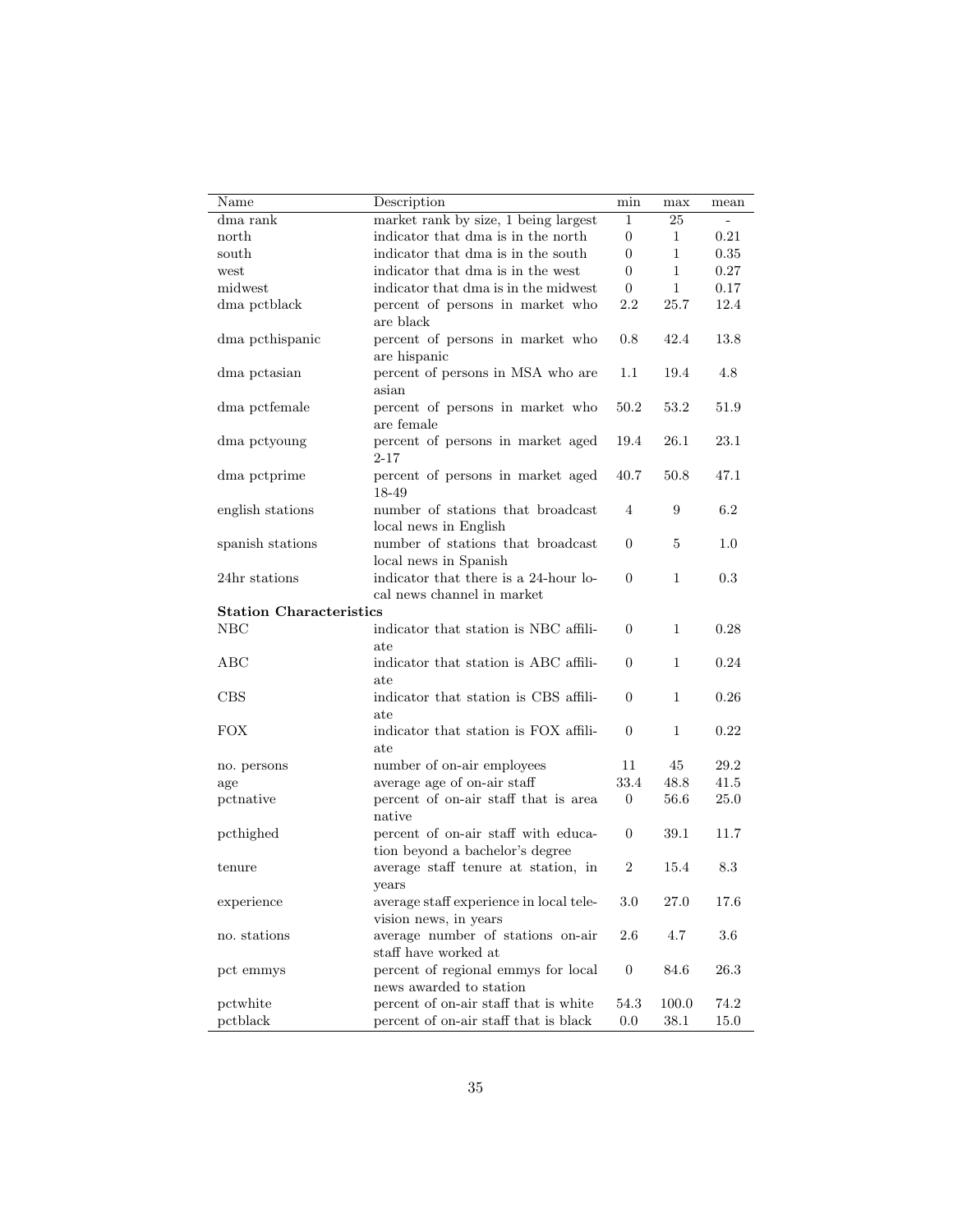| Name                           | Description                                                            | min              | max            | mean |
|--------------------------------|------------------------------------------------------------------------|------------------|----------------|------|
| dma rank                       | market rank by size, 1 being largest                                   | 1                | 25             |      |
| north                          | indicator that dma is in the north                                     | $\overline{0}$   | $\mathbf 1$    | 0.21 |
| south                          | indicator that dma is in the south                                     | 0                | $\mathbf{1}$   | 0.35 |
| west                           | indicator that dma is in the west                                      | 0                | $\mathbf{1}$   | 0.27 |
| midwest                        | indicator that dma is in the midwest                                   | $\theta$         | $\mathbf{1}$   | 0.17 |
| dma pctblack                   | percent of persons in market who<br>are black                          | $2.2\,$          | 25.7           | 12.4 |
| dma pethispanic                | percent of persons in market who<br>are hispanic                       | $0.8\,$          | 42.4           | 13.8 |
| dma petasian                   | percent of persons in MSA who are<br>asian                             | $1.1\,$          | 19.4           | 4.8  |
| dma pctfemale                  | percent of persons in market who<br>are female                         | 50.2             | 53.2           | 51.9 |
| dma pctyoung                   | percent of persons in market aged<br>2-17                              | 19.4             | 26.1           | 23.1 |
| dma pctprime                   | percent of persons in market aged<br>18-49                             | 40.7             | 50.8           | 47.1 |
| english stations               | number of stations that broadcast<br>local news in English             | 4                | 9              | 6.2  |
| spanish stations               | number of stations that broadcast<br>local news in Spanish             | $\overline{0}$   | $\overline{5}$ | 1.0  |
| 24hr stations                  | indicator that there is a 24-hour lo-<br>cal news channel in market    | $\overline{0}$   | 1              | 0.3  |
| <b>Station Characteristics</b> |                                                                        |                  |                |      |
| $_{\rm NBC}$                   | indicator that station is NBC affili-                                  | $\overline{0}$   | 1              | 0.28 |
|                                | ate                                                                    |                  |                |      |
| ABC                            | indicator that station is ABC affili-<br>ate                           | $\overline{0}$   | $\mathbf{1}$   | 0.24 |
| <b>CBS</b>                     | indicator that station is CBS affili-<br>ate                           | $\theta$         | $\mathbf{1}$   | 0.26 |
| <b>FOX</b>                     | indicator that station is FOX affili-<br>ate                           | $\overline{0}$   | $\mathbf{1}$   | 0.22 |
| no. persons                    | number of on-air employees                                             | 11               | 45             | 29.2 |
| age                            | average age of on-air staff                                            | 33.4             | 48.8           | 41.5 |
| pctnative                      | percent of on-air staff that is area<br>native                         | $\mathbf{0}$     | 56.6           | 25.0 |
| pcthighed                      | percent of on-air staff with educa-<br>tion beyond a bachelor's degree | 0                | 39.1           | 11.7 |
| tenure                         | average staff tenure at station, in<br>vears                           | 2                | 15.4           | 8.3  |
| experience                     | average staff experience in local tele-<br>vision news, in years       | 3.0              | 27.0           | 17.6 |
| no. stations                   | average number of stations on-air<br>staff have worked at              | 2.6              | 4.7            | 3.6  |
| pct emmys                      | percent of regional emmys for local<br>news awarded to station         | $\boldsymbol{0}$ | 84.6           | 26.3 |
| pctwhite                       | percent of on-air staff that is white                                  | 54.3             | 100.0          | 74.2 |
| pctblack                       | percent of on-air staff that is black                                  | 0.0              | 38.1           | 15.0 |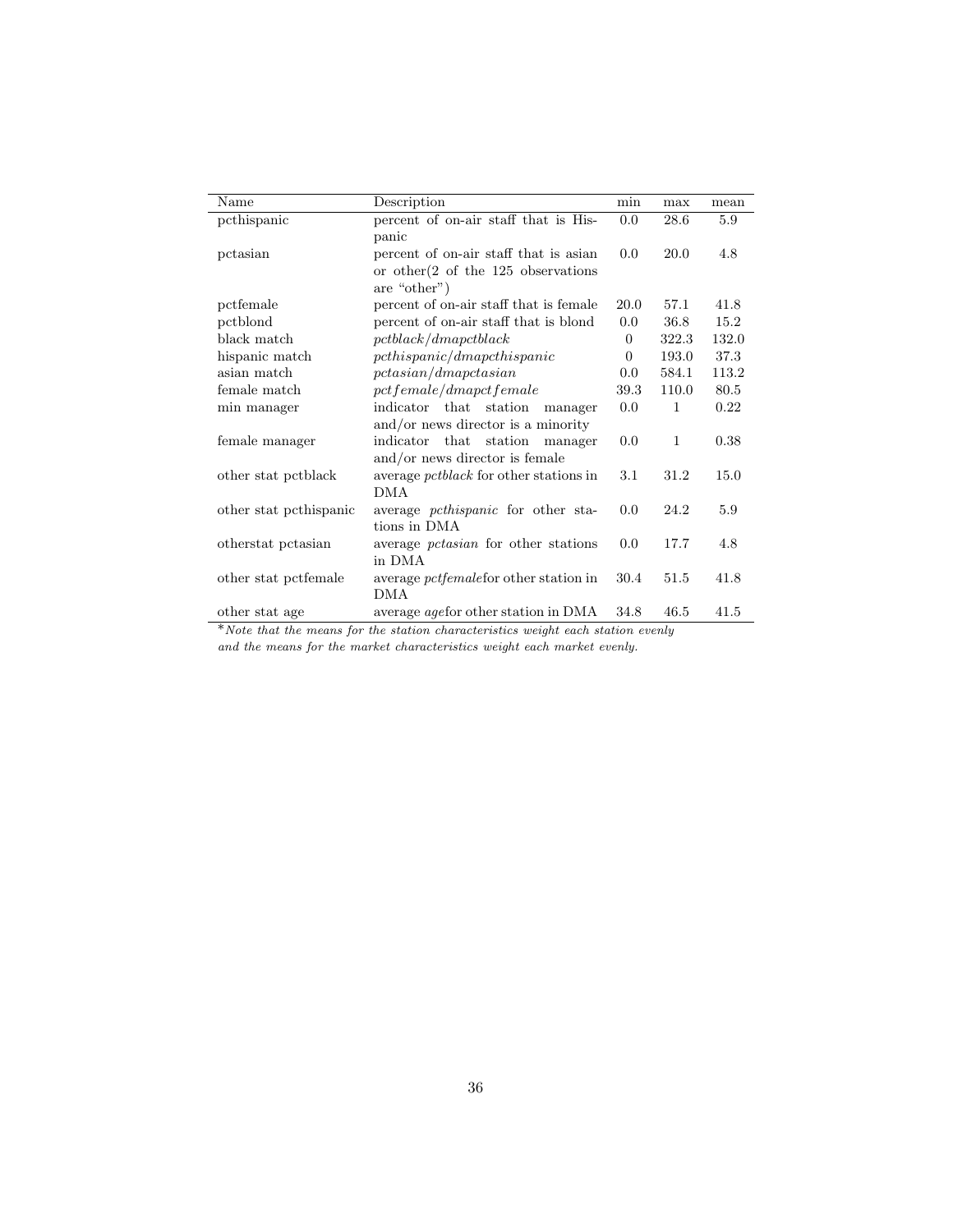| Name                   | Description                                     | min            | max          | mean  |
|------------------------|-------------------------------------------------|----------------|--------------|-------|
| pcthispanic            | percent of on-air staff that is His-            | 0.0            | 28.6         | 5.9   |
|                        | panic                                           |                |              |       |
| pctasian               | percent of on-air staff that is asian           | 0.0            | 20.0         | 4.8   |
|                        | or other $(2 \text{ of the } 125)$ observations |                |              |       |
|                        | are "other")                                    |                |              |       |
| pctfemale              | percent of on-air staff that is female          | 20.0           | 57.1         | 41.8  |
| pctblond               | percent of on-air staff that is blond           | 0.0            | 36.8         | 15.2  |
| black match            | petblack/dmapctblack                            | $\overline{0}$ | 322.3        | 132.0 |
| hispanic match         | pchispanic/dmapchispanic                        | $\theta$       | 193.0        | 37.3  |
| asian match            | pctasin/dmapctasian                             | 0.0            | 584.1        | 113.2 |
| female match           | pct female/dmapct female                        | 39.3           | 110.0        | 80.5  |
| min manager            | indicator that station<br>manager               | 0.0            | $\mathbf{1}$ | 0.22  |
|                        | $\alpha$ and/or news director is a minority     |                |              |       |
| female manager         | indicator that station manager                  | 0.0            | $\mathbf{1}$ | 0.38  |
|                        | and/or news director is female                  |                |              |       |
| other stat petblack    | average pctblack for other stations in          | 3.1            | 31.2         | 15.0  |
|                        | <b>DMA</b>                                      |                |              |       |
| other stat pethispanic | average <i>pcthispanic</i> for other sta-       | 0.0            | 24.2         | 5.9   |
|                        | tions in DMA                                    |                |              |       |
| otherstat pctasian     | average <i>pctasian</i> for other stations      | 0.0            | 17.7         | 4.8   |
|                        | in DMA                                          |                |              |       |
| other stat pctfemale   | average <i>pctfemale</i> for other station in   | 30.4           | 51.5         | 41.8  |
|                        | <b>DMA</b>                                      |                |              |       |
| other stat age         | average <i>age</i> for other station in DMA     | 34.8           | 46.5         | 41.5  |

\*Note that the means for the station characteristics weight each station evenly

and the means for the market characteristics weight each market evenly.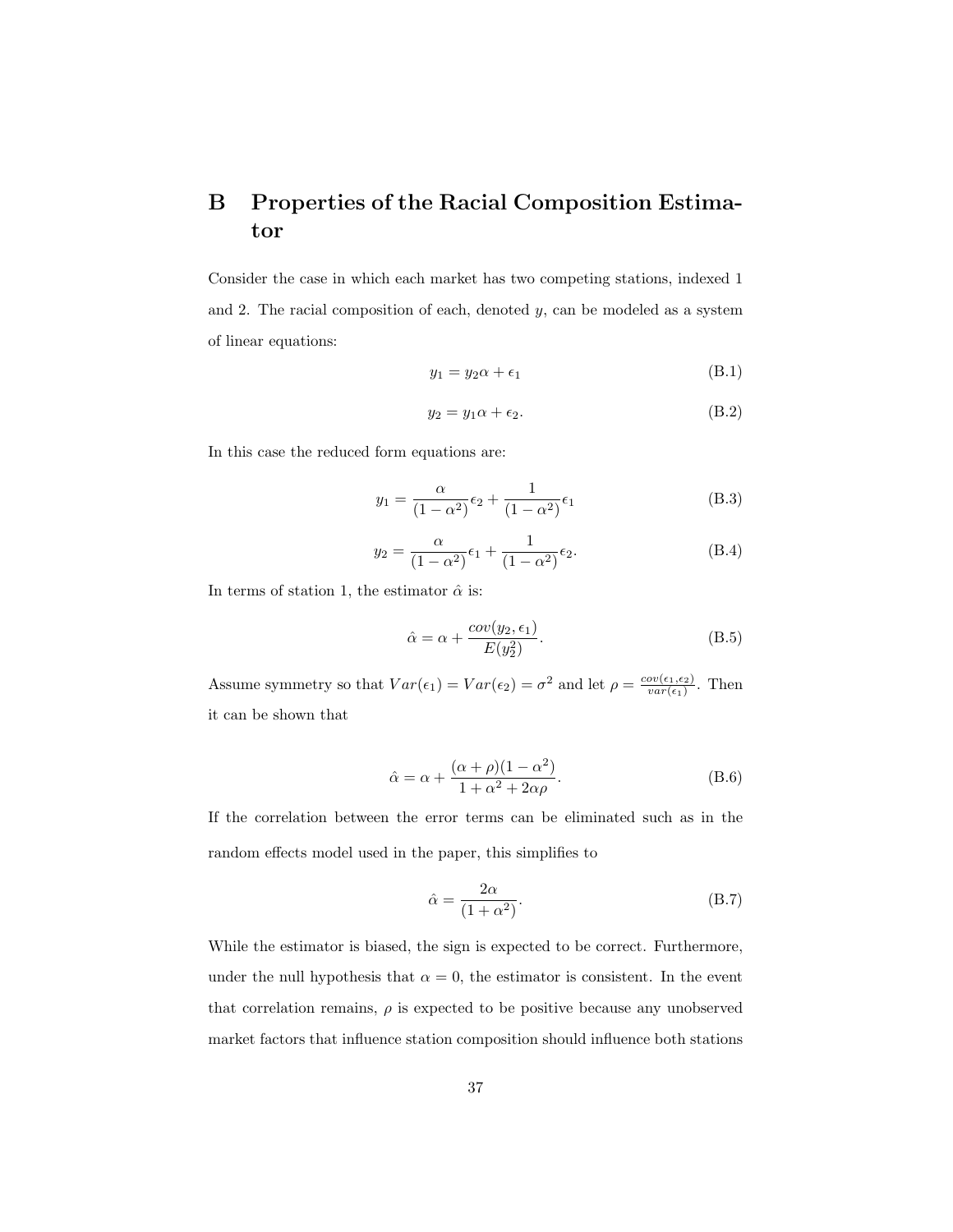## B Properties of the Racial Composition Estimator

Consider the case in which each market has two competing stations, indexed 1 and 2. The racial composition of each, denoted  $y$ , can be modeled as a system of linear equations:

$$
y_1 = y_2 \alpha + \epsilon_1 \tag{B.1}
$$

$$
y_2 = y_1 \alpha + \epsilon_2. \tag{B.2}
$$

In this case the reduced form equations are:

$$
y_1 = \frac{\alpha}{(1 - \alpha^2)} \epsilon_2 + \frac{1}{(1 - \alpha^2)} \epsilon_1
$$
 (B.3)

$$
y_2 = \frac{\alpha}{(1 - \alpha^2)} \epsilon_1 + \frac{1}{(1 - \alpha^2)} \epsilon_2.
$$
 (B.4)

In terms of station 1, the estimator  $\hat{\alpha}$  is:

$$
\hat{\alpha} = \alpha + \frac{cov(y_2, \epsilon_1)}{E(y_2^2)}.
$$
\n(B.5)

Assume symmetry so that  $Var(\epsilon_1) = Var(\epsilon_2) = \sigma^2$  and let  $\rho = \frac{cov(\epsilon_1, \epsilon_2)}{var(\epsilon_1)}$  $\frac{ov(\epsilon_1,\epsilon_2)}{var(\epsilon_1)}$ . Then it can be shown that

$$
\hat{\alpha} = \alpha + \frac{(\alpha + \rho)(1 - \alpha^2)}{1 + \alpha^2 + 2\alpha\rho}.
$$
\n(B.6)

If the correlation between the error terms can be eliminated such as in the random effects model used in the paper, this simplifies to

$$
\hat{\alpha} = \frac{2\alpha}{(1+\alpha^2)}.\tag{B.7}
$$

While the estimator is biased, the sign is expected to be correct. Furthermore, under the null hypothesis that  $\alpha = 0$ , the estimator is consistent. In the event that correlation remains,  $\rho$  is expected to be positive because any unobserved market factors that influence station composition should influence both stations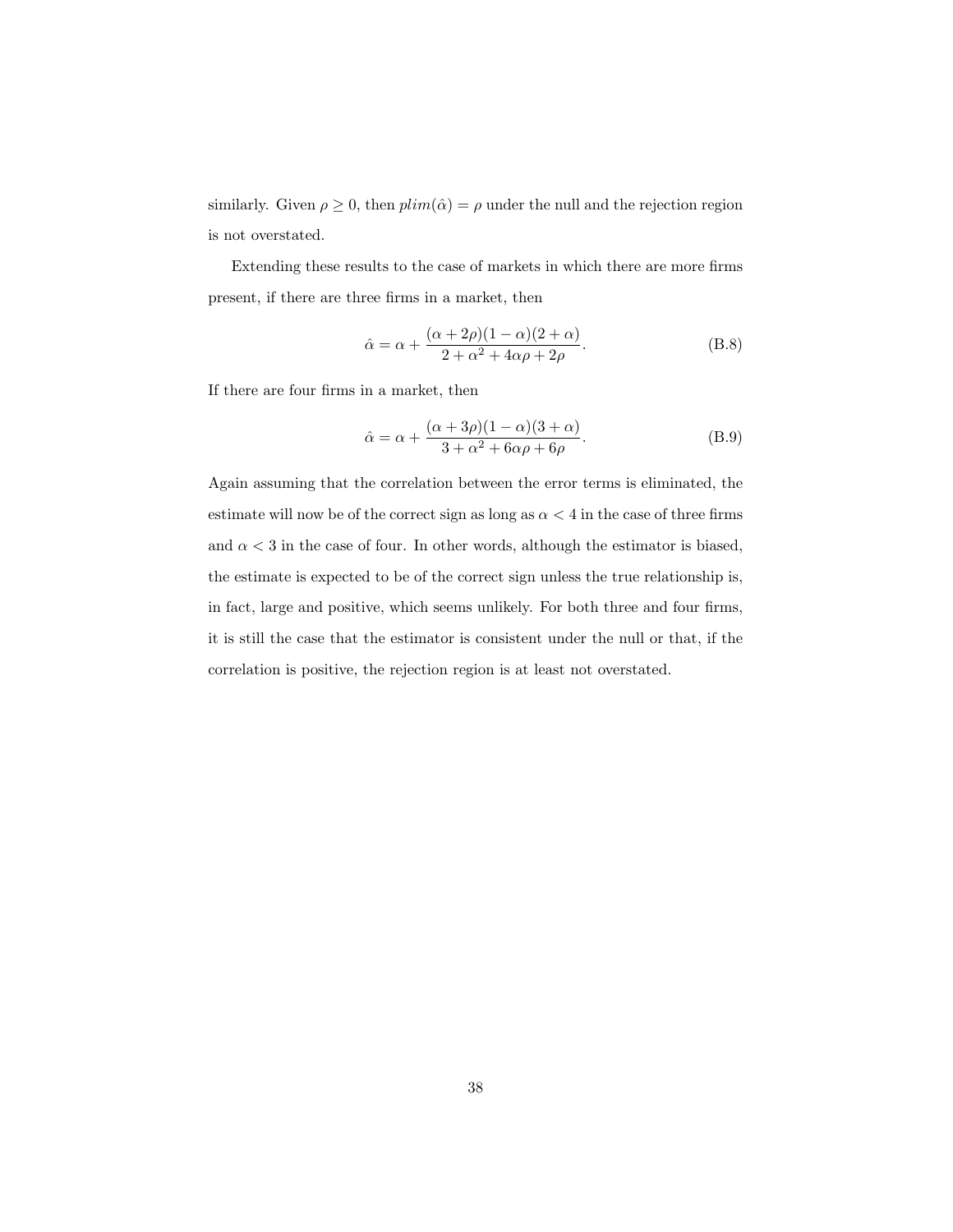similarly. Given  $\rho \geq 0$ , then  $plim(\hat{\alpha}) = \rho$  under the null and the rejection region is not overstated.

Extending these results to the case of markets in which there are more firms present, if there are three firms in a market, then

$$
\hat{\alpha} = \alpha + \frac{(\alpha + 2\rho)(1 - \alpha)(2 + \alpha)}{2 + \alpha^2 + 4\alpha\rho + 2\rho}.
$$
\n(B.8)

If there are four firms in a market, then

$$
\hat{\alpha} = \alpha + \frac{(\alpha + 3\rho)(1 - \alpha)(3 + \alpha)}{3 + \alpha^2 + 6\alpha\rho + 6\rho}.
$$
 (B.9)

Again assuming that the correlation between the error terms is eliminated, the estimate will now be of the correct sign as long as  $\alpha < 4$  in the case of three firms and  $\alpha < 3$  in the case of four. In other words, although the estimator is biased, the estimate is expected to be of the correct sign unless the true relationship is, in fact, large and positive, which seems unlikely. For both three and four firms, it is still the case that the estimator is consistent under the null or that, if the correlation is positive, the rejection region is at least not overstated.